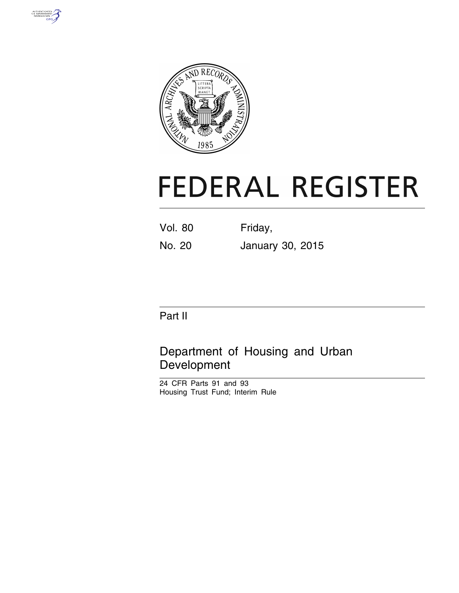



# **FEDERAL REGISTER**

Vol. 80 Friday,

No. 20 January 30, 2015

## Part II

# Department of Housing and Urban Development

24 CFR Parts 91 and 93 Housing Trust Fund; Interim Rule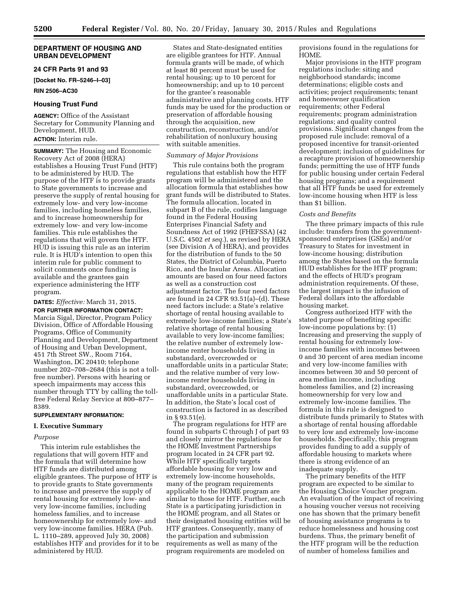#### **DEPARTMENT OF HOUSING AND URBAN DEVELOPMENT**

#### **24 CFR Parts 91 and 93**

**[Docket No. FR–5246–I–03]** 

**RIN 2506–AC30** 

#### **Housing Trust Fund**

**AGENCY:** Office of the Assistant Secretary for Community Planning and Development, HUD. **ACTION:** Interim rule.

**SUMMARY:** The Housing and Economic Recovery Act of 2008 (HERA) establishes a Housing Trust Fund (HTF) to be administered by HUD. The purpose of the HTF is to provide grants to State governments to increase and preserve the supply of rental housing for extremely low- and very low-income families, including homeless families, and to increase homeownership for extremely low- and very low-income families. This rule establishes the regulations that will govern the HTF. HUD is issuing this rule as an interim rule. It is HUD's intention to open this interim rule for public comment to solicit comments once funding is available and the grantees gain experience administering the HTF program.

**DATES:** *Effective:* March 31, 2015.

**FOR FURTHER INFORMATION CONTACT:**  Marcia Sigal, Director, Program Policy Division, Office of Affordable Housing Programs, Office of Community Planning and Development, Department of Housing and Urban Development, 451 7th Street SW., Room 7164, Washington, DC 20410; telephone number 202–708–2684 (this is not a tollfree number). Persons with hearing or speech impairments may access this number through TTY by calling the tollfree Federal Relay Service at 800–877– 8389.

#### **SUPPLEMENTARY INFORMATION:**

#### **I. Executive Summary**

#### *Purpose*

This interim rule establishes the regulations that will govern HTF and the formula that will determine how HTF funds are distributed among eligible grantees. The purpose of HTF is to provide grants to State governments to increase and preserve the supply of rental housing for extremely low- and very low-income families, including homeless families, and to increase homeownership for extremely low- and very low-income families. HERA (Pub. L. 1110–289, approved July 30, 2008) establishes HTF and provides for it to be administered by HUD.

States and State-designated entities are eligible grantees for HTF. Annual formula grants will be made, of which at least 80 percent must be used for rental housing; up to 10 percent for homeownership; and up to 10 percent for the grantee's reasonable administrative and planning costs. HTF funds may be used for the production or preservation of affordable housing through the acquisition, new construction, reconstruction, and/or rehabilitation of nonluxury housing with suitable amenities.

#### *Summary of Major Provisions*

This rule contains both the program regulations that establish how the HTF program will be administered and the allocation formula that establishes how grant funds will be distributed to States. The formula allocation, located in subpart B of the rule, codifies language found in the Federal Housing Enterprises Financial Safety and Soundness Act of 1992 (FHEFSSA) (42 U.S.C. 4502 *et seq.*), as revised by HERA (see Division A of HERA), and provides for the distribution of funds to the 50 States, the District of Columbia, Puerto Rico, and the Insular Areas. Allocation amounts are based on four need factors as well as a construction cost adjustment factor. The four need factors are found in 24 CFR 93.51(a)–(d). These need factors include: a State's relative shortage of rental housing available to extremely low-income families; a State's relative shortage of rental housing available to very low-income families; the relative number of extremely lowincome renter households living in substandard, overcrowded or unaffordable units in a particular State; and the relative number of very lowincome renter households living in substandard, overcrowded, or unaffordable units in a particular State. In addition, the State's local cost of construction is factored in as described in § 93.51(e).

The program regulations for HTF are found in subparts C through J of part 93 and closely mirror the regulations for the HOME Investment Partnerships program located in 24 CFR part 92. While HTF specifically targets affordable housing for very low and extremely low-income households, many of the program requirements applicable to the HOME program are similar to those for HTF. Further, each State is a participating jurisdiction in the HOME program, and all States or their designated housing entities will be HTF grantees. Consequently, many of the participation and submission requirements as well as many of the program requirements are modeled on

provisions found in the regulations for HOME.

Major provisions in the HTF program regulations include: siting and neighborhood standards; income determinations; eligible costs and activities; project requirements; tenant and homeowner qualification requirements; other Federal requirements; program administration regulations; and quality control provisions. Significant changes from the proposed rule include: removal of a proposed incentive for transit-oriented development; inclusion of guidelines for a recapture provision of homeownership funds; permitting the use of HTF funds for public housing under certain Federal housing programs; and a requirement that all HTF funds be used for extremely low-income housing when HTF is less than \$1 billion.

#### *Costs and Benefits*

The three primary impacts of this rule include: transfers from the governmentsponsored enterprises (GSEs) and/or Treasury to States for investment in low-income housing; distribution among the States based on the formula HUD establishes for the HTF program; and the effects of HUD's program administration requirements. Of these, the largest impact is the infusion of Federal dollars into the affordable housing market.

Congress authorized HTF with the stated purpose of benefiting specific low-income populations by: (1) Increasing and preserving the supply of rental housing for extremely lowincome families with incomes between 0 and 30 percent of area median income and very low-income families with incomes between 30 and 50 percent of area median income, including homeless families, and (2) increasing homeownership for very low and extremely low-income families. The formula in this rule is designed to distribute funds primarily to States with a shortage of rental housing affordable to very low and extremely low-income households. Specifically, this program provides funding to add a supply of affordable housing to markets where there is strong evidence of an inadequate supply.

The primary benefits of the HTF program are expected to be similar to the Housing Choice Voucher program. An evaluation of the impact of receiving a housing voucher versus not receiving one has shown that the primary benefit of housing assistance programs is to reduce homelessness and housing cost burdens. Thus, the primary benefit of the HTF program will be the reduction of number of homeless families and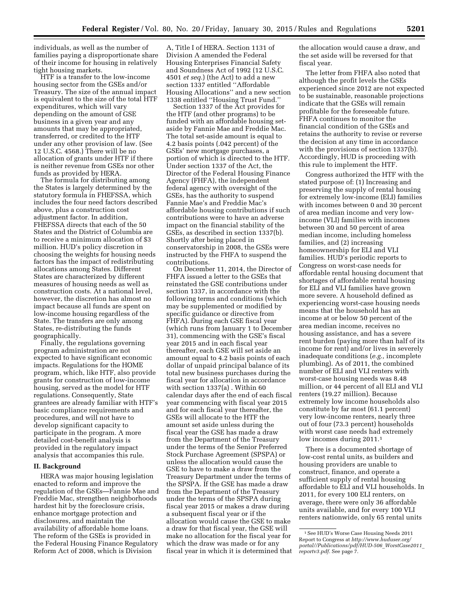individuals, as well as the number of families paying a disproportionate share of their income for housing in relatively tight housing markets.

HTF is a transfer to the low-income housing sector from the GSEs and/or Treasury. The size of the annual impact is equivalent to the size of the total HTF expenditures, which will vary depending on the amount of GSE business in a given year and any amounts that may be appropriated, transferred, or credited to the HTF under any other provision of law. (See 12 U.S.C. 4568.) There will be no allocation of grants under HTF if there is neither revenue from GSEs nor other funds as provided by HERA.

The formula for distributing among the States is largely determined by the statutory formula in FHEFSSA, which includes the four need factors described above, plus a construction cost adjustment factor. In addition, FHEFSSA directs that each of the 50 States and the District of Columbia are to receive a minimum allocation of \$3 million. HUD's policy discretion in choosing the weights for housing needs factors has the impact of redistributing allocations among States. Different States are characterized by different measures of housing needs as well as construction costs. At a national level, however, the discretion has almost no impact because all funds are spent on low-income housing regardless of the State. The transfers are only among States, re-distributing the funds geographically.

Finally, the regulations governing program administration are not expected to have significant economic impacts. Regulations for the HOME program, which, like HTF, also provide grants for construction of low-income housing, served as the model for HTF regulations. Consequently, State grantees are already familiar with HTF's basic compliance requirements and procedures, and will not have to develop significant capacity to participate in the program. A more detailed cost-benefit analysis is provided in the regulatory impact analysis that accompanies this rule.

#### **II. Background**

HERA was major housing legislation enacted to reform and improve the regulation of the GSEs—Fannie Mae and Freddie Mac, strengthen neighborhoods hardest hit by the foreclosure crisis, enhance mortgage protection and disclosures, and maintain the availability of affordable home loans. The reform of the GSEs is provided in the Federal Housing Finance Regulatory Reform Act of 2008, which is Division

A, Title I of HERA. Section 1131 of Division A amended the Federal Housing Enterprises Financial Safety and Soundness Act of 1992 (12 U.S.C. 4501 *et seq.*) (the Act) to add a new section 1337 entitled ''Affordable Housing Allocations'' and a new section 1338 entitled ''Housing Trust Fund.''

Section 1337 of the Act provides for the HTF (and other programs) to be funded with an affordable housing setaside by Fannie Mae and Freddie Mac. The total set-aside amount is equal to 4.2 basis points (.042 percent) of the GSEs' new mortgage purchases, a portion of which is directed to the HTF. Under section 1337 of the Act, the Director of the Federal Housing Finance Agency (FHFA), the independent federal agency with oversight of the GSEs, has the authority to suspend Fannie Mae's and Freddie Mac's affordable housing contributions if such contributions were to have an adverse impact on the financial stability of the GSEs, as described in section 1337(b). Shortly after being placed in conservatorship in 2008, the GSEs were instructed by the FHFA to suspend the contributions.

On December 11, 2014, the Director of FHFA issued a letter to the GSEs that reinstated the GSE contributions under section 1337, in accordance with the following terms and conditions (which may be supplemented or modified by specific guidance or directive from FHFA). During each GSE fiscal year (which runs from January 1 to December 31), commencing with the GSE's fiscal year 2015 and in each fiscal year thereafter, each GSE will set aside an amount equal to 4.2 basis points of each dollar of unpaid principal balance of its total new business purchases during the fiscal year for allocation in accordance with section 1337(a) . Within 60 calendar days after the end of each fiscal year commencing with fiscal year 2015 and for each fiscal year thereafter, the GSEs will allocate to the HTF the amount set aside unless during the fiscal year the GSE has made a draw from the Department of the Treasury under the terms of the Senior Preferred Stock Purchase Agreement (SPSPA) or unless the allocation would cause the GSE to have to make a draw from the Treasury Department under the terms of the SPSPA. If the GSE has made a draw from the Department of the Treasury under the terms of the SPSPA during fiscal year 2015 or makes a draw during a subsequent fiscal year or if the allocation would cause the GSE to make a draw for that fiscal year, the GSE will make no allocation for the fiscal year for which the draw was made or for any fiscal year in which it is determined that the allocation would cause a draw, and the set aside will be reversed for that fiscal year.

The letter from FHFA also noted that although the profit levels the GSEs experienced since 2012 are not expected to be sustainable, reasonable projections indicate that the GSEs will remain profitable for the foreseeable future. FHFA continues to monitor the financial condition of the GSEs and retains the authority to revise or reverse the decision at any time in accordance with the provisions of section 1337(b). Accordingly, HUD is proceeding with this rule to implement the HTF.

Congress authorized the HTF with the stated purpose of: (1) Increasing and preserving the supply of rental housing for extremely low-income (ELI) families with incomes between 0 and 30 percent of area median income and very lowincome (VLI) families with incomes between 30 and 50 percent of area median income, including homeless families, and (2) increasing homeownership for ELI and VLI families. HUD's periodic reports to Congress on worst-case needs for affordable rental housing document that shortages of affordable rental housing for ELI and VLI families have grown more severe. A household defined as experiencing worst-case housing needs means that the household has an income at or below 50 percent of the area median income, receives no housing assistance, and has a severe rent burden (paying more than half of its income for rent) and/or lives in severely inadequate conditions (*e.g.,* incomplete plumbing). As of 2011, the combined number of ELI and VLI renters with worst-case housing needs was 8.48 million, or 44 percent of all ELI and VLI renters (19.27 million). Because extremely low income households also constitute by far most (61.1 percent) very low-income renters, nearly three out of four (73.3 percent) households with worst case needs had extremely low incomes during 2011.1

There is a documented shortage of low-cost rental units, as builders and housing providers are unable to construct, finance, and operate a sufficient supply of rental housing affordable to ELI and VLI households. In 2011, for every 100 ELI renters, on average, there were only 36 affordable units available, and for every 100 VLI renters nationwide, only 65 rental units

<sup>1</sup>See HUD's Worse Case Housing Needs 2011 Report to Congress at *[http://www.huduser.org/](http://www.huduser.org/portal//Publications/pdf/HUD-506_WorstCase2011_reportv3.pdf) [portal//Publications/pdf/HUD-506](http://www.huduser.org/portal//Publications/pdf/HUD-506_WorstCase2011_reportv3.pdf)*\_*WorstCase2011*\_ *[reportv3.pdf.](http://www.huduser.org/portal//Publications/pdf/HUD-506_WorstCase2011_reportv3.pdf)* See page 7.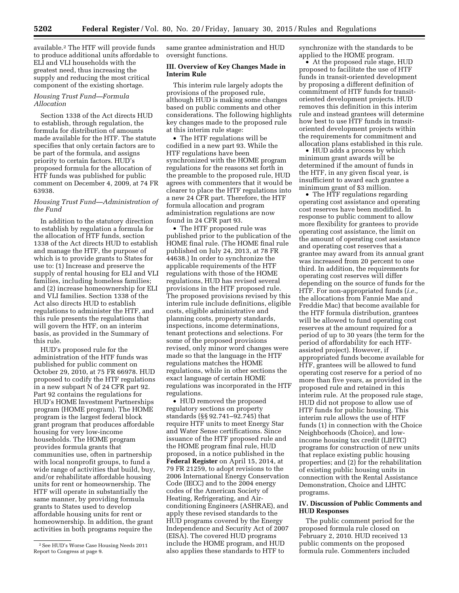available.2 The HTF will provide funds to produce additional units affordable to ELI and VLI households with the greatest need, thus increasing the supply and reducing the most critical component of the existing shortage.

## *Housing Trust Fund—Formula Allocation*

Section 1338 of the Act directs HUD to establish, through regulation, the formula for distribution of amounts made available for the HTF. The statute specifies that only certain factors are to be part of the formula, and assigns priority to certain factors. HUD's proposed formula for the allocation of HTF funds was published for public comment on December 4, 2009, at 74 FR 63938.

## *Housing Trust Fund—Administration of the Fund*

In addition to the statutory direction to establish by regulation a formula for the allocation of HTF funds, section 1338 of the Act directs HUD to establish and manage the HTF, the purpose of which is to provide grants to States for use to: (1) Increase and preserve the supply of rental housing for ELI and VLI families, including homeless families; and (2) increase homeownership for ELI and VLI families. Section 1338 of the Act also directs HUD to establish regulations to administer the HTF, and this rule presents the regulations that will govern the HTF, on an interim basis, as provided in the Summary of this rule.

HUD's proposed rule for the administration of the HTF funds was published for public comment on October 29, 2010, at 75 FR 66978. HUD proposed to codify the HTF regulations in a new subpart N of 24 CFR part 92. Part 92 contains the regulations for HUD's HOME Investment Partnerships program (HOME program). The HOME program is the largest federal block grant program that produces affordable housing for very low-income households. The HOME program provides formula grants that communities use, often in partnership with local nonprofit groups, to fund a wide range of activities that build, buy, and/or rehabilitate affordable housing units for rent or homeownership. The HTF will operate in substantially the same manner, by providing formula grants to States used to develop affordable housing units for rent or homeownership. In addition, the grant activities in both programs require the

same grantee administration and HUD oversight functions.

#### **III. Overview of Key Changes Made in Interim Rule**

This interim rule largely adopts the provisions of the proposed rule, although HUD is making some changes based on public comments and other considerations. The following highlights key changes made to the proposed rule at this interim rule stage:

• The HTF regulations will be codified in a new part 93. While the HTF regulations have been synchronized with the HOME program regulations for the reasons set forth in the preamble to the proposed rule, HUD agrees with commenters that it would be clearer to place the HTF regulations into a new 24 CFR part. Therefore, the HTF formula allocation and program administration regulations are now found in 24 CFR part 93.

• The HTF proposed rule was published prior to the publication of the HOME final rule. (The HOME final rule published on July 24, 2013, at 78 FR 44638.) In order to synchronize the applicable requirements of the HTF regulations with those of the HOME regulations, HUD has revised several provisions in the HTF proposed rule. The proposed provisions revised by this interim rule include definitions, eligible costs, eligible administrative and planning costs, property standards, inspections, income determinations, tenant protections and selections. For some of the proposed provisions revised, only minor word changes were made so that the language in the HTF regulations matches the HOME regulations, while in other sections the exact language of certain HOME regulations was incorporated in the HTF regulations.

• HUD removed the proposed regulatory sections on property standards (§§ 92.741–92.745) that require HTF units to meet Energy Star and Water Sense certifications. Since issuance of the HTF proposed rule and the HOME program final rule, HUD proposed, in a notice published in the **Federal Register** on April 15, 2014, at 79 FR 21259, to adopt revisions to the 2006 International Energy Conservation Code (IECC) and to the 2004 energy codes of the American Society of Heating, Refrigerating, and Airconditioning Engineers (ASHRAE), and apply these revised standards to the HUD programs covered by the Energy Independence and Security Act of 2007 (EISA). The covered HUD programs include the HOME program, and HUD also applies these standards to HTF to

synchronize with the standards to be applied to the HOME program.

• At the proposed rule stage, HUD proposed to facilitate the use of HTF funds in transit-oriented development by proposing a different definition of commitment of HTF funds for transitoriented development projects. HUD removes this definition in this interim rule and instead grantees will determine how best to use HTF funds in transitoriented development projects within the requirements for commitment and allocation plans established in this rule.

• HUD adds a process by which minimum grant awards will be determined if the amount of funds in the HTF, in any given fiscal year, is insufficient to award each grantee a minimum grant of \$3 million.

• The HTF regulations regarding operating cost assistance and operating cost reserves have been modified. In response to public comment to allow more flexibility for grantees to provide operating cost assistance, the limit on the amount of operating cost assistance and operating cost reserves that a grantee may award from its annual grant was increased from 20 percent to one third. In addition, the requirements for operating cost reserves will differ depending on the source of funds for the HTF. For non-appropriated funds (*i.e.,*  the allocations from Fannie Mae and Freddie Mac) that become available for the HTF formula distribution, grantees will be allowed to fund operating cost reserves at the amount required for a period of up to 30 years (the term for the period of affordability for each HTFassisted project). However, if appropriated funds become available for HTF, grantees will be allowed to fund operating cost reserve for a period of no more than five years, as provided in the proposed rule and retained in this interim rule. At the proposed rule stage, HUD did not propose to allow use of HTF funds for public housing. This interim rule allows the use of HTF funds (1) in connection with the Choice Neighborhoods (Choice), and lowincome housing tax credit (LIHTC) programs for construction of new units that replace existing public housing properties; and (2) for the rehabilitation of existing public housing units in connection with the Rental Assistance Demonstration, Choice and LIHTC programs.

#### **IV. Discussion of Public Comments and HUD Responses**

The public comment period for the proposed formula rule closed on February 2, 2010. HUD received 13 public comments on the proposed formula rule. Commenters included

<sup>2</sup>See HUD's Worse Case Housing Needs 2011 Report to Congress at page 9.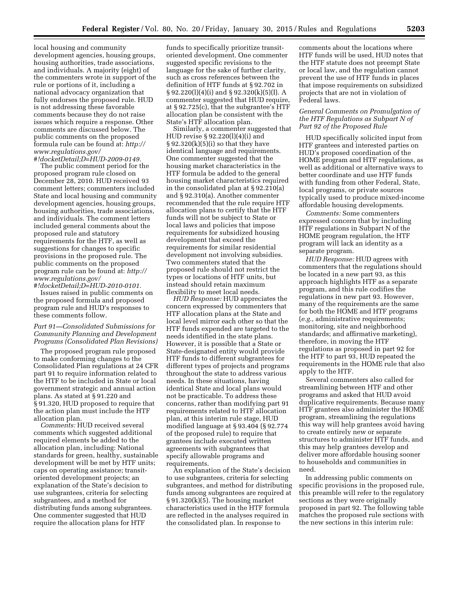local housing and community development agencies, housing groups, housing authorities, trade associations, and individuals. A majority (eight) of the commenters wrote in support of the rule or portions of it, including a national advocacy organization that fully endorses the proposed rule. HUD is not addressing these favorable comments because they do not raise issues which require a response. Other comments are discussed below. The public comments on the proposed formula rule can be found at: *[http://](http://www.regulations.gov/#!docketDetail;D=HUD-2009-0149) [www.regulations.gov/](http://www.regulations.gov/#!docketDetail;D=HUD-2009-0149) [#!docketDetail;D=HUD-2009-0149.](http://www.regulations.gov/#!docketDetail;D=HUD-2009-0149)* 

The public comment period for the proposed program rule closed on December 28, 2010. HUD received 93 comment letters; commenters included State and local housing and community development agencies, housing groups, housing authorities, trade associations, and individuals. The comment letters included general comments about the proposed rule and statutory requirements for the HTF, as well as suggestions for changes to specific provisions in the proposed rule. The public comments on the proposed program rule can be found at: *[http://](http://www.regulations.gov/#!docketDetail;D=HUD-2010-0101) [www.regulations.gov/](http://www.regulations.gov/#!docketDetail;D=HUD-2010-0101)*

*[#!docketDetail;D=HUD-2010-0101.](http://www.regulations.gov/#!docketDetail;D=HUD-2010-0101)*  Issues raised in public comments on the proposed formula and proposed program rule and HUD's responses to these comments follow.

## *Part 91—Consolidated Submissions for Community Planning and Development Programs (Consolidated Plan Revisions)*

The proposed program rule proposed to make conforming changes to the Consolidated Plan regulations at 24 CFR part 91 to require information related to the HTF to be included in State or local government strategic and annual action plans. As stated at § 91.220 and § 91.320, HUD proposed to require that the action plan must include the HTF allocation plan.

*Comments:* HUD received several comments which suggested additional required elements be added to the allocation plan, including: National standards for green, healthy, sustainable development will be met by HTF units; caps on operating assistance; transitoriented development projects; an explanation of the State's decision to use subgrantees, criteria for selecting subgrantees, and a method for distributing funds among subgrantees. One commenter suggested that HUD require the allocation plans for HTF

funds to specifically prioritize transitoriented development. One commenter suggested specific revisions to the language for the sake of further clarity, such as cross references between the definition of HTF funds at § 92.702 in § 92.220(l)(4)(i) and § 92.320(k)(5)(I). A commenter suggested that HUD require, at § 92.725(c), that the subgrantee's HTF allocation plan be consistent with the State's HTF allocation plan.

Similarly, a commenter suggested that HUD revise § 92.220(l)(4)(i) and  $§ 92.320(k)(5)(i)$  so that they have identical language and requirements. One commenter suggested that the housing market characteristics in the HTF formula be added to the general housing market characteristics required in the consolidated plan at § 92.210(a) and § 92.310(a). Another commenter recommended that the rule require HTF allocation plans to certify that the HTF funds will not be subject to State or local laws and policies that impose requirements for subsidized housing development that exceed the requirements for similar residential development not involving subsidies. Two commenters stated that the proposed rule should not restrict the types or locations of HTF units, but instead should retain maximum flexibility to meet local needs.

*HUD Response:* HUD appreciates the concern expressed by commenters that HTF allocation plans at the State and local level mirror each other so that the HTF funds expended are targeted to the needs identified in the state plans. However, it is possible that a State or State-designated entity would provide HTF funds to different subgrantees for different types of projects and programs throughout the state to address various needs. In these situations, having identical State and local plans would not be practicable. To address these concerns, rather than modifying part 91 requirements related to HTF allocation plan, at this interim rule stage, HUD modified language at § 93.404 (§ 92.774 of the proposed rule) to require that grantees include executed written agreements with subgrantees that specify allowable programs and requirements.

An explanation of the State's decision to use subgrantees, criteria for selecting subgrantees, and method for distributing funds among subgrantees are required at § 91.320(k)(5). The housing market characteristics used in the HTF formula are reflected in the analyses required in the consolidated plan. In response to

comments about the locations where HTF funds will be used, HUD notes that the HTF statute does not preempt State or local law, and the regulation cannot prevent the use of HTF funds in places that impose requirements on subsidized projects that are not in violation of Federal laws.

#### *General Comments on Promulgation of the HTF Regulations as Subpart N of Part 92 of the Proposed Rule*

HUD specifically solicited input from HTF grantees and interested parties on HUD's proposed coordination of the HOME program and HTF regulations, as well as additional or alternative ways to better coordinate and use HTF funds with funding from other Federal, State, local programs, or private sources typically used to produce mixed-income affordable housing developments.

*Comments:* Some commenters expressed concern that by including HTF regulations in Subpart N of the HOME program regulation, the HTF program will lack an identity as a separate program.

*HUD Response:* HUD agrees with commenters that the regulations should be located in a new part 93, as this approach highlights HTF as a separate program, and this rule codifies the regulations in new part 93. However, many of the requirements are the same for both the HOME and HTF programs (*e.g.,* administrative requirements; monitoring, site and neighborhood standards; and affirmative marketing), therefore, in moving the HTF regulations as proposed in part 92 for the HTF to part 93, HUD repeated the requirements in the HOME rule that also apply to the HTF.

Several commenters also called for streamlining between HTF and other programs and asked that HUD avoid duplicative requirements. Because many HTF grantees also administer the HOME program, streamlining the regulations this way will help grantees avoid having to create entirely new or separate structures to administer HTF funds, and this may help grantees develop and deliver more affordable housing sooner to households and communities in need.

In addressing public comments on specific provisions in the proposed rule, this preamble will refer to the regulatory sections as they were originally proposed in part 92. The following table matches the proposed rule sections with the new sections in this interim rule: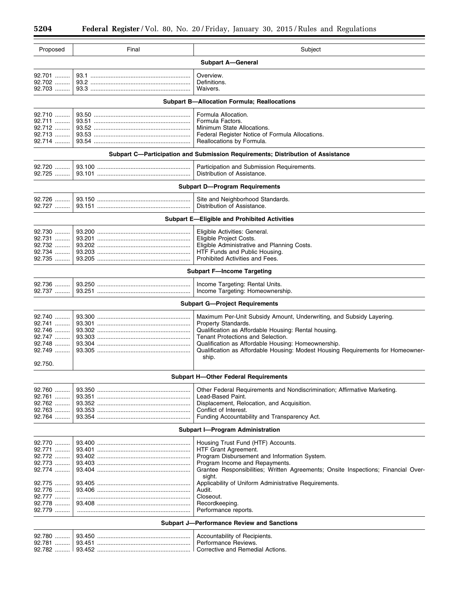$\equiv$ 

Ξ

| Proposed                                                                        | Final | Subject                                                                                  |  |  |
|---------------------------------------------------------------------------------|-------|------------------------------------------------------------------------------------------|--|--|
| <b>Subpart A-General</b>                                                        |       |                                                                                          |  |  |
| 92.701                                                                          |       | Overview.                                                                                |  |  |
| 92.702                                                                          |       | Definitions.                                                                             |  |  |
| 92.703                                                                          |       | Waivers.                                                                                 |  |  |
| <b>Subpart B-Allocation Formula; Reallocations</b>                              |       |                                                                                          |  |  |
| 92.710                                                                          |       | Formula Allocation.                                                                      |  |  |
| 92.711                                                                          |       | Formula Factors.                                                                         |  |  |
| 92.712<br>$92.713$                                                              |       | Minimum State Allocations.                                                               |  |  |
| 92.714                                                                          |       | Federal Register Notice of Formula Allocations.<br>Reallocations by Formula.             |  |  |
| Subpart C-Participation and Submission Requirements; Distribution of Assistance |       |                                                                                          |  |  |
| 92.720                                                                          |       | Participation and Submission Requirements.                                               |  |  |
| 92.725                                                                          |       | Distribution of Assistance.                                                              |  |  |
| <b>Subpart D-Program Requirements</b>                                           |       |                                                                                          |  |  |
| 92.726                                                                          |       | Site and Neighborhood Standards.                                                         |  |  |
| 92.727                                                                          |       | Distribution of Assistance.                                                              |  |  |
| <b>Subpart E-Eligible and Prohibited Activities</b>                             |       |                                                                                          |  |  |
| 92.730                                                                          |       | Eligible Activities: General.                                                            |  |  |
| 92.731                                                                          |       | Eligible Project Costs.                                                                  |  |  |
| 92.732                                                                          |       | Eligible Administrative and Planning Costs.                                              |  |  |
| 92.734                                                                          |       | HTF Funds and Public Housing.                                                            |  |  |
| 92.735                                                                          |       | Prohibited Activities and Fees.                                                          |  |  |
| <b>Subpart F-Income Targeting</b>                                               |       |                                                                                          |  |  |
| 92.736<br>92.737                                                                |       | Income Targeting: Rental Units.<br>Income Targeting: Homeownership.                      |  |  |
|                                                                                 |       | <b>Subpart G-Project Requirements</b>                                                    |  |  |
| 92.740                                                                          |       | Maximum Per-Unit Subsidy Amount, Underwriting, and Subsidy Layering.                     |  |  |
| 92.741                                                                          |       | Property Standards.                                                                      |  |  |
| 92.746                                                                          |       | Qualification as Affordable Housing: Rental housing.                                     |  |  |
| 92.747                                                                          |       | Tenant Protections and Selection.                                                        |  |  |
| 92.748                                                                          |       | Qualification as Affordable Housing: Homeownership.                                      |  |  |
| 92.749                                                                          |       | Qualification as Affordable Housing: Modest Housing Requirements for Homeowner-<br>ship. |  |  |
| 92.750.                                                                         |       |                                                                                          |  |  |
| <b>Subpart H-Other Federal Requirements</b>                                     |       |                                                                                          |  |  |
| 92.760                                                                          |       | Other Federal Requirements and Nondiscrimination; Affirmative Marketing.                 |  |  |
| 92.761                                                                          |       | Lead-Based Paint.                                                                        |  |  |
| 92.762                                                                          |       | Displacement, Relocation, and Acquisition.                                               |  |  |
| 92.763                                                                          |       | Conflict of Interest.                                                                    |  |  |
| 92.764                                                                          |       | Funding Accountability and Transparency Act.                                             |  |  |
| <b>Subpart I-Program Administration</b>                                         |       |                                                                                          |  |  |
| 92.770                                                                          |       | Housing Trust Fund (HTF) Accounts.                                                       |  |  |
| 92.771                                                                          |       | HTF Grant Agreement.                                                                     |  |  |
| 92.772                                                                          |       | Program Disbursement and Information System.                                             |  |  |
| 92.773                                                                          |       | Program Income and Repayments.                                                           |  |  |
| 92.774                                                                          |       | Grantee Responsibilities; Written Agreements; Onsite Inspections; Financial Over-        |  |  |
| 92.775                                                                          |       | sight.<br>Applicability of Uniform Administrative Requirements.                          |  |  |
| 92.776                                                                          |       | Audit.                                                                                   |  |  |
| 92.777                                                                          |       | Closeout.                                                                                |  |  |
| 92.778                                                                          |       | Recordkeeping.                                                                           |  |  |
| 92.779                                                                          |       | Performance reports.                                                                     |  |  |
| <b>Subpart J-Performance Review and Sanctions</b>                               |       |                                                                                          |  |  |
| 92.780                                                                          |       | Accountability of Recipients.                                                            |  |  |
| 92.781                                                                          |       | Performance Reviews.                                                                     |  |  |
|                                                                                 |       | Corrective and Remedial Actions.                                                         |  |  |
|                                                                                 |       |                                                                                          |  |  |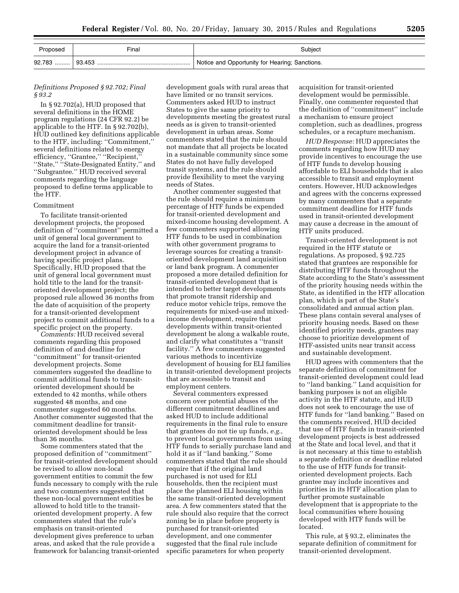| Proposed | Final | Subject                                        |
|----------|-------|------------------------------------------------|
| 92.783   |       | Notice and Opportunity for Hearing; Sanctions. |

## *Definitions Proposed § 92.702; Final § 93.2*

In § 92.702(a), HUD proposed that several definitions in the HOME program regulations (24 CFR 92.2) be applicable to the HTF. In § 92.702(b), HUD outlined key definitions applicable to the HTF, including: ''Commitment,'' several definitions related to energy efficiency, "Grantee," "Recipient," "State," "State-Designated Entity," and ''Subgrantee.'' HUD received several comments regarding the language proposed to define terms applicable to the HTF.

#### Commitment

To facilitate transit-oriented development projects, the proposed definition of ''commitment'' permitted a unit of general local government to acquire the land for a transit-oriented development project in advance of having specific project plans. Specifically, HUD proposed that the unit of general local government must hold title to the land for the transitoriented development project; the proposed rule allowed 36 months from the date of acquisition of the property for a transit-oriented development project to commit additional funds to a specific project on the property.

*Comments:* HUD received several comments regarding this proposed definition of and deadline for ''commitment'' for transit-oriented development projects. Some commenters suggested the deadline to commit additional funds to transitoriented development should be extended to 42 months, while others suggested 48 months, and one commenter suggested 60 months. Another commenter suggested that the commitment deadline for transitoriented development should be less than 36 months.

Some commenters stated that the proposed definition of ''commitment'' for transit-oriented development should be revised to allow non-local government entities to commit the few funds necessary to comply with the rule and two commenters suggested that these non-local government entities be allowed to hold title to the transitoriented development property. A few commenters stated that the rule's emphasis on transit-oriented development gives preference to urban areas, and asked that the rule provide a framework for balancing transit-oriented development goals with rural areas that have limited or no transit services. Commenters asked HUD to instruct States to give the same priority to developments meeting the greatest rural needs as is given to transit-oriented development in urban areas. Some commenters stated that the rule should not mandate that all projects be located in a sustainable community since some States do not have fully developed transit systems, and the rule should provide flexibility to meet the varying needs of States.

Another commenter suggested that the rule should require a minimum percentage of HTF funds be expended for transit-oriented development and mixed-income housing development. A few commenters supported allowing HTF funds to be used in combination with other government programs to leverage sources for creating a transitoriented development land acquisition or land bank program. A commenter proposed a more detailed definition for transit-oriented development that is intended to better target developments that promote transit ridership and reduce motor vehicle trips, remove the requirements for mixed-use and mixedincome development, require that developments within transit-oriented development be along a walkable route, and clarify what constitutes a ''transit facility.'' A few commenters suggested various methods to incentivize development of housing for ELI families in transit-oriented development projects that are accessible to transit and employment centers.

Several commenters expressed concern over potential abuses of the different commitment deadlines and asked HUD to include additional requirements in the final rule to ensure that grantees do not tie up funds, *e.g.,*  to prevent local governments from using HTF funds to serially purchase land and hold it as if ''land banking.'' Some commenters stated that the rule should require that if the original land purchased is not used for ELI households, then the recipient must place the planned ELI housing within the same transit-oriented development area. A few commenters stated that the rule should also require that the correct zoning be in place before property is purchased for transit-oriented development, and one commenter suggested that the final rule include specific parameters for when property

acquisition for transit-oriented development would be permissible. Finally, one commenter requested that the definition of ''commitment'' include a mechanism to ensure project completion, such as deadlines, progress schedules, or a recapture mechanism.

*HUD Response:* HUD appreciates the comments regarding how HUD may provide incentives to encourage the use of HTF funds to develop housing affordable to ELI households that is also accessible to transit and employment centers. However, HUD acknowledges and agrees with the concerns expressed by many commenters that a separate commitment deadline for HTF funds used in transit-oriented development may cause a decrease in the amount of HTF units produced.

Transit-oriented development is not required in the HTF statute or regulations. As proposed, § 92.725 stated that grantees are responsible for distributing HTF funds throughout the State according to the State's assessment of the priority housing needs within the State, as identified in the HTF allocation plan, which is part of the State's consolidated and annual action plan. These plans contain several analyses of priority housing needs. Based on these identified priority needs, grantees may choose to prioritize development of HTF-assisted units near transit access and sustainable development.

HUD agrees with commenters that the separate definition of commitment for transit-oriented development could lead to ''land banking.'' Land acquisition for banking purposes is not an eligible activity in the HTF statute, and HUD does not seek to encourage the use of HTF funds for ''land banking.'' Based on the comments received, HUD decided that use of HTF funds in transit-oriented development projects is best addressed at the State and local level, and that it is not necessary at this time to establish a separate definition or deadline related to the use of HTF funds for transitoriented development projects. Each grantee may include incentives and priorities in its HTF allocation plan to further promote sustainable development that is appropriate to the local communities where housing developed with HTF funds will be located.

This rule, at § 93.2, eliminates the separate definition of commitment for transit-oriented development.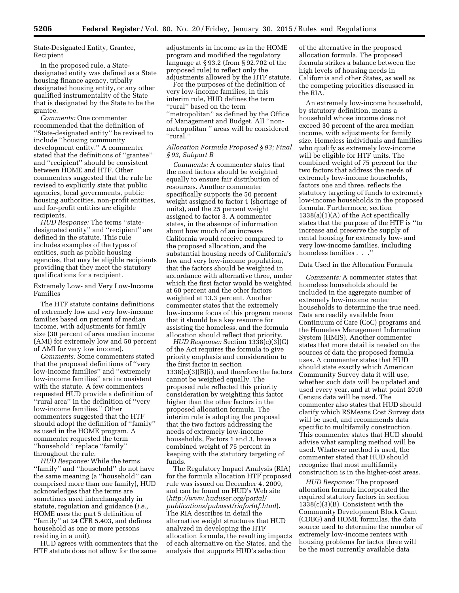State-Designated Entity, Grantee, Recipient

In the proposed rule, a Statedesignated entity was defined as a State housing finance agency, tribally designated housing entity, or any other qualified instrumentality of the State that is designated by the State to be the grantee.

*Comments:* One commenter recommended that the definition of ''State-designated entity'' be revised to include ''housing community development entity.'' A commenter stated that the definitions of ''grantee'' and ''recipient'' should be consistent between HOME and HTF. Other commenters suggested that the rule be revised to explicitly state that public agencies, local governments, public housing authorities, non-profit entities, and for-profit entities are eligible recipients.

*HUD Response:* The terms ''statedesignated entity'' and ''recipient'' are defined in the statute. This rule includes examples of the types of entities, such as public housing agencies, that may be eligible recipients providing that they meet the statutory qualifications for a recipient.

Extremely Low- and Very Low-Income Families

The HTF statute contains definitions of extremely low and very low-income families based on percent of median income, with adjustments for family size (30 percent of area median income (AMI) for extremely low and 50 percent of AMI for very low income).

*Comments:* Some commenters stated that the proposed definitions of ''very low-income families'' and ''extremely low-income families'' are inconsistent with the statute. A few commenters requested HUD provide a definition of ''rural area'' in the definition of ''very low-income families.'' Other commenters suggested that the HTF should adopt the definition of ''family'' as used in the HOME program. A commenter requested the term ''household'' replace ''family'' throughout the rule.

*HUD Response:* While the terms ''family'' and ''household'' do not have the same meaning (a ''household'' can comprised more than one family), HUD acknowledges that the terms are sometimes used interchangeably in statute, regulation and guidance (*i.e.,*  HOME uses the part 5 definition of ''family'' at 24 CFR 5.403, and defines household as one or more persons residing in a unit).

HUD agrees with commenters that the HTF statute does not allow for the same

adjustments in income as in the HOME program and modified the regulatory language at § 93.2 (from § 92.702 of the proposed rule) to reflect only the adjustments allowed by the HTF statute.

For the purposes of the definition of very low-income families, in this interim rule, HUD defines the term ''rural'' based on the term ''metropolitan'' as defined by the Office of Management and Budget. All ''nonmetropolitan '' areas will be considered ''rural.''

## *Allocation Formula Proposed § 93; Final § 93, Subpart B*

*Comments:* A commenter states that the need factors should be weighted equally to ensure fair distribution of resources. Another commenter specifically supports the 50 percent weight assigned to factor 1 (shortage of units), and the 25 percent weight assigned to factor 3. A commenter states, in the absence of information about how much of an increase California would receive compared to the proposed allocation, and the substantial housing needs of California's low and very low-income population, that the factors should be weighted in accordance with alternative three, under which the first factor would be weighted at 60 percent and the other factors weighted at 13.3 percent. Another commenter states that the extremely low-income focus of this program means that it should be a key resource for assisting the homeless, and the formula allocation should reflect that priority.

*HUD Response:* Section 1338(c)(3)(C) of the Act requires the formula to give priority emphasis and consideration to the first factor in section 1338(c)(3)(B)(i), and therefore the factors cannot be weighed equally. The proposed rule reflected this priority consideration by weighting this factor higher than the other factors in the proposed allocation formula. The interim rule is adopting the proposal that the two factors addressing the needs of extremely low-income households, Factors 1 and 3, have a combined weight of 75 percent in keeping with the statutory targeting of funds.

The Regulatory Impact Analysis (RIA) for the formula allocation HTF proposed rule was issued on December 4, 2009, and can be found on HUD's Web site (*[http://www.huduser.org/portal/](http://www.huduser.org/portal/publications/pubasst/riaforhtf.html) [publications/pubasst/riaforhtf.html](http://www.huduser.org/portal/publications/pubasst/riaforhtf.html)*). The RIA describes in detail the alternative weight structures that HUD analyzed in developing the HTF allocation formula, the resulting impacts of each alternative on the States, and the analysis that supports HUD's selection

of the alternative in the proposed allocation formula. The proposed formula strikes a balance between the high levels of housing needs in California and other States, as well as the competing priorities discussed in the RIA.

An extremely low-income household, by statutory definition, means a household whose income does not exceed 30 percent of the area median income, with adjustments for family size. Homeless individuals and families who qualify as extremely low-income will be eligible for HTF units. The combined weight of 75 percent for the two factors that address the needs of extremely low-income households, factors one and three, reflects the statutory targeting of funds to extremely low-income households in the proposed formula. Furthermore, section 1338(a)(1)(A) of the Act specifically states that the purpose of the HTF is ''to increase and preserve the supply of rental housing for extremely low- and very low-income families, including homeless families . . .''

#### Data Used in the Allocation Formula

*Comments:* A commenter states that homeless households should be included in the aggregate number of extremely low-income renter households to determine the true need. Data are readily available from Continuum of Care (CoC) programs and the Homeless Management Information System (HMIS). Another commenter states that more detail is needed on the sources of data the proposed formula uses. A commenter states that HUD should state exactly which American Community Survey data it will use, whether such data will be updated and used every year, and at what point 2010 Census data will be used. The commenter also states that HUD should clarify which RSMeans Cost Survey data will be used, and recommends data specific to multifamily construction. This commenter states that HUD should advise what sampling method will be used. Whatever method is used, the commenter stated that HUD should recognize that most multifamily construction is in the higher-cost areas.

*HUD Response:* The proposed allocation formula incorporated the required statutory factors in section 1338(c)(3)(B). Consistent with the Community Development Block Grant (CDBG) and HOME formulas, the data source used to determine the number of extremely low-income renters with housing problems for factor three will be the most currently available data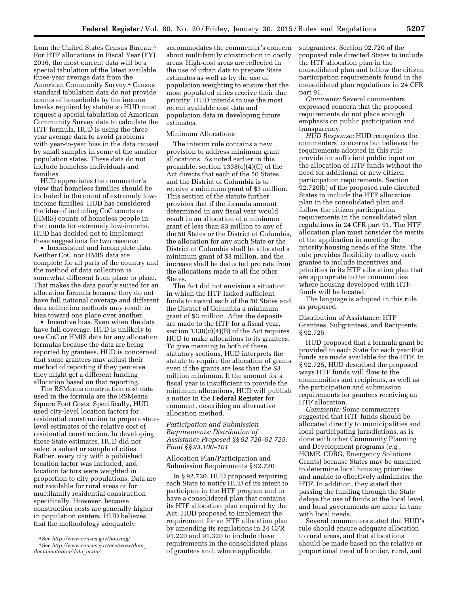from the United States Census Bureau.3 For HTF allocations in Fiscal Year (FY) 2016, the most current data will be a special tabulation of the latest available three-year average data from the American Community Survey.4 Census standard tabulation data do not provide counts of households by the income breaks required by statute so HUD must request a special tabulation of American Community Survey data to calculate the HTF formula. HUD is using the threeyear average data to avoid problems with year-to-year bias in the data caused by small samples in some of the smaller population states. These data do not include homeless individuals and families.

HUD appreciates the commenter's view that homeless families should be included in the count of extremely lowincome families. HUD has considered the idea of including CoC counts or (HMIS) counts of homeless people in the counts for extremely low-income. HUD has decided not to implement these suggestions for two reasons:

• Inconsistent and incomplete data. Neither CoC nor HMIS data are complete for all parts of the country and the method of data collection is somewhat different from place to place. That makes the data poorly suited for an allocation formula because they do not have full national coverage and different data collection methods may result in bias toward one place over another.

• Incentive bias. Even when the data have full coverage, HUD is unlikely to use CoC or HMIS data for any allocation formulas because the data are being reported by grantees. HUD is concerned that some grantees may adjust their method of reporting if they perceive they might get a different funding allocation based on that reporting.

The RSMeans construction cost data used in the formula are the RSMeans Square Foot Costs. Specifically, HUD used city-level location factors for residential construction to prepare statelevel estimates of the relative cost of residential construction. In developing these State estimates, HUD did not select a subset or sample of cities. Rather, every city with a published location factor was included, and location factors were weighted in proportion to city populations. Data are not available for rural areas or for multifamily residential construction specifically. However, because construction costs are generally higher in population centers, HUD believes that the methodology adequately

accommodates the commenter's concern about multifamily construction in costly areas. High-cost areas are reflected in the use of urban data to prepare State estimates as well as by the use of population weighting to ensure that the most populated cities receive their due priority. HUD intends to use the most recent available cost data and population data in developing future estimates.

#### Minimum Allocations

The interim rule contains a new provision to address minimum grant allocations. As noted earlier in this preamble, section 1338(c)(4)(C) of the Act directs that each of the 50 States and the District of Columbia is to receive a minimum grant of \$3 million. This section of the statute further provides that if the formula amount determined in any fiscal year would result in an allocation of a minimum grant of less than \$3 million to any of the 50 States or the District of Columbia, the allocation for any such State or the District of Columbia shall be allocated a minimum grant of \$3 million, and the increase shall be deducted pro rata from the allocations made to all the other States.

The Act did not envision a situation in which the HTF lacked sufficient funds to award each of the 50 States and the District of Columbia a minimum grant of \$3 million. After the deposits are made to the HTF for a fiscal year, section 1338(c)(4)(B) of the Act requires HUD to make allocations to its grantees. To give meaning to both of these statutory sections, HUD interprets the statute to require the allocation of grants even if the grants are less than the \$3 million minimum. If the amount for a fiscal year is insufficient to provide the minimum allocations, HUD will publish a notice in the **Federal Register** for comment, describing an alternative allocation method.

## *Participation and Submission Requirements; Distribution of Assistance Proposed §§ 92.720–92.725; Final §§ 93.100–101*

Allocation Plan/Participation and Submission Requirements § 92.720

In § 92.720, HUD proposed requiring each State to notify HUD of its intent to participate in the HTF program and to have a consolidated plan that contains its HTF allocation plan required by the Act. HUD proposed to implement the requirement for an HTF allocation plan by amending its regulations in 24 CFR 91.220 and 91.320 to include these requirements in the consolidated plans of grantees and, where applicable,

subgrantees. Section 92.720 of the proposed rule directed States to include the HTF allocation plan in the consolidated plan and follow the citizen participation requirements found in the consolidated plan regulations in 24 CFR part 91.

*Comments:* Several commenters expressed concern that the proposed requirements do not place enough emphasis on public participation and transparency.

*HUD Response:* HUD recognizes the commenters' concerns but believes the requirements adopted in this rule provide for sufficient public input on the allocation of HTF funds without the need for additional or new citizen participation requirements. Section 92.720(b) of the proposed rule directed States to include the HTF allocation plan in the consolidated plan and follow the citizen participation requirements in the consolidated plan regulations in 24 CFR part 91. The HTF allocation plan must consider the merits of the application in meeting the priority housing needs of the State. The rule provides flexibility to allow each grantee to include incentives and priorities in its HTF allocation plan that are appropriate to the communities where housing developed with HTF funds will be located.

The language is adopted in this rule as proposed.

Distribution of Assistance: HTF Grantees, Subgrantees, and Recipients § 92.725

HUD proposed that a formula grant be provided to each State for each year that funds are made available for the HTF. In § 92.725, HUD described the proposed ways HTF funds will flow to the communities and recipients, as well as the participation and submission requirements for grantees receiving an HTF allocation.

*Comments:* Some commenters suggested that HTF funds should be allocated directly to municipalities and local participating jurisdictions, as is done with other Community Planning and Development programs (*e.g.,*  HOME, CDBG, Emergency Solutions Grants) because States may be unsuited to determine local housing priorities and unable to effectively administer the HTF. In addition, they stated that passing the funding through the State delays the use of funds at the local level, and local governments are more in tune with local needs.

Several commenters stated that HUD's rule should ensure adequate allocation to rural areas, and that allocations should be made based on the relative or proportional need of frontier, rural, and

<sup>3</sup>See *[http://www.census.gov/housing/.](http://www.census.gov/housing/)*  4See *[http://www.census.gov/acs/www/data](http://www.census.gov/acs/www/data_documentation/data_main/)*\_ *[documentation/data](http://www.census.gov/acs/www/data_documentation/data_main/)*\_*main/.*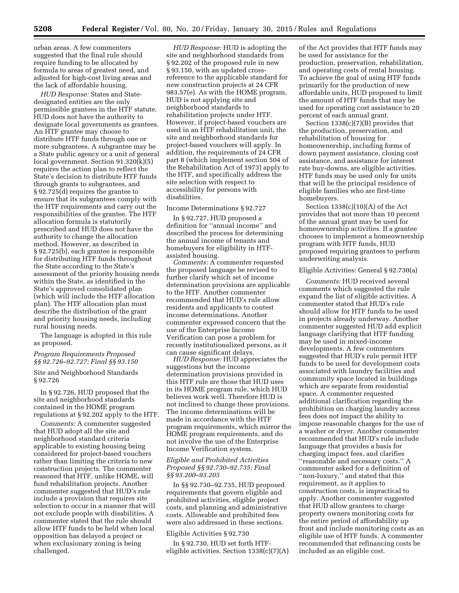urban areas. A few commenters suggested that the final rule should require funding to be allocated by formula to areas of greatest need, and adjusted for high-cost living areas and the lack of affordable housing.

*HUD Response:* States and Statedesignated entities are the only permissible grantees in the HTF statute. HUD does not have the authority to designate local governments as grantees. An HTF grantee may choose to distribute HTF funds through one or more subgrantees. A subgrantee may be a State public agency or a unit of general local government. Section 91.320(k)(5) requires the action plan to reflect the State's decision to distribute HTF funds through grants to subgrantees, and § 92.725(d) requires the grantee to ensure that its subgrantees comply with the HTF requirements and carry out the responsibilities of the grantee. The HTF allocation formula is statutorily prescribed and HUD does not have the authority to change the allocation method. However, as described in § 92.725(b), each grantee is responsible for distributing HTF funds throughout the State according to the State's assessment of the priority housing needs within the State, as identified in the State's approved consolidated plan (which will include the HTF allocation plan). The HTF allocation plan must describe the distribution of the grant and priority housing needs, including rural housing needs.

The language is adopted in this rule as proposed.

#### *Program Requirements Proposed §§ 92.726–92.727; Final §§ 93.150*

Site and Neighborhood Standards § 92.726

In § 92.726, HUD proposed that the site and neighborhood standards contained in the HOME program regulations at § 92.202 apply to the HTF.

*Comments:* A commenter suggested that HUD adopt all the site and neighborhood standard criteria applicable to existing housing being considered for project-based vouchers rather than limiting the criteria to new construction projects. The commenter reasoned that HTF, unlike HOME, will fund rehabilitation projects. Another commenter suggested that HUD's rule include a provision that requires site selection to occur in a manner that will not exclude people with disabilities. A commenter stated that the rule should allow HTF funds to be held when local opposition has delayed a project or when exclusionary zoning is being challenged.

*HUD Response:* HUD is adopting the site and neighborhood standards from § 92.202 of the proposed rule in new § 93.150, with an updated crossreference to the applicable standard for new construction projects at 24 CFR 983.57(e). As with the HOME program, HUD is not applying site and neighborhood standards to rehabilitation projects under HTF. However, if project-based vouchers are used in an HTF rehabilitation unit, the site and neighborhood standards for project-based vouchers will apply. In addition, the requirements of 24 CFR part 8 (which implement section 504 of the Rehabilitation Act of 1973) apply to the HTF, and specifically address the site selection with respect to accessibility for persons with disabilities.

## Income Determinations § 92.727

In § 92.727, HUD proposed a definition for ''annual income'' and described the process for determining the annual income of tenants and homebuyers for eligibility in HTFassisted housing.

*Comments:* A commenter requested the proposed language be revised to further clarify which set of income determination provisions are applicable to the HTF. Another commenter recommended that HUD's rule allow residents and applicants to contest income determinations. Another commenter expressed concern that the use of the Enterprise Income Verification can pose a problem for recently institutionalized persons, as it can cause significant delays.

*HUD Response:* HUD appreciates the suggestions but the income determination provisions provided in this HTF rule are those that HUD uses in its HOME program rule, which HUD believes work well. Therefore HUD is not inclined to change these provisions. The income determinations will be made in accordance with the HTF program requirements, which mirror the HOME program requirements, and do not involve the use of the Enterprise Income Verification system.

#### *Eligible and Prohibited Activities Proposed §§ 92.730–92.735; Final §§ 93.200–93.205*

In §§ 92.730–92.735, HUD proposed requirements that govern eligible and prohibited activities, eligible project costs, and planning and administrative costs. Allowable and prohibited fees were also addressed in these sections.

## Eligible Activities § 92.730

In § 92.730, HUD set forth HTFeligible activities. Section 1338(c)(7)(A)

of the Act provides that HTF funds may be used for assistance for the production, preservation, rehabilitation, and operating costs of rental housing. To achieve the goal of using HTF funds primarily for the production of new affordable units, HUD proposed to limit the amount of HTF funds that may be used for operating cost assistance to 20 percent of each annual grant.

Section 1338(c)(7)(B) provides that the production, preservation, and rehabilitation of housing for homeownership, including forms of down payment assistance, closing cost assistance, and assistance for interest rate buy-downs, are eligible activities. HTF funds may be used only for units that will be the principal residence of eligible families who are first-time homebuyers.

Section  $1338(c)(10)(A)$  of the Act provides that not more than 10 percent of the annual grant may be used for homeownership activities. If a grantee chooses to implement a homeownership program with HTF funds, HUD proposed requiring grantees to perform underwriting analysis.

## Eligible Activities: General § 92.730(a)

*Comments:* HUD received several comments which suggested the rule expand the list of eligible activities. A commenter stated that HUD's rule should allow for HTF funds to be used in projects already underway. Another commenter suggested HUD add explicit language clarifying that HTF funding may be used in mixed-income developments. A few commenters suggested that HUD's rule permit HTF funds to be used for development costs associated with laundry facilities and community space located in buildings which are separate from residential space. A commenter requested additional clarification regarding the prohibition on charging laundry access fees does not impact the ability to impose reasonable charges for the use of a washer or dryer. Another commenter recommended that HUD's rule include language that provides a basis for charging impact fees, and clarifies ''reasonable and necessary costs.'' A commenter asked for a definition of ''non-luxury,'' and stated that this requirement, as it applies to construction costs, is impractical to apply. Another commenter suggested that HUD allow grantees to charge property owners monitoring costs for the entire period of affordability up front and include monitoring costs as an eligible use of HTF funds. A commenter recommended that refinancing costs be included as an eligible cost.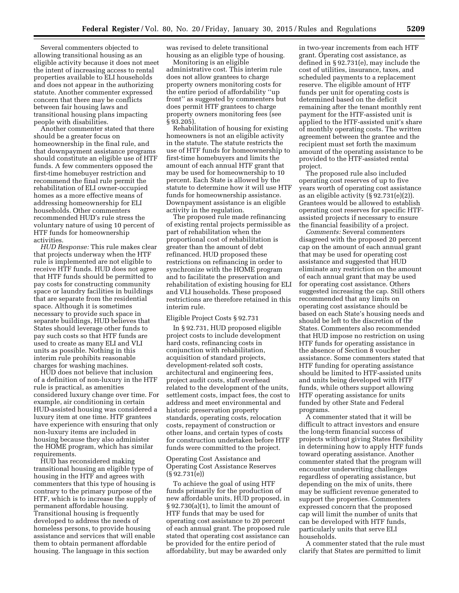Several commenters objected to allowing transitional housing as an eligible activity because it does not meet the intent of increasing access to rental properties available to ELI households and does not appear in the authorizing statute. Another commenter expressed concern that there may be conflicts between fair housing laws and transitional housing plans impacting people with disabilities.

Another commenter stated that there should be a greater focus on homeownership in the final rule, and that downpayment assistance programs should constitute an eligible use of HTF funds. A few commenters opposed the first-time homebuyer restriction and recommend the final rule permit the rehabilitation of ELI owner-occupied homes as a more effective means of addressing homeownership for ELI households. Other commenters recommended HUD's rule stress the voluntary nature of using 10 percent of HTF funds for homeownership activities.

*HUD Response:* This rule makes clear that projects underway when the HTF rule is implemented are not eligible to receive HTF funds. HUD does not agree that HTF funds should be permitted to pay costs for constructing community space or laundry facilities in buildings that are separate from the residential space. Although it is sometimes necessary to provide such space in separate buildings, HUD believes that States should leverage other funds to pay such costs so that HTF funds are used to create as many ELI and VLI units as possible. Nothing in this interim rule prohibits reasonable charges for washing machines.

HUD does not believe that inclusion of a definition of non-luxury in the HTF rule is practical, as amenities considered luxury change over time. For example, air conditioning in certain HUD-assisted housing was considered a luxury item at one time. HTF grantees have experience with ensuring that only non-luxury items are included in housing because they also administer the HOME program, which has similar requirements.

HUD has reconsidered making transitional housing an eligible type of housing in the HTF and agrees with commenters that this type of housing is contrary to the primary purpose of the HTF, which is to increase the supply of permanent affordable housing. Transitional housing is frequently developed to address the needs of homeless persons, to provide housing assistance and services that will enable them to obtain permanent affordable housing. The language in this section

was revised to delete transitional housing as an eligible type of housing.

Monitoring is an eligible administrative cost. This interim rule does not allow grantees to charge property owners monitoring costs for the entire period of affordability ''up front'' as suggested by commenters but does permit HTF grantees to charge property owners monitoring fees (see § 93.205).

Rehabilitation of housing for existing homeowners is not an eligible activity in the statute. The statute restricts the use of HTF funds for homeownership to first-time homebuyers and limits the amount of each annual HTF grant that may be used for homeownership to 10 percent. Each State is allowed by the statute to determine how it will use HTF funds for homeownership assistance. Downpayment assistance is an eligible activity in the regulation.

The proposed rule made refinancing of existing rental projects permissible as part of rehabilitation when the proportional cost of rehabilitation is greater than the amount of debt refinanced. HUD proposed these restrictions on refinancing in order to synchronize with the HOME program and to facilitate the preservation and rehabilitation of existing housing for ELI and VLI households. These proposed restrictions are therefore retained in this interim rule.

#### Eligible Project Costs § 92.731

In § 92.731, HUD proposed eligible project costs to include development hard costs, refinancing costs in conjunction with rehabilitation, acquisition of standard projects, development-related soft costs, architectural and engineering fees, project audit costs, staff overhead related to the development of the units, settlement costs, impact fees, the cost to address and meet environmental and historic preservation property standards, operating costs, relocation costs, repayment of construction or other loans, and certain types of costs for construction undertaken before HTF funds were committed to the project.

## Operating Cost Assistance and Operating Cost Assistance Reserves (§ 92.731(e))

To achieve the goal of using HTF funds primarily for the production of new affordable units, HUD proposed, in  $\S 92.730(a)(1)$ , to limit the amount of HTF funds that may be used for operating cost assistance to 20 percent of each annual grant. The proposed rule stated that operating cost assistance can be provided for the entire period of affordability, but may be awarded only

in two-year increments from each HTF grant. Operating cost assistance, as defined in § 92.731(e), may include the cost of utilities, insurance, taxes, and scheduled payments to a replacement reserve. The eligible amount of HTF funds per unit for operating costs is determined based on the deficit remaining after the tenant monthly rent payment for the HTF-assisted unit is applied to the HTF-assisted unit's share of monthly operating costs. The written agreement between the grantee and the recipient must set forth the maximum amount of the operating assistance to be provided to the HTF-assisted rental project.

The proposed rule also included operating cost reserves of up to five years worth of operating cost assistance as an eligible activity (§ 92.731(e)(2)). Grantees would be allowed to establish operating cost reserves for specific HTFassisted projects if necessary to ensure the financial feasibility of a project.

*Comments:* Several commenters disagreed with the proposed 20 percent cap on the amount of each annual grant that may be used for operating cost assistance and suggested that HUD eliminate any restriction on the amount of each annual grant that may be used for operating cost assistance. Others suggested increasing the cap. Still others recommended that any limits on operating cost assistance should be based on each State's housing needs and should be left to the discretion of the States. Commenters also recommended that HUD impose no restriction on using HTF funds for operating assistance in the absence of Section 8 voucher assistance. Some commenters stated that HTF funding for operating assistance should be limited to HTF-assisted units and units being developed with HTF funds, while others support allowing HTF operating assistance for units funded by other State and Federal programs.

A commenter stated that it will be difficult to attract investors and ensure the long-term financial success of projects without giving States flexibility in determining how to apply HTF funds toward operating assistance. Another commenter stated that the program will encounter underwriting challenges regardless of operating assistance, but depending on the mix of units, there may be sufficient revenue generated to support the properties. Commenters expressed concern that the proposed cap will limit the number of units that can be developed with HTF funds, particularly units that serve ELI households.

A commenter stated that the rule must clarify that States are permitted to limit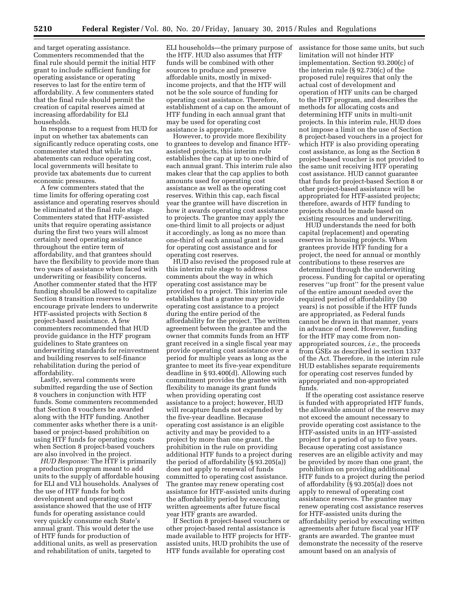and target operating assistance. Commenters recommended that the final rule should permit the initial HTF grant to include sufficient funding for operating assistance or operating reserves to last for the entire term of affordability. A few commenters stated that the final rule should permit the creation of capital reserves aimed at increasing affordability for ELI households.

In response to a request from HUD for input on whether tax abatements can significantly reduce operating costs, one commenter stated that while tax abatements can reduce operating cost, local governments will hesitate to provide tax abatements due to current economic pressures.

A few commenters stated that the time limits for offering operating cost assistance and operating reserves should be eliminated at the final rule stage. Commenters stated that HTF-assisted units that require operating assistance during the first two years will almost certainly need operating assistance throughout the entire term of affordability, and that grantees should have the flexibility to provide more than two years of assistance when faced with underwriting or feasibility concerns. Another commenter stated that the HTF funding should be allowed to capitalize Section 8 transition reserves to encourage private lenders to underwrite HTF-assisted projects with Section 8 project-based assistance. A few commenters recommended that HUD provide guidance in the HTF program guidelines to State grantees on underwriting standards for reinvestment and building reserves to self-finance rehabilitation during the period of affordability.

Lastly, several comments were submitted regarding the use of Section 8 vouchers in conjunction with HTF funds. Some commenters recommended that Section 8 vouchers be awarded along with the HTF funding. Another commenter asks whether there is a unitbased or project-based prohibition on using HTF funds for operating costs when Section 8 project-based vouchers are also involved in the project.

*HUD Response:* The HTF is primarily a production program meant to add units to the supply of affordable housing for ELI and VLI households. Analyses of the use of HTF funds for both development and operating cost assistance showed that the use of HTF funds for operating assistance could very quickly consume each State's annual grant. This would deter the use of HTF funds for production of additional units, as well as preservation and rehabilitation of units, targeted to

ELI households—the primary purpose of the HTF. HUD also assumes that HTF funds will be combined with other sources to produce and preserve affordable units, mostly in mixedincome projects, and that the HTF will not be the sole source of funding for operating cost assistance. Therefore, establishment of a cap on the amount of HTF funding in each annual grant that may be used for operating cost assistance is appropriate.

However, to provide more flexibility to grantees to develop and finance HTFassisted projects, this interim rule establishes the cap at up to one-third of each annual grant. This interim rule also makes clear that the cap applies to both amounts used for operating cost assistance as well as the operating cost reserves. Within this cap, each fiscal year the grantee will have discretion in how it awards operating cost assistance to projects. The grantee may apply the one-third limit to all projects or adjust it accordingly, as long as no more than one-third of each annual grant is used for operating cost assistance and for operating cost reserves.

HUD also revised the proposed rule at this interim rule stage to address comments about the way in which operating cost assistance may be provided to a project. This interim rule establishes that a grantee may provide operating cost assistance to a project during the entire period of the affordability for the project. The written agreement between the grantee and the owner that commits funds from an HTF grant received in a single fiscal year may provide operating cost assistance over a period for multiple years as long as the grantee to meet its five-year expenditure deadline in § 93.400(d). Allowing such commitment provides the grantee with flexibility to manage its grant funds when providing operating cost assistance to a project; however, HUD will recapture funds not expended by the five-year deadline. Because operating cost assistance is an eligible activity and may be provided to a project by more than one grant, the prohibition in the rule on providing additional HTF funds to a project during the period of affordability (§ 93.205(a)) does not apply to renewal of funds committed to operating cost assistance. The grantee may renew operating cost assistance for HTF-assisted units during the affordability period by executing written agreements after future fiscal year HTF grants are awarded.

If Section 8 project-based vouchers or other project-based rental assistance is made available to HTF projects for HTFassisted units, HUD prohibits the use of HTF funds available for operating cost

assistance for those same units, but such limitation will not hinder HTF implementation. Section 93.200(c) of the interim rule (§ 92.730(c) of the proposed rule) requires that only the actual cost of development and operation of HTF units can be charged to the HTF program, and describes the methods for allocating costs and determining HTF units in multi-unit projects. In this interim rule, HUD does not impose a limit on the use of Section 8 project-based vouchers in a project for which HTF is also providing operating cost assistance, as long as the Section 8 project-based voucher is not provided to the same unit receiving HTF operating cost assistance. HUD cannot guarantee that funds for project-based Section 8 or other project-based assistance will be appropriated for HTF-assisted projects; therefore, awards of HTF funding to projects should be made based on existing resources and underwriting.

HUD understands the need for both capital (replacement) and operating reserves in housing projects. When grantees provide HTF funding for a project, the need for annual or monthly contributions to these reserves are determined through the underwriting process. Funding for capital or operating reserves ''up front'' for the present value of the entire amount needed over the required period of affordability (30 years) is not possible if the HTF funds are appropriated, as Federal funds cannot be drawn in that manner, years in advance of need. However, funding for the HTF may come from nonappropriated sources, *i.e.,* the proceeds from GSEs as described in section 1337 of the Act. Therefore, in the interim rule HUD establishes separate requirements for operating cost reserves funded by appropriated and non-appropriated funds.

If the operating cost assistance reserve is funded with appropriated HTF funds, the allowable amount of the reserve may not exceed the amount necessary to provide operating cost assistance to the HTF-assisted units in an HTF-assisted project for a period of up to five years. Because operating cost assistance reserves are an eligible activity and may be provided by more than one grant, the prohibition on providing additional HTF funds to a project during the period of affordability (§ 93.205(a)) does not apply to renewal of operating cost assistance reserves. The grantee may renew operating cost assistance reserves for HTF-assisted units during the affordability period by executing written agreements after future fiscal year HTF grants are awarded. The grantee must demonstrate the necessity of the reserve amount based on an analysis of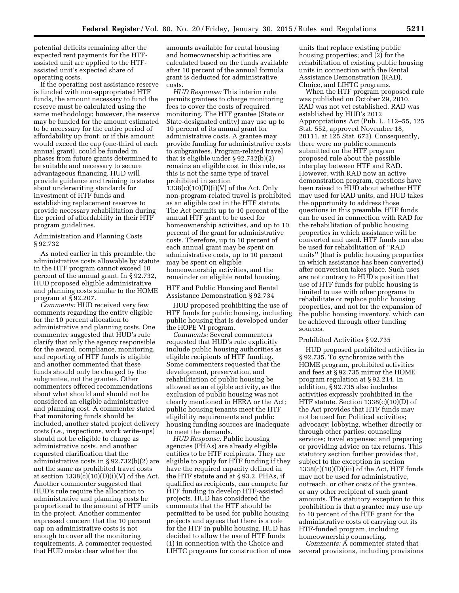potential deficits remaining after the expected rent payments for the HTFassisted unit are applied to the HTFassisted unit's expected share of operating costs.

If the operating cost assistance reserve is funded with non-appropriated HTF funds, the amount necessary to fund the reserve must be calculated using the same methodology; however, the reserve may be funded for the amount estimated to be necessary for the entire period of affordability up front, or if this amount would exceed the cap (one-third of each annual grant), could be funded in phases from future grants determined to be suitable and necessary to secure advantageous financing. HUD will provide guidance and training to states about underwriting standards for investment of HTF funds and establishing replacement reserves to provide necessary rehabilitation during the period of affordability in their HTF program guidelines.

#### Administration and Planning Costs § 92.732

As noted earlier in this preamble, the administrative costs allowable by statute in the HTF program cannot exceed 10 percent of the annual grant. In § 92.732, HUD proposed eligible administrative and planning costs similar to the HOME program at § 92.207.

*Comments:* HUD received very few comments regarding the entity eligible for the 10 percent allocation to administrative and planning costs. One commenter suggested that HUD's rule clarify that only the agency responsible for the award, compliance, monitoring, and reporting of HTF funds is eligible and another commented that these funds should only be charged by the subgrantee, not the grantee. Other commenters offered recommendations about what should and should not be considered an eligible administrative and planning cost. A commenter stated that monitoring funds should be included, another stated project delivery costs (*i.e.,* inspections, work write-ups) should not be eligible to charge as administrative costs, and another requested clarification that the administrative costs in § 92.732(b)(2) are not the same as prohibited travel costs at section  $1338(c)(10)(D)(i)(V)$  of the Act. Another commenter suggested that HUD's rule require the allocation to administrative and planning costs be proportional to the amount of HTF units in the project. Another commenter expressed concern that the 10 percent cap on administrative costs is not enough to cover all the monitoring requirements. A commenter requested that HUD make clear whether the

amounts available for rental housing and homeownership activities are calculated based on the funds available after 10 percent of the annual formula grant is deducted for administrative costs.

*HUD Response:* This interim rule permits grantees to charge monitoring fees to cover the costs of required monitoring. The HTF grantee (State or State-designated entity) may use up to 10 percent of its annual grant for administrative costs. A grantee may provide funding for administrative costs to subgrantees. Program-related travel that is eligible under § 92.732(b)(2) remains an eligible cost in this rule, as this is not the same type of travel prohibited in section  $1338(c)(10)(D)(i)(V)$  of the Act. Only non-program-related travel is prohibited as an eligible cost in the HTF statute. The Act permits up to 10 percent of the annual HTF grant to be used for homeownership activities, and up to 10 percent of the grant for administrative costs. Therefore, up to 10 percent of each annual grant may be spent on administrative costs, up to 10 percent may be spent on eligible homeownership activities, and the remainder on eligible rental housing.

HTF and Public Housing and Rental Assistance Demonstration § 92.734

HUD proposed prohibiting the use of HTF funds for public housing, including public housing that is developed under the HOPE VI program.

*Comments:* Several commenters requested that HUD's rule explicitly include public housing authorities as eligible recipients of HTF funding. Some commenters requested that the development, preservation, and rehabilitation of public housing be allowed as an eligible activity, as the exclusion of public housing was not clearly mentioned in HERA or the Act; public housing tenants meet the HTF eligibility requirements and public housing funding sources are inadequate to meet the demands.

*HUD Response:* Public housing agencies (PHAs) are already eligible entities to be HTF recipients. They are eligible to apply for HTF funding if they have the required capacity defined in the HTF statute and at § 93.2. PHAs, if qualified as recipients, can compete for HTF funding to develop HTF-assisted projects. HUD has considered the comments that the HTF should be permitted to be used for public housing projects and agrees that there is a role for the HTF in public housing. HUD has decided to allow the use of HTF funds (1) in connection with the Choice and LIHTC programs for construction of new

units that replace existing public housing properties; and (2) for the rehabilitation of existing public housing units in connection with the Rental Assistance Demonstration (RAD), Choice, and LIHTC programs.

When the HTF program proposed rule was published on October 29, 2010, RAD was not yet established. RAD was established by HUD's 2012 Appropriations Act (Pub. L. 112–55, 125 Stat. 552, approved November 18, 20111, at 125 Stat. 673). Consequently, there were no public comments submitted on the HTF program proposed rule about the possible interplay between HTF and RAD. However, with RAD now an active demonstration program, questions have been raised to HUD about whether HTF may used for RAD units, and HUD takes the opportunity to address those questions in this preamble. HTF funds can be used in connection with RAD for the rehabilitation of public housing properties in which assistance will be converted and used. HTF funds can also be used for rehabilitation of ''RAD units'' (that is public housing properties in which assistance has been converted) after conversion takes place. Such uses are not contrary to HUD's position that use of HTF funds for public housing is limited to use with other programs to rehabilitate or replace public housing properties, and not for the expansion of the public housing inventory, which can be achieved through other funding sources.

#### Prohibited Activities § 92.735

HUD proposed prohibited activities in § 92.735. To synchronize with the HOME program, prohibited activities and fees at § 92.735 mirror the HOME program regulation at § 92.214. In addition, § 92.735 also includes activities expressly prohibited in the HTF statute. Section 1338(c)(10)(D) of the Act provides that HTF funds may not be used for: Political activities; advocacy; lobbying, whether directly or through other parties; counseling services; travel expenses; and preparing or providing advice on tax returns. This statutory section further provides that, subject to the exception in section  $1338(c)(10)(D)(iii)$  of the Act, HTF funds may not be used for administrative, outreach, or other costs of the grantee, or any other recipient of such grant amounts. The statutory exception to this prohibition is that a grantee may use up to 10 percent of the HTF grant for the administrative costs of carrying out its HTF-funded program, including homeownership counseling.

*Comments:* A commenter stated that several provisions, including provisions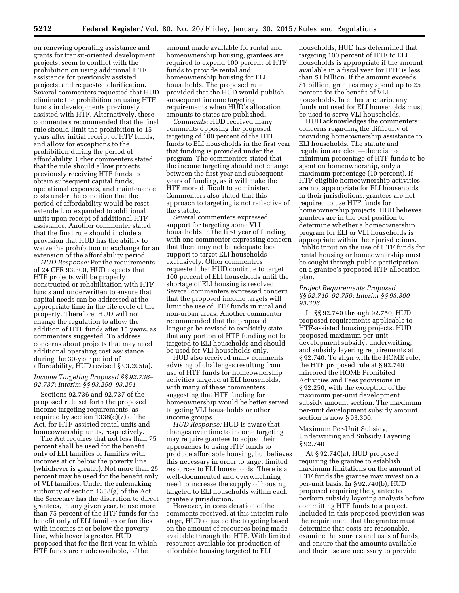on renewing operating assistance and grants for transit-oriented development projects, seem to conflict with the prohibition on using additional HTF assistance for previously assisted projects, and requested clarification. Several commenters requested that HUD eliminate the prohibition on using HTF funds in developments previously assisted with HTF. Alternatively, these commenters recommended that the final rule should limit the prohibition to 15 years after initial receipt of HTF funds, and allow for exceptions to the prohibition during the period of affordability. Other commenters stated that the rule should allow projects previously receiving HTF funds to obtain subsequent capital funds, operational expenses, and maintenance costs under the condition that the period of affordability would be reset, extended, or expanded to additional units upon receipt of additional HTF assistance. Another commenter stated that the final rule should include a provision that HUD has the ability to waive the prohibition in exchange for an extension of the affordability period.

*HUD Response:* Per the requirements of 24 CFR 93.300, HUD expects that HTF projects will be properly constructed or rehabilitation with HTF funds and underwritten to ensure that capital needs can be addressed at the appropriate time in the life cycle of the property. Therefore, HUD will not change the regulation to allow the addition of HTF funds after 15 years, as commenters suggested. To address concerns about projects that may need additional operating cost assistance during the 30-year period of affordability, HUD revised § 93.205(a).

#### *Income Targeting Proposed §§ 92.736– 92.737; Interim §§ 93.250–93.251*

Sections 92.736 and 92.737 of the proposed rule set forth the proposed income targeting requirements, as required by section 1338(c)(7) of the Act, for HTF-assisted rental units and homeownership units, respectively.

The Act requires that not less than 75 percent shall be used for the benefit only of ELI families or families with incomes at or below the poverty line (whichever is greater). Not more than 25 percent may be used for the benefit only of VLI families. Under the rulemaking authority of section 1338(g) of the Act, the Secretary has the discretion to direct grantees, in any given year, to use more than 75 percent of the HTF funds for the benefit only of ELI families or families with incomes at or below the poverty line, whichever is greater. HUD proposed that for the first year in which HTF funds are made available, of the

amount made available for rental and homeownership housing, grantees are required to expend 100 percent of HTF funds to provide rental and homeownership housing for ELI households. The proposed rule provided that the HUD would publish subsequent income targeting requirements when HUD's allocation amounts to states are published.

*Comments:* HUD received many comments opposing the proposed targeting of 100 percent of the HTF funds to ELI households in the first year that funding is provided under the program. The commenters stated that the income targeting should not change between the first year and subsequent years of funding, as it will make the HTF more difficult to administer. Commenters also stated that this approach to targeting is not reflective of the statute.

Several commenters expressed support for targeting some VLI households in the first year of funding, with one commenter expressing concern that there may not be adequate local support to target ELI households exclusively. Other commenters requested that HUD continue to target 100 percent of ELI households until the shortage of ELI housing is resolved. Several commenters expressed concern that the proposed income targets will limit the use of HTF funds in rural and non-urban areas. Another commenter recommended that the proposed language be revised to explicitly state that any portion of HTF funding not be targeted to ELI households and should be used for VLI households only.

HUD also received many comments advising of challenges resulting from use of HTF funds for homeownership activities targeted at ELI households, with many of these commenters suggesting that HTF funding for homeownership would be better served targeting VLI households or other income groups.

*HUD Response:* HUD is aware that changes over time to income targeting may require grantees to adjust their approaches to using HTF funds to produce affordable housing, but believes this necessary in order to target limited resources to ELI households. There is a well-documented and overwhelming need to increase the supply of housing targeted to ELI households within each grantee's jurisdiction.

However, in consideration of the comments received, at this interim rule stage, HUD adjusted the targeting based on the amount of resources being made available through the HTF. With limited resources available for production of affordable housing targeted to ELI

households, HUD has determined that targeting 100 percent of HTF to ELI households is appropriate if the amount available in a fiscal year for HTF is less than \$1 billion. If the amount exceeds \$1 billion, grantees may spend up to 25 percent for the benefit of VLI households. In either scenario, any funds not used for ELI households must be used to serve VLI households.

HUD acknowledges the commenters' concerns regarding the difficulty of providing homeownership assistance to ELI households. The statute and regulation are clear—there is no minimum percentage of HTF funds to be spent on homeownership, only a maximum percentage (10 percent). If HTF-eligible homeownership activities are not appropriate for ELI households in their jurisdictions, grantees are not required to use HTF funds for homeownership projects. HUD believes grantees are in the best position to determine whether a homeownership program for ELI or VLI households is appropriate within their jurisdictions. Public input on the use of HTF funds for rental housing or homeownership must be sought through public participation on a grantee's proposed HTF allocation plan.

#### *Project Requirements Proposed §§ 92.740–92.750; Interim §§ 93.300– 93.306*

In §§ 92.740 through 92.750, HUD proposed requirements applicable to HTF-assisted housing projects. HUD proposed maximum per-unit development subsidy, underwriting, and subsidy layering requirements at § 92.740. To align with the HOME rule, the HTF proposed rule at § 92.740 mirrored the HOME Prohibited Activities and Fees provisions in § 92.250, with the exception of the maximum per-unit development subsidy amount section. The maximum per-unit development subsidy amount section is now § 93.300.

## Maximum Per-Unit Subsidy, Underwriting and Subsidy Layering § 92.740

At § 92.740(a), HUD proposed requiring the grantee to establish maximum limitations on the amount of HTF funds the grantee may invest on a per-unit basis. In § 92.740(b), HUD proposed requiring the grantee to perform subsidy layering analysis before committing HTF funds to a project. Included in this proposed provision was the requirement that the grantee must determine that costs are reasonable, examine the sources and uses of funds, and ensure that the amounts available and their use are necessary to provide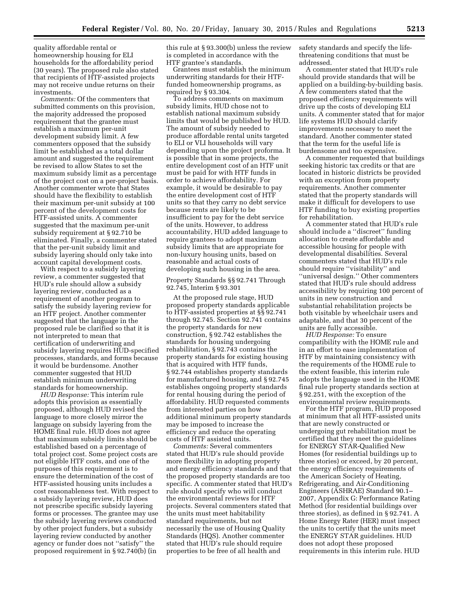quality affordable rental or homeownership housing for ELI households for the affordability period (30 years). The proposed rule also stated that recipients of HTF-assisted projects may not receive undue returns on their investments.

*Comments:* Of the commenters that submitted comments on this provision, the majority addressed the proposed requirement that the grantee must establish a maximum per-unit development subsidy limit. A few commenters opposed that the subsidy limit be established as a total dollar amount and suggested the requirement be revised to allow States to set the maximum subsidy limit as a percentage of the project cost on a per-project basis. Another commenter wrote that States should have the flexibility to establish their maximum per-unit subsidy at 100 percent of the development costs for HTF-assisted units. A commenter suggested that the maximum per-unit subsidy requirement at § 92.710 be eliminated. Finally, a commenter stated that the per-unit subsidy limit and subsidy layering should only take into account capital development costs.

With respect to a subsidy layering review, a commenter suggested that HUD's rule should allow a subsidy layering review, conducted as a requirement of another program to satisfy the subsidy layering review for an HTF project. Another commenter suggested that the language in the proposed rule be clarified so that it is not interpreted to mean that certification of underwriting and subsidy layering requires HUD-specified processes, standards, and forms because it would be burdensome. Another commenter suggested that HUD establish minimum underwriting standards for homeownership.

*HUD Response:* This interim rule adopts this provision as essentially proposed, although HUD revised the language to more closely mirror the language on subsidy layering from the HOME final rule. HUD does not agree that maximum subsidy limits should be established based on a percentage of total project cost. Some project costs are not eligible HTF costs, and one of the purposes of this requirement is to ensure the determination of the cost of HTF-assisted housing units includes a cost reasonableness test. With respect to a subsidy layering review, HUD does not prescribe specific subsidy layering forms or processes. The grantee may use the subsidy layering reviews conducted by other project funders, but a subsidy layering review conducted by another agency or funder does not ''satisfy'' the proposed requirement in § 92.740(b) (in

this rule at § 93.300(b) unless the review is completed in accordance with the HTF grantee's standards.

Grantees must establish the minimum underwriting standards for their HTFfunded homeownership programs, as required by § 93.304.

To address comments on maximum subsidy limits, HUD chose not to establish national maximum subsidy limits that would be published by HUD. The amount of subsidy needed to produce affordable rental units targeted to ELI or VLI households will vary depending upon the project proforma. It is possible that in some projects, the entire development cost of an HTF unit must be paid for with HTF funds in order to achieve affordability. For example, it would be desirable to pay the entire development cost of HTF units so that they carry no debt service because rents are likely to be insufficient to pay for the debt service of the units. However, to address accountability, HUD added language to require grantees to adopt maximum subsidy limits that are appropriate for non-luxury housing units, based on reasonable and actual costs of developing such housing in the area.

Property Standards §§ 92.741 Through 92.745, Interim § 93.301

At the proposed rule stage, HUD proposed property standards applicable to HTF-assisted properties at §§ 92.741 through 92.745. Section 92.741 contains the property standards for new construction, § 92.742 establishes the standards for housing undergoing rehabilitation, § 92.743 contains the property standards for existing housing that is acquired with HTF funds, § 92.744 establishes property standards for manufactured housing, and § 92.745 establishes ongoing property standards for rental housing during the period of affordability. HUD requested comments from interested parties on how additional minimum property standards may be imposed to increase the efficiency and reduce the operating costs of HTF assisted units.

*Comments:* Several commenters stated that HUD's rule should provide more flexibility in adopting property and energy efficiency standards and that the proposed property standards are too specific. A commenter stated that HUD's rule should specify who will conduct the environmental reviews for HTF projects. Several commenters stated that the units must meet habitability standard requirements, but not necessarily the use of Housing Quality Standards (HQS). Another commenter stated that HUD's rule should require properties to be free of all health and

safety standards and specify the lifethreatening conditions that must be addressed.

A commenter stated that HUD's rule should provide standards that will be applied on a building-by-building basis. A few commenters stated that the proposed efficiency requirements will drive up the costs of developing ELI units. A commenter stated that for major life systems HUD should clarify improvements necessary to meet the standard. Another commenter stated that the term for the useful life is burdensome and too expensive.

A commenter requested that buildings seeking historic tax credits or that are located in historic districts be provided with an exception from property requirements. Another commenter stated that the property standards will make it difficult for developers to use HTF funding to buy existing properties for rehabilitation.

A commenter stated that HUD's rule should include a ''discreet'' funding allocation to create affordable and accessible housing for people with developmental disabilities. Several commenters stated that HUD's rule should require ''visitability'' and ''universal design.'' Other commenters stated that HUD's rule should address accessibility by requiring 100 percent of units in new construction and substantial rehabilitation projects be both visitable by wheelchair users and adaptable, and that 30 percent of the units are fully accessible.

*HUD Response:* To ensure compatibility with the HOME rule and in an effort to ease implementation of HTF by maintaining consistency with the requirements of the HOME rule to the extent feasible, this interim rule adopts the language used in the HOME final rule property standards section at § 92.251, with the exception of the environmental review requirements.

For the HTF program, HUD proposed at minimum that all HTF-assisted units that are newly constructed or undergoing gut rehabilitation must be certified that they meet the guidelines for ENERGY STAR-Qualified New Homes (for residential buildings up to three stories) or exceed, by 20 percent, the energy efficiency requirements of the American Society of Heating, Refrigerating, and Air-Conditioning Engineers (ASHRAE) Standard 90.1– 2007, Appendix G: Performance Rating Method (for residential buildings over three stories), as defined in § 92.741. A Home Energy Rater (HER) must inspect the units to certify that the units meet the ENERGY STAR guidelines. HUD does not adopt these proposed requirements in this interim rule. HUD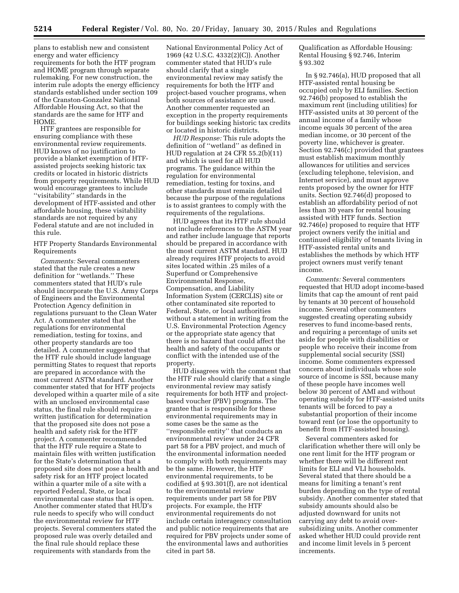plans to establish new and consistent energy and water efficiency requirements for both the HTF program and HOME program through separate rulemaking. For new construction, the interim rule adopts the energy efficiency standards established under section 109 of the Cranston-Gonzalez National Affordable Housing Act, so that the standards are the same for HTF and HOME.

HTF grantees are responsible for ensuring compliance with these environmental review requirements. HUD knows of no justification to provide a blanket exemption of HTFassisted projects seeking historic tax credits or located in historic districts from property requirements. While HUD would encourage grantees to include ''visitability'' standards in the development of HTF-assisted and other affordable housing, these visitability standards are not required by any Federal statute and are not included in this rule.

HTF Property Standards Environmental Requirements

*Comments:* Several commenters stated that the rule creates a new definition for ''wetlands.'' These commenters stated that HUD's rule should incorporate the U.S. Army Corps of Engineers and the Environmental Protection Agency definition in regulations pursuant to the Clean Water Act. A commenter stated that the regulations for environmental remediation, testing for toxins, and other property standards are too detailed. A commenter suggested that the HTF rule should include language permitting States to request that reports are prepared in accordance with the most current ASTM standard. Another commenter stated that for HTF projects developed within a quarter mile of a site with an unclosed environmental case status, the final rule should require a written justification for determination that the proposed site does not pose a health and safety risk for the HTF project. A commenter recommended that the HTF rule require a State to maintain files with written justification for the State's determination that a proposed site does not pose a health and safety risk for an HTF project located within a quarter mile of a site with a reported Federal, State, or local environmental case status that is open. Another commenter stated that HUD's rule needs to specify who will conduct the environmental review for HTF projects. Several commenters stated the proposed rule was overly detailed and the final rule should replace these requirements with standards from the

National Environmental Policy Act of 1969 (42 U.S.C. 4332(2)(C)). Another commenter stated that HUD's rule should clarify that a single environmental review may satisfy the requirements for both the HTF and project-based voucher programs, when both sources of assistance are used. Another commenter requested an exception in the property requirements for buildings seeking historic tax credits or located in historic districts.

*HUD Response:* This rule adopts the definition of ''wetland'' as defined in HUD regulation at 24 CFR 55.2(b)(11) and which is used for all HUD programs. The guidance within the regulation for environmental remediation, testing for toxins, and other standards must remain detailed because the purpose of the regulations is to assist grantees to comply with the requirements of the regulations.

HUD agrees that its HTF rule should not include references to the ASTM year and rather include language that reports should be prepared in accordance with the most current ASTM standard. HUD already requires HTF projects to avoid sites located within .25 miles of a Superfund or Comprehensive Environmental Response, Compensation, and Liability Information System (CERCLIS) site or other contaminated site reported to Federal, State, or local authorities without a statement in writing from the U.S. Environmental Protection Agency or the appropriate state agency that there is no hazard that could affect the health and safety of the occupants or conflict with the intended use of the property.

HUD disagrees with the comment that the HTF rule should clarify that a single environmental review may satisfy requirements for both HTF and projectbased voucher (PBV) programs. The grantee that is responsible for these environmental requirements may in some cases be the same as the ''responsible entity'' that conducts an environmental review under 24 CFR part 58 for a PBV project, and much of the environmental information needed to comply with both requirements may be the same. However, the HTF environmental requirements, to be codified at § 93.301(f), are not identical to the environmental review requirements under part 58 for PBV projects. For example, the HTF environmental requirements do not include certain interagency consultation and public notice requirements that are required for PBV projects under some of the environmental laws and authorities cited in part 58.

Qualification as Affordable Housing: Rental Housing § 92.746, Interim § 93.302

In § 92.746(a), HUD proposed that all HTF-assisted rental housing be occupied only by ELI families. Section 92.746(b) proposed to establish the maximum rent (including utilities) for HTF-assisted units at 30 percent of the annual income of a family whose income equals 30 percent of the area median income, or 30 percent of the poverty line, whichever is greater. Section 92.746(c) provided that grantees must establish maximum monthly allowances for utilities and services (excluding telephone, television, and Internet service), and must approve rents proposed by the owner for HTF units. Section 92.746(d) proposed to establish an affordability period of not less than 30 years for rental housing assisted with HTF funds. Section 92.746(e) proposed to require that HTF project owners verify the initial and continued eligibility of tenants living in HTF-assisted rental units and establishes the methods by which HTF project owners must verify tenant income.

*Comments:* Several commenters requested that HUD adopt income-based limits that cap the amount of rent paid by tenants at 30 percent of household income. Several other commenters suggested creating operating subsidy reserves to fund income-based rents, and requiring a percentage of units set aside for people with disabilities or people who receive their income from supplemental social security (SSI) income. Some commenters expressed concern about individuals whose sole source of income is SSI, because many of these people have incomes well below 30 percent of AMI and without operating subsidy for HTF-assisted units tenants will be forced to pay a substantial proportion of their income toward rent (or lose the opportunity to benefit from HTF-assisted housing).

Several commenters asked for clarification whether there will only be one rent limit for the HTF program or whether there will be different rent limits for ELI and VLI households. Several stated that there should be a means for limiting a tenant's rent burden depending on the type of rental subsidy. Another commenter stated that subsidy amounts should also be adjusted downward for units not carrying any debt to avoid oversubsidizing units. Another commenter asked whether HUD could provide rent and income limit levels in 5 percent increments.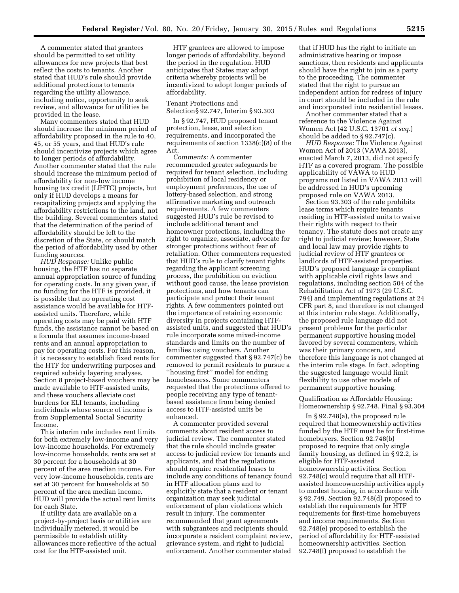A commenter stated that grantees should be permitted to set utility allowances for new projects that best reflect the costs to tenants. Another stated that HUD's rule should provide additional protections to tenants regarding the utility allowance, including notice, opportunity to seek review, and allowance for utilities be provided in the lease.

Many commenters stated that HUD should increase the minimum period of affordability proposed in the rule to 40, 45, or 55 years, and that HUD's rule should incentivize projects which agree to longer periods of affordability. Another commenter stated that the rule should increase the minimum period of affordability for non-low income housing tax credit (LIHTC) projects, but only if HUD develops a means for recapitalizing projects and applying the affordability restrictions to the land, not the building. Several commenters stated that the determination of the period of affordability should be left to the discretion of the State, or should match the period of affordability used by other funding sources.

*HUD Response:* Unlike public housing, the HTF has no separate annual appropriation source of funding for operating costs. In any given year, if no funding for the HTF is provided, it is possible that no operating cost assistance would be available for HTFassisted units. Therefore, while operating costs may be paid with HTF funds, the assistance cannot be based on a formula that assumes income-based rents and an annual appropriation to pay for operating costs. For this reason, it is necessary to establish fixed rents for the HTF for underwriting purposes and required subsidy layering analyses. Section 8 project-based vouchers may be made available to HTF-assisted units, and these vouchers alleviate cost burdens for ELI tenants, including individuals whose source of income is from Supplemental Social Security Income.

This interim rule includes rent limits for both extremely low-income and very low-income households. For extremely low-income households, rents are set at 30 percent for a households at 30 percent of the area median income. For very low-income households, rents are set at 30 percent for households at 50 percent of the area median income. HUD will provide the actual rent limits for each State.

If utility data are available on a project-by-project basis or utilities are individually metered, it would be permissible to establish utility allowances more reflective of the actual cost for the HTF-assisted unit.

HTF grantees are allowed to impose longer periods of affordability, beyond the period in the regulation. HUD anticipates that States may adopt criteria whereby projects will be incentivized to adopt longer periods of affordability.

## Tenant Protections and Selection§ 92.747, Interim § 93.303

In § 92.747, HUD proposed tenant protection, lease, and selection requirements, and incorporated the requirements of section 1338(c)(8) of the Act.

*Comments:* A commenter recommended greater safeguards be required for tenant selection, including prohibition of local residency or employment preferences, the use of lottery-based selection, and strong affirmative marketing and outreach requirements. A few commenters suggested HUD's rule be revised to include additional tenant and homeowner protections, including the right to organize, associate, advocate for stronger protections without fear of retaliation. Other commenters requested that HUD's rule to clarify tenant rights regarding the applicant screening process, the prohibition on eviction without good cause, the lease provision protections, and how tenants can participate and protect their tenant rights. A few commenters pointed out the importance of retaining economic diversity in projects containing HTFassisted units, and suggested that HUD's rule incorporate some mixed-income standards and limits on the number of families using vouchers. Another commenter suggested that § 92.747(c) be removed to permit residents to pursue a ''housing first'' model for ending homelessness. Some commenters requested that the protections offered to people receiving any type of tenantbased assistance from being denied access to HTF-assisted units be enhanced.

A commenter provided several comments about resident access to judicial review. The commenter stated that the rule should include greater access to judicial review for tenants and applicants, and that the regulations should require residential leases to include any conditions of tenancy found in HTF allocation plans and to explicitly state that a resident or tenant organization may seek judicial enforcement of plan violations which result in injury. The commenter recommended that grant agreements with subgrantees and recipients should incorporate a resident complaint review, grievance system, and right to judicial enforcement. Another commenter stated

that if HUD has the right to initiate an administrative hearing or impose sanctions, then residents and applicants should have the right to join as a party to the proceeding. The commenter stated that the right to pursue an independent action for redress of injury in court should be included in the rule and incorporated into residential leases.

Another commenter stated that a reference to the Violence Against Women Act (42 U.S.C. 13701 *et seq.*) should be added to § 92.747(c).

*HUD Response:* The Violence Against Women Act of 2013 (VAWA 2013), enacted March 7, 2013, did not specify HTF as a covered program. The possible applicability of VAWA to HUD programs not listed in VAWA 2013 will be addressed in HUD's upcoming proposed rule on VAWA 2013.

Section 93.303 of the rule prohibits lease terms which require tenants residing in HTF-assisted units to waive their rights with respect to their tenancy. The statute does not create any right to judicial review; however, State and local law may provide rights to judicial review of HTF grantees or landlords of HTF-assisted properties. HUD's proposed language is compliant with applicable civil rights laws and regulations, including section 504 of the Rehabilitation Act of 1973 (29 U.S.C. 794) and implementing regulations at 24 CFR part 8, and therefore is not changed at this interim rule stage. Additionally, the proposed rule language did not present problems for the particular permanent supportive housing model favored by several commenters, which was their primary concern, and therefore this language is not changed at the interim rule stage. In fact, adopting the suggested language would limit flexibility to use other models of permanent supportive housing.

## Qualification as Affordable Housing: Homeownership § 92.748, Final § 93.304

In § 92.748(a), the proposed rule required that homeownership activities funded by the HTF must be for first-time homebuyers. Section 92.748(b) proposed to require that only single family housing, as defined in § 92.2, is eligible for HTF-assisted homeownership activities. Section 92.748(c) would require that all HTFassisted homeownership activities apply to modest housing, in accordance with § 92.749. Section 92.748(d) proposed to establish the requirements for HTF requirements for first-time homebuyers and income requirements. Section 92.748(e) proposed to establish the period of affordability for HTF-assisted homeownership activities. Section 92.748(f) proposed to establish the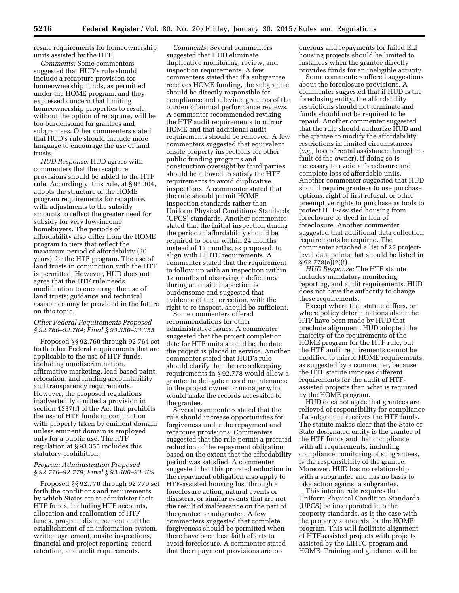resale requirements for homeownership units assisted by the HTF.

*Comments:* Some commenters suggested that HUD's rule should include a recapture provision for homeownership funds, as permitted under the HOME program, and they expressed concern that limiting homeownership properties to resale, without the option of recapture, will be too burdensome for grantees and subgrantees. Other commenters stated that HUD's rule should include more language to encourage the use of land trusts.

*HUD Response:* HUD agrees with commenters that the recapture provisions should be added to the HTF rule. Accordingly, this rule, at § 93.304, adopts the structure of the HOME program requirements for recapture, with adjustments to the subsidy amounts to reflect the greater need for subsidy for very low-income homebuyers. The periods of affordability also differ from the HOME program to tiers that reflect the maximum period of affordability (30 years) for the HTF program. The use of land trusts in conjunction with the HTF is permitted. However, HUD does not agree that the HTF rule needs modification to encourage the use of land trusts; guidance and technical assistance may be provided in the future on this topic.

#### *Other Federal Requirements Proposed § 92.760–92.764; Final § 93.350–93.355*

Proposed §§ 92.760 through 92.764 set forth other Federal requirements that are applicable to the use of HTF funds, including nondiscrimination, affirmative marketing, lead-based paint, relocation, and funding accountability and transparency requirements. However, the proposed regulations inadvertently omitted a provision in section 1337(f) of the Act that prohibits the use of HTF funds in conjunction with property taken by eminent domain unless eminent domain is employed only for a public use. The HTF regulation at § 93.355 includes this statutory prohibition.

## *Program Administration Proposed § 92.770–92.779; Final § 93.400–93.409*

Proposed §§ 92.770 through 92.779 set forth the conditions and requirements by which States are to administer their HTF funds, including HTF accounts, allocation and reallocation of HTF funds, program disbursement and the establishment of an information system, written agreement, onsite inspections, financial and project reporting, record retention, and audit requirements.

*Comments:* Several commenters suggested that HUD eliminate duplicative monitoring, review, and inspection requirements. A few commenters stated that if a subgrantee receives HOME funding, the subgrantee should be directly responsible for compliance and alleviate grantees of the burden of annual performance reviews. A commenter recommended revising the HTF audit requirements to mirror HOME and that additional audit requirements should be removed. A few commenters suggested that equivalent onsite property inspections for other public funding programs and construction oversight by third parties should be allowed to satisfy the HTF requirements to avoid duplicative inspections. A commenter stated that the rule should permit HOME inspection standards rather than Uniform Physical Conditions Standards (UPCS) standards. Another commenter stated that the initial inspection during the period of affordability should be required to occur within 24 months instead of 12 months, as proposed, to align with LIHTC requirements. A commenter stated that the requirement to follow up with an inspection within 12 months of observing a deficiency during an onsite inspection is burdensome and suggested that evidence of the correction, with the right to re-inspect, should be sufficient.

Some commenters offered recommendations for other administrative issues. A commenter suggested that the project completion date for HTF units should be the date the project is placed in service. Another commenter stated that HUD's rule should clarify that the recordkeeping requirements in § 92.778 would allow a grantee to delegate record maintenance to the project owner or manager who would make the records accessible to the grantee.

Several commenters stated that the rule should increase opportunities for forgiveness under the repayment and recapture provisions. Commenters suggested that the rule permit a prorated reduction of the repayment obligation based on the extent that the affordability period was satisfied. A commenter suggested that this prorated reduction in the repayment obligation also apply to HTF-assisted housing lost through a foreclosure action, natural events or disasters, or similar events that are not the result of malfeasance on the part of the grantee or subgrantee. A few commenters suggested that complete forgiveness should be permitted when there have been best faith efforts to avoid foreclosure. A commenter stated that the repayment provisions are too

onerous and repayments for failed ELI housing projects should be limited to instances when the grantee directly provides funds for an ineligible activity.

Some commenters offered suggestions about the foreclosure provisions. A commenter suggested that if HUD is the foreclosing entity, the affordability restrictions should not terminate and funds should not be required to be repaid. Another commenter suggested that the rule should authorize HUD and the grantee to modify the affordability restrictions in limited circumstances (*e.g.,* loss of rental assistance through no fault of the owner), if doing so is necessary to avoid a foreclosure and complete loss of affordable units. Another commenter suggested that HUD should require grantees to use purchase options, right of first refusal, or other preemptive rights to purchase as tools to protect HTF-assisted housing from foreclosure or deed in lieu of foreclosure. Another commenter suggested that additional data collection requirements be required. The commenter attached a list of 22 projectlevel data points that should be listed in § 92.778(a)(2)(i).

*HUD Response:* The HTF statute includes mandatory monitoring, reporting, and audit requirements. HUD does not have the authority to change these requirements.

Except where that statute differs, or where policy determinations about the HTF have been made by HUD that preclude alignment, HUD adopted the majority of the requirements of the HOME program for the HTF rule, but the HTF audit requirements cannot be modified to mirror HOME requirements, as suggested by a commenter, because the HTF statute imposes different requirements for the audit of HTFassisted projects than what is required by the HOME program.

HUD does not agree that grantees are relieved of responsibility for compliance if a subgrantee receives the HTF funds. The statute makes clear that the State or State-designated entity is the grantee of the HTF funds and that compliance with all requirements, including compliance monitoring of subgrantees, is the responsibility of the grantee. Moreover, HUD has no relationship with a subgrantee and has no basis to take action against a subgrantee.

This interim rule requires that Uniform Physical Condition Standards (UPCS) be incorporated into the property standards, as is the case with the property standards for the HOME program. This will facilitate alignment of HTF-assisted projects with projects assisted by the LIHTC program and HOME. Training and guidance will be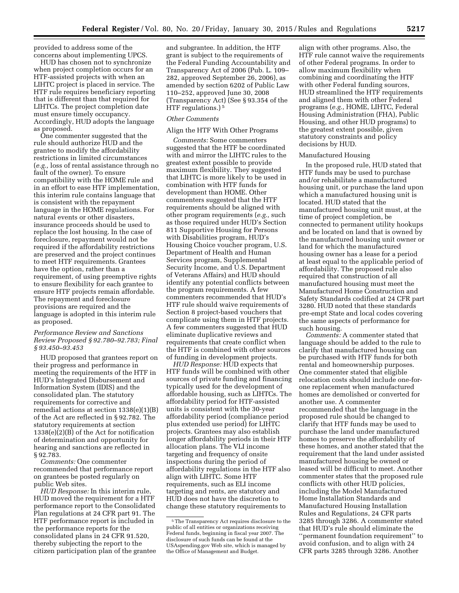provided to address some of the concerns about implementing UPCS.

HUD has chosen not to synchronize when project completion occurs for an HTF-assisted projects with when an LIHTC project is placed in service. The HTF rule requires beneficiary reporting that is different than that required for LIHTCs. The project completion date must ensure timely occupancy. Accordingly, HUD adopts the language as proposed.

One commenter suggested that the rule should authorize HUD and the grantee to modify the affordability restrictions in limited circumstances (*e.g.,* loss of rental assistance through no fault of the owner). To ensure compatibility with the HOME rule and in an effort to ease HTF implementation, this interim rule contains language that is consistent with the repayment language in the HOME regulations. For natural events or other disasters, insurance proceeds should be used to replace the lost housing. In the case of foreclosure, repayment would not be required if the affordability restrictions are preserved and the project continues to meet HTF requirements. Grantees have the option, rather than a requirement, of using preemptive rights to ensure flexibility for each grantee to ensure HTF projects remain affordable. The repayment and foreclosure provisions are required and the language is adopted in this interim rule as proposed.

#### *Performance Review and Sanctions Review Proposed § 92.780–92.783; Final § 93.450–93.453*

HUD proposed that grantees report on their progress and performance in meeting the requirements of the HTF in HUD's Integrated Disbursement and Information System (IDIS) and the consolidated plan. The statutory requirements for corrective and remedial actions at section 1338(e)(1)(B) of the Act are reflected in § 92.782. The statutory requirements at section 1338(e)(2)(B) of the Act for notification of determination and opportunity for hearing and sanctions are reflected in § 92.783.

*Comments:* One commenter recommended that performance report on grantees be posted regularly on public Web sites.

*HUD Response:* In this interim rule, HUD moved the requirement for a HTF performance report to the Consolidated Plan regulations at 24 CFR part 91. The HTF performance report is included in the performance reports for the consolidated plans in 24 CFR 91.520, thereby subjecting the report to the citizen participation plan of the grantee and subgrantee. In addition, the HTF grant is subject to the requirements of the Federal Funding Accountability and Transparency Act of 2006 (Pub. L. 109– 282, approved September 26, 2006), as amended by section 6202 of Public Law 110–252, approved June 30, 2008 (Transparency Act) (See § 93.354 of the HTF regulations.) 5

#### *Other Comments*

#### Align the HTF With Other Programs

*Comments:* Some commenters suggested that the HTF be coordinated with and mirror the LIHTC rules to the greatest extent possible to provide maximum flexibility. They suggested that LIHTC is more likely to be used in combination with HTF funds for development than HOME. Other commenters suggested that the HTF requirements should be aligned with other program requirements (*e.g.,* such as those required under HUD's Section 811 Supportive Housing for Persons with Disabilities program, HUD's Housing Choice voucher program, U.S. Department of Health and Human Services program, Supplemental Security Income, and U.S. Department of Veterans Affairs) and HUD should identify any potential conflicts between the program requirements. A few commenters recommended that HUD's HTF rule should waive requirements of Section 8 project-based vouchers that complicate using them in HTF projects. A few commenters suggested that HUD eliminate duplicative reviews and requirements that create conflict when the HTF is combined with other sources of funding in development projects.

*HUD Response:* HUD expects that HTF funds will be combined with other sources of private funding and financing typically used for the development of affordable housing, such as LIHTCs. The affordability period for HTF-assisted units is consistent with the 30-year affordability period (compliance period plus extended use period) for LIHTC projects. Grantees may also establish longer affordability periods in their HTF allocation plans. The VLI income targeting and frequency of onsite inspections during the period of affordability regulations in the HTF also align with LIHTC. Some HTF requirements, such as ELI income targeting and rents, are statutory and HUD does not have the discretion to change these statutory requirements to

align with other programs. Also, the HTF rule cannot waive the requirements of other Federal programs. In order to allow maximum flexibility when combining and coordinating the HTF with other Federal funding sources, HUD streamlined the HTF requirements and aligned them with other Federal programs (*e.g.,* HOME, LIHTC, Federal Housing Administration (FHA), Public Housing, and other HUD programs) to the greatest extent possible, given statutory constraints and policy decisions by HUD.

#### Manufactured Housing

In the proposed rule, HUD stated that HTF funds may be used to purchase and/or rehabilitate a manufactured housing unit, or purchase the land upon which a manufactured housing unit is located. HUD stated that the manufactured housing unit must, at the time of project completion, be connected to permanent utility hookups and be located on land that is owned by the manufactured housing unit owner or land for which the manufactured housing owner has a lease for a period at least equal to the applicable period of affordability. The proposed rule also required that construction of all manufactured housing must meet the Manufactured Home Construction and Safety Standards codified at 24 CFR part 3280. HUD noted that these standards pre-empt State and local codes covering the same aspects of performance for such housing.

*Comments:* A commenter stated that language should be added to the rule to clarify that manufactured housing can be purchased with HTF funds for both rental and homeownership purposes. One commenter stated that eligible relocation costs should include one-forone replacement when manufactured homes are demolished or converted for another use. A commenter recommended that the language in the proposed rule should be changed to clarify that HTF funds may be used to purchase the land under manufactured homes to preserve the affordability of these homes, and another stated that the requirement that the land under assisted manufactured housing be owned or leased will be difficult to meet. Another commenter states that the proposed rule conflicts with other HUD policies, including the Model Manufactured Home Installation Standards and Manufactured Housing Installation Rules and Regulations, 24 CFR parts 3285 through 3286. A commenter stated that HUD's rule should eliminate the ''permanent foundation requirement'' to avoid confusion, and to align with 24 CFR parts 3285 through 3286. Another

<sup>5</sup>The Transparency Act requires disclosure to the public of all entities or organizations receiving Federal funds, beginning in fiscal year 2007. The disclosure of such funds can be found at the USAspending.gov Web site, which is managed by the Office of Management and Budget.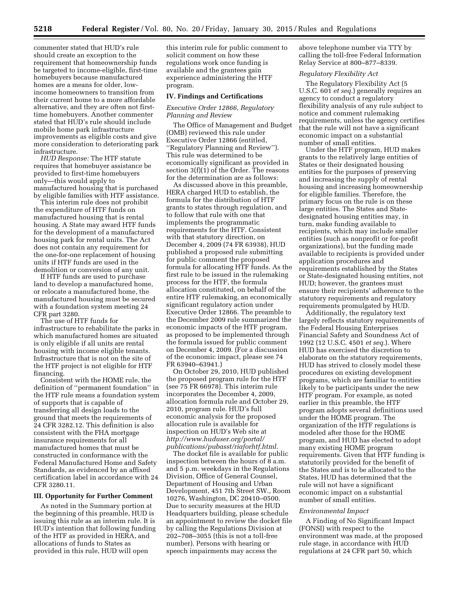commenter stated that HUD's rule should create an exception to the requirement that homeownership funds be targeted to income-eligible, first-time homebuyers because manufactured homes are a means for older, lowincome homeowners to transition from their current home to a more affordable alternative, and they are often not firsttime homebuyers. Another commenter stated that HUD's rule should include mobile home park infrastructure improvements as eligible costs and give more consideration to deteriorating park infrastructure.

*HUD Response:* The HTF statute requires that homebuyer assistance be provided to first-time homebuyers only—this would apply to manufactured housing that is purchased by eligible families with HTF assistance.

This interim rule does not prohibit the expenditure of HTF funds on manufactured housing that is rental housing. A State may award HTF funds for the development of a manufactured housing park for rental units. The Act does not contain any requirement for the one-for-one replacement of housing units if HTF funds are used in the demolition or conversion of any unit.

If HTF funds are used to purchase land to develop a manufactured home, or relocate a manufactured home, the manufactured housing must be secured with a foundation system meeting 24 CFR part 3280.

The use of HTF funds for infrastructure to rehabilitate the parks in which manufactured homes are situated is only eligible if all units are rental housing with income eligible tenants. Infrastructure that is not on the site of the HTF project is not eligible for HTF financing.

Consistent with the HOME rule, the definition of ''permanent foundation'' in the HTF rule means a foundation system of supports that is capable of transferring all design loads to the ground that meets the requirements of 24 CFR 3282.12. This definition is also consistent with the FHA mortgage insurance requirements for all manufactured homes that must be constructed in conformance with the Federal Manufactured Home and Safety Standards, as evidenced by an affixed certification label in accordance with 24 CFR 3280.11.

#### **III. Opportunity for Further Comment**

As noted in the Summary portion at the beginning of this preamble, HUD is issuing this rule as an interim rule. It is HUD's intention that following funding of the HTF as provided in HERA, and allocations of funds to States as provided in this rule, HUD will open

this interim rule for public comment to solicit comment on how these regulations work once funding is available and the grantees gain experience administering the HTF program.

#### **IV. Findings and Certifications**

#### *Executive Order 12866, Regulatory Planning and Review*

The Office of Management and Budget (OMB) reviewed this rule under Executive Order 12866 (entitled, ''Regulatory Planning and Review''). This rule was determined to be economically significant as provided in section 3(f)(1) of the Order. The reasons for the determination are as follows:

As discussed above in this preamble, HERA charged HUD to establish, the formula for the distribution of HTF grants to states through regulation, and to follow that rule with one that implements the programmatic requirements for the HTF. Consistent with that statutory direction, on December 4, 2009 (74 FR 63938), HUD published a proposed rule submitting for public comment the proposed formula for allocating HTF funds. As the first rule to be issued in the rulemaking process for the HTF, the formula allocation constituted, on behalf of the entire HTF rulemaking, an economically significant regulatory action under Executive Order 12866. The preamble to the December 2009 rule summarized the economic impacts of the HTF program, as proposed to be implemented through the formula issued for public comment on December 4, 2009. (For a discussion of the economic impact, please see 74 FR 63940–63941.)

On October 29, 2010, HUD published the proposed program rule for the HTF (see 75 FR 66978). This interim rule incorporates the December 4, 2009, allocation formula rule and October 29, 2010, program rule. HUD's full economic analysis for the proposed allocation rule is available for inspection on HUD's Web site at *[http://www.huduser.org/portal/](http://www.huduser.org/portal/publications/pubasst/riaforhtf.html) [publications/pubasst/riaforhtf.html](http://www.huduser.org/portal/publications/pubasst/riaforhtf.html)*.

The docket file is available for public inspection between the hours of 8 a.m. and 5 p.m. weekdays in the Regulations Division, Office of General Counsel, Department of Housing and Urban Development, 451 7th Street SW., Room 10276, Washington, DC 20410–0500. Due to security measures at the HUD Headquarters building, please schedule an appointment to review the docket file by calling the Regulations Division at 202–708–3055 (this is not a toll-free number). Persons with hearing or speech impairments may access the

above telephone number via TTY by calling the toll-free Federal Information Relay Service at 800–877–8339.

## *Regulatory Flexibility Act*

The Regulatory Flexibility Act (5 U.S.C. 601 *et seq.*) generally requires an agency to conduct a regulatory flexibility analysis of any rule subject to notice and comment rulemaking requirements, unless the agency certifies that the rule will not have a significant economic impact on a substantial number of small entities.

Under the HTF program, HUD makes grants to the relatively large entities of States or their designated housing entities for the purposes of preserving and increasing the supply of rental housing and increasing homeownership for eligible families. Therefore, the primary focus on the rule is on these large entities. The States and Statedesignated housing entities may, in turn, make funding available to recipients, which may include smaller entities (such as nonprofit or for-profit organizations), but the funding made available to recipients is provided under application procedures and requirements established by the States or State-designated housing entities, not HUD; however, the grantees must ensure their recipients' adherence to the statutory requirements and regulatory requirements promulgated by HUD.

Additionally, the regulatory text largely reflects statutory requirements of the Federal Housing Enterprises Financial Safety and Soundness Act of 1992 (12 U.S.C. 4501 *et seq.*). Where HUD has exercised the discretion to elaborate on the statutory requirements, HUD has strived to closely model these procedures on existing development programs, which are familiar to entities likely to be participants under the new HTF program. For example, as noted earlier in this preamble, the HTF program adopts several definitions used under the HOME program. The organization of the HTF regulations is modeled after those for the HOME program, and HUD has elected to adopt many existing HOME program requirements. Given that HTF funding is statutorily provided for the benefit of the States and is to be allocated to the States, HUD has determined that the rule will not have a significant economic impact on a substantial number of small entities.

#### *Environmental Impact*

A Finding of No Significant Impact (FONSI) with respect to the environment was made, at the proposed rule stage, in accordance with HUD regulations at 24 CFR part 50, which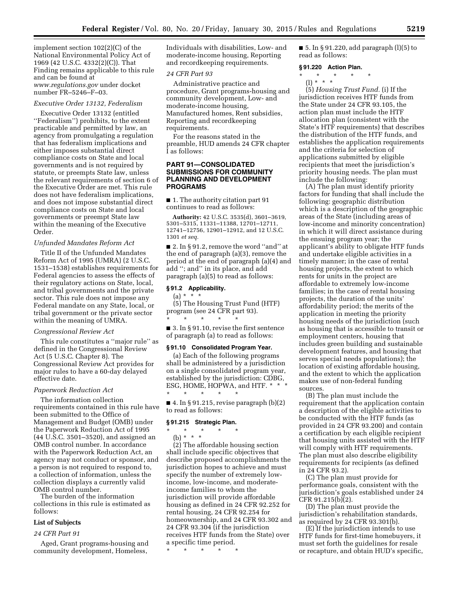implement section 102(2)(C) of the National Environmental Policy Act of 1969 (42 U.S.C. 4332(2)(C)). That Finding remains applicable to this rule and can be found at *[www.regulations.gov](http://www.regulations.gov)* under docket number FR–5246–F–03.

#### *Executive Order 13132, Federalism*

Executive Order 13132 (entitled ''Federalism'') prohibits, to the extent practicable and permitted by law, an agency from promulgating a regulation that has federalism implications and either imposes substantial direct compliance costs on State and local governments and is not required by statute, or preempts State law, unless the relevant requirements of section 6 of the Executive Order are met. This rule does not have federalism implications, and does not impose substantial direct compliance costs on State and local governments or preempt State law within the meaning of the Executive Order.

#### *Unfunded Mandates Reform Act*

Title II of the Unfunded Mandates Reform Act of 1995 (UMRA) (2 U.S.C. 1531–1538) establishes requirements for Federal agencies to assess the effects of their regulatory actions on State, local, and tribal governments and the private sector. This rule does not impose any Federal mandate on any State, local, or tribal government or the private sector within the meaning of UMRA.

#### *Congressional Review Act*

This rule constitutes a ''major rule'' as defined in the Congressional Review Act (5 U.S.C. Chapter 8). The Congressional Review Act provides for major rules to have a 60-day delayed effective date.

#### *Paperwork Reduction Act*

The information collection requirements contained in this rule have been submitted to the Office of Management and Budget (OMB) under the Paperwork Reduction Act of 1995 (44 U.S.C. 3501–3520), and assigned an OMB control number. In accordance with the Paperwork Reduction Act, an agency may not conduct or sponsor, and a person is not required to respond to, a collection of information, unless the collection displays a currently valid OMB control number.

The burden of the information collections in this rule is estimated as follows:

## **List of Subjects**

#### *24 CFR Part 91*

Aged, Grant programs-housing and community development, Homeless,

Individuals with disabilities, Low- and moderate-income housing, Reporting and recordkeeping requirements.

#### *24 CFR Part 93*

Administrative practice and procedure, Grant programs-housing and community development, Low- and moderate-income housing, Manufactured homes, Rent subsidies, Reporting and recordkeeping requirements.

For the reasons stated in the preamble, HUD amends 24 CFR chapter I as follows:

## **PART 91—CONSOLIDATED SUBMISSIONS FOR COMMUNITY PLANNING AND DEVELOPMENT PROGRAMS**

■ 1. The authority citation part 91 continues to read as follows:

**Authority:** 42 U.S.C. 3535(d), 3601–3619, 5301–5315, 11331–11388, 12701–12711, 12741–12756, 12901–12912, and 12 U.S.C. 1301 *et seq.* 

■ 2. In § 91.2, remove the word "and" at the end of paragraph (a)(3), remove the period at the end of paragraph (a)(4) and add ''; and'' in its place, and add paragraph (a)(5) to read as follows:

## **§ 91.2 Applicability.**

 $(a) * * * *$ 

(5) The Housing Trust Fund (HTF) program (see 24 CFR part 93). \* \* \* \* \*

■ 3. In § 91.10, revise the first sentence of paragraph (a) to read as follows:

#### **§ 91.10 Consolidated Program Year.**

(a) Each of the following programs shall be administered by a jurisdiction on a single consolidated program year, established by the jurisdiction: CDBG, ESG, HOME, HOPWA, and HTF. \* \* \* \* \* \* \* \*

 $\blacksquare$  4. In § 91.215, revise paragraph  $(b)(2)$ to read as follows:

#### **§ 91.215 Strategic Plan.**

\* \* \* \* \* (b) \* \* \*

(2) The affordable housing section shall include specific objectives that describe proposed accomplishments the jurisdiction hopes to achieve and must specify the number of extremely lowincome, low-income, and moderateincome families to whom the jurisdiction will provide affordable housing as defined in 24 CFR 92.252 for rental housing, 24 CFR 92.254 for homeownership, and 24 CFR 93.302 and 24 CFR 93.304 (if the jurisdiction receives HTF funds from the State) over a specific time period.

\* \* \* \* \*

 $\blacksquare$  5. In § 91.220, add paragraph (l)(5) to read as follows:

#### **§ 91.220 Action Plan.**

\* \* \* \* \* (l) \* \* \*

(5) *Housing Trust Fund.* (i) If the jurisdiction receives HTF funds from the State under 24 CFR 93.105, the action plan must include the HTF allocation plan (consistent with the State's HTF requirements) that describes the distribution of the HTF funds, and establishes the application requirements and the criteria for selection of applications submitted by eligible recipients that meet the jurisdiction's priority housing needs. The plan must include the following:

(A) The plan must identify priority factors for funding that shall include the following: geographic distribution which is a description of the geographic areas of the State (including areas of low-income and minority concentration) in which it will direct assistance during the ensuing program year; the applicant's ability to obligate HTF funds and undertake eligible activities in a timely manner; in the case of rental housing projects, the extent to which rents for units in the project are affordable to extremely low-income families; in the case of rental housing projects, the duration of the units' affordability period; the merits of the application in meeting the priority housing needs of the jurisdiction (such as housing that is accessible to transit or employment centers, housing that includes green building and sustainable development features, and housing that serves special needs populations); the location of existing affordable housing, and the extent to which the application makes use of non-federal funding sources.

(B) The plan must include the requirement that the application contain a description of the eligible activities to be conducted with the HTF funds (as provided in 24 CFR 93.200) and contain a certification by each eligible recipient that housing units assisted with the HTF will comply with HTF requirements. The plan must also describe eligibility requirements for recipients (as defined in 24 CFR 93.2).

(C) The plan must provide for performance goals, consistent with the jurisdiction's goals established under 24 CFR 91.215(b)(2).

(D) The plan must provide the jurisdiction's rehabilitation standards, as required by 24 CFR 93.301(b).

(E) If the jurisdiction intends to use HTF funds for first-time homebuyers, it must set forth the guidelines for resale or recapture, and obtain HUD's specific,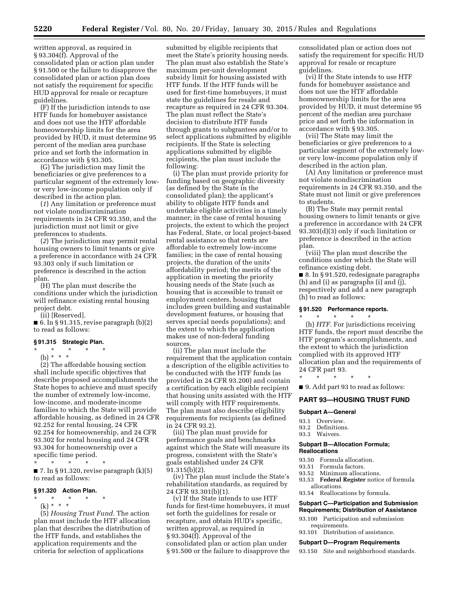written approval, as required in § 93.304(f). Approval of the consolidated plan or action plan under § 91.500 or the failure to disapprove the consolidated plan or action plan does not satisfy the requirement for specific HUD approval for resale or recapture guidelines.

(F) If the jurisdiction intends to use HTF funds for homebuyer assistance and does not use the HTF affordable homeownership limits for the area provided by HUD, it must determine 95 percent of the median area purchase price and set forth the information in accordance with § 93.305.

(G) The jurisdiction may limit the beneficiaries or give preferences to a particular segment of the extremely lowor very low-income population only if described in the action plan.

(*1*) Any limitation or preference must not violate nondiscrimination requirements in 24 CFR 93.350, and the jurisdiction must not limit or give preferences to students.

(*2*) The jurisdiction may permit rental housing owners to limit tenants or give a preference in accordance with 24 CFR 93.303 only if such limitation or preference is described in the action plan.

(H) The plan must describe the conditions under which the jurisdiction will refinance existing rental housing project debt.

(ii) [Reserved].

■ 6. In § 91.315, revise paragraph  $(b)(2)$ to read as follows:

#### **§ 91.315 Strategic Plan.**

\* \* \* \* \*

(b) \* \* \* (2) The affordable housing section shall include specific objectives that describe proposed accomplishments the State hopes to achieve and must specify the number of extremely low-income, low-income, and moderate-income families to which the State will provide affordable housing, as defined in 24 CFR 92.252 for rental housing, 24 CFR 92.254 for homeownership, and 24 CFR 93.302 for rental housing and 24 CFR 93.304 for homeownership over a

specific time period. \* \* \* \* \*  $\blacksquare$  7. In § 91.320, revise paragraph  $(k)(5)$ 

to read as follows:

## **§ 91.320 Action Plan.**

\* \* \* \* \*

(k) \* \* \* (5) *Housing Trust Fund.* The action plan must include the HTF allocation plan that describes the distribution of the HTF funds, and establishes the application requirements and the criteria for selection of applications

submitted by eligible recipients that meet the State's priority housing needs. The plan must also establish the State's maximum per-unit development subsidy limit for housing assisted with HTF funds. If the HTF funds will be used for first-time homebuyers, it must state the guidelines for resale and recapture as required in 24 CFR 93.304. The plan must reflect the State's decision to distribute HTF funds through grants to subgrantees and/or to select applications submitted by eligible recipients. If the State is selecting applications submitted by eligible recipients, the plan must include the following:

(i) The plan must provide priority for funding based on geographic diversity (as defined by the State in the consolidated plan); the applicant's ability to obligate HTF funds and undertake eligible activities in a timely manner; in the case of rental housing projects, the extent to which the project has Federal, State, or local project-based rental assistance so that rents are affordable to extremely low-income families; in the case of rental housing projects, the duration of the units' affordability period; the merits of the application in meeting the priority housing needs of the State (such as housing that is accessible to transit or employment centers, housing that includes green building and sustainable development features, or housing that serves special needs populations); and the extent to which the application makes use of non-federal funding sources.

(ii) The plan must include the requirement that the application contain a description of the eligible activities to be conducted with the HTF funds (as provided in 24 CFR 93.200) and contain a certification by each eligible recipient that housing units assisted with the HTF will comply with HTF requirements. The plan must also describe eligibility requirements for recipients (as defined in 24 CFR 93.2).

(iii) The plan must provide for performance goals and benchmarks against which the State will measure its progress, consistent with the State's goals established under 24 CFR 91.315(b)(2).

(iv) The plan must include the State's rehabilitation standards, as required by 24 CFR 93.301(b)(1).

(v) If the State intends to use HTF funds for first-time homebuyers, it must set forth the guidelines for resale or recapture, and obtain HUD's specific, written approval, as required in § 93.304(f). Approval of the consolidated plan or action plan under § 91.500 or the failure to disapprove the consolidated plan or action does not satisfy the requirement for specific HUD approval for resale or recapture guidelines.

(vi) If the State intends to use HTF funds for homebuyer assistance and does not use the HTF affordable homeownership limits for the area provided by HUD, it must determine 95 percent of the median area purchase price and set forth the information in accordance with § 93.305.

(vii) The State may limit the beneficiaries or give preferences to a particular segment of the extremely lowor very low-income population only if described in the action plan.

(A) Any limitation or preference must not violate nondiscrimination requirements in 24 CFR 93.350, and the State must not limit or give preferences to students.

(B) The State may permit rental housing owners to limit tenants or give a preference in accordance with 24 CFR 93.303(d)(3) only if such limitation or preference is described in the action plan.

(viii) The plan must describe the conditions under which the State will refinance existing debt.

■ 8. In § 91.520, redesignate paragraphs (h) and (i) as paragraphs (i) and (j), respectively and add a new paragraph (h) to read as follows:

## **§ 91.520 Performance reports.**

\* \* \* \* \*

(h) *HTF.* For jurisdictions receiving HTF funds, the report must describe the HTF program's accomplishments, and the extent to which the jurisdiction complied with its approved HTF allocation plan and the requirements of 24 CFR part 93.

\* \* \* \* \* ■ 9. Add part 93 to read as follows:

#### **PART 93—HOUSING TRUST FUND**

#### **Subpart A—General**

- 93.1 Overview.
- 93.2 Definitions.
- 93.3 Waivers.

#### **Subpart B—Allocation Formula; Reallocations**

- 93.50 Formula allocation.
- 93.51 Formula factors.
- 93.52 Minimum allocations.
- 93.53 **Federal Register** notice of formula allocations.
- 93.54 Reallocations by formula.

**Subpart C—Participation and Submission Requirements; Distribution of Assistance** 

- 93.100 Participation and submission requirements.
- 93.101 Distribution of assistance.

#### **Subpart D—Program Requirements**

93.150 Site and neighborhood standards.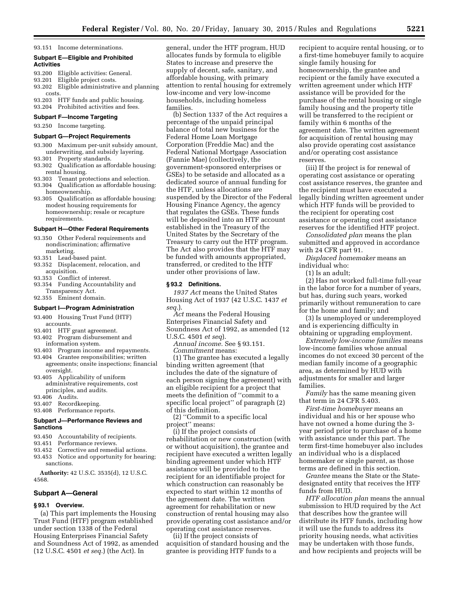93.151 Income determinations.

## **Subpart E—Eligible and Prohibited Activities**

- 93.200 Eligible activities: General.
- 93.201 Eligible project costs.
- 93.202 Eligible administrative and planning costs.
- 93.203 HTF funds and public housing.
- 93.204 Prohibited activities and fees.

## **Subpart F—Income Targeting**

93.250 Income targeting.

## **Subpart G—Project Requirements**

- 93.300 Maximum per-unit subsidy amount, underwriting, and subsidy layering.
- 93.301 Property standards. 93.302 Qualification as affordable housing:
- rental housing.
- 93.303 Tenant protections and selection.
- 93.304 Qualification as affordable housing: homeownership.
- 93.305 Qualification as affordable housing: modest housing requirements for homeownership; resale or recapture requirements.

#### **Subpart H—Other Federal Requirements**

- 93.350 Other Federal requirements and nondiscrimination; affirmative marketing.
- 93.351 Lead-based paint.
- 93.352 Displacement, relocation, and acquisition.
- 93.353 Conflict of interest.
- 93.354 Funding Accountability and Transparency Act.
- 92.355 Eminent domain.

## **Subpart I—Program Administration**

- 93.400 Housing Trust Fund (HTF) accounts.
- 93.401 HTF grant agreement.
- 93.402 Program disbursement and information system.
- 93.403 Program income and repayments.
- 93.404 Grantee responsibilities; written agreements; onsite inspections; financial oversight.
- 93.405 Applicability of uniform administrative requirements, cost principles, and audits.
- 93.406 Audits.
- 93.407 Recordkeeping.
- 93.408 Performance reports.

#### **Subpart J—Performance Reviews and Sanctions**

- 93.450 Accountability of recipients.
- 93.451 Performance reviews.
- 93.452 Corrective and remedial actions.
- 93.453 Notice and opportunity for hearing; sanctions.

**Authority:** 42 U.S.C. 3535(d), 12 U.S.C. 4568.

#### **Subpart A—General**

#### **§ 93.1 Overview.**

(a) This part implements the Housing Trust Fund (HTF) program established under section 1338 of the Federal Housing Enterprises Financial Safety and Soundness Act of 1992, as amended (12 U.S.C. 4501 *et seq.*) (the Act). In

general, under the HTF program, HUD allocates funds by formula to eligible States to increase and preserve the supply of decent, safe, sanitary, and affordable housing, with primary attention to rental housing for extremely low-income and very low-income households, including homeless families.

(b) Section 1337 of the Act requires a percentage of the unpaid principal balance of total new business for the Federal Home Loan Mortgage Corporation (Freddie Mac) and the Federal National Mortgage Association (Fannie Mae) (collectively, the government-sponsored enterprises or GSEs) to be setaside and allocated as a dedicated source of annual funding for the HTF, unless allocations are suspended by the Director of the Federal Housing Finance Agency, the agency that regulates the GSEs. These funds will be deposited into an HTF account established in the Treasury of the United States by the Secretary of the Treasury to carry out the HTF program. The Act also provides that the HTF may be funded with amounts appropriated, transferred, or credited to the HTF under other provisions of law.

#### **§ 93.2 Definitions.**

*1937 Act* means the United States Housing Act of 1937 (42 U.S.C. 1437 *et seq.*).

*Act* means the Federal Housing Enterprises Financial Safety and Soundness Act of 1992, as amended (12 U.S.C. 4501 *et seq*).

*Annual income.* See § 93.151. *Commitment* means:

(1) The grantee has executed a legally binding written agreement (that includes the date of the signature of each person signing the agreement) with an eligible recipient for a project that meets the definition of ''commit to a specific local project'' of paragraph (2) of this definition.

(2) ''Commit to a specific local project'' means:

(i) If the project consists of rehabilitation or new construction (with or without acquisition), the grantee and recipient have executed a written legally binding agreement under which HTF assistance will be provided to the recipient for an identifiable project for which construction can reasonably be expected to start within 12 months of the agreement date. The written agreement for rehabilitation or new construction of rental housing may also provide operating cost assistance and/or operating cost assistance reserves.

(ii) If the project consists of acquisition of standard housing and the grantee is providing HTF funds to a

recipient to acquire rental housing, or to a first-time homebuyer family to acquire single family housing for homeownership, the grantee and recipient or the family have executed a written agreement under which HTF assistance will be provided for the purchase of the rental housing or single family housing and the property title will be transferred to the recipient or family within 6 months of the agreement date. The written agreement for acquisition of rental housing may also provide operating cost assistance and/or operating cost assistance reserves.

(iii) If the project is for renewal of operating cost assistance or operating cost assistance reserves, the grantee and the recipient must have executed a legally binding written agreement under which HTF funds will be provided to the recipient for operating cost assistance or operating cost assistance reserves for the identified HTF project.

*Consolidated plan* means the plan submitted and approved in accordance with 24 CFR part 91.

*Displaced homemaker* means an individual who:

(1) Is an adult;

(2) Has not worked full-time full-year in the labor force for a number of years, but has, during such years, worked primarily without remuneration to care for the home and family; and

(3) Is unemployed or underemployed and is experiencing difficulty in obtaining or upgrading employment.

*Extremely low-income families* means low-income families whose annual incomes do not exceed 30 percent of the median family income of a geographic area, as determined by HUD with adjustments for smaller and larger families.

*Family* has the same meaning given that term in 24 CFR 5.403.

*First-time homebuyer* means an individual and his or her spouse who have not owned a home during the 3 year period prior to purchase of a home with assistance under this part. The term first-time homebuyer also includes an individual who is a displaced homemaker or single parent, as those terms are defined in this section.

*Grantee* means the State or the Statedesignated entity that receives the HTF funds from HUD.

*HTF allocation plan* means the annual submission to HUD required by the Act that describes how the grantee will distribute its HTF funds, including how it will use the funds to address its priority housing needs, what activities may be undertaken with those funds, and how recipients and projects will be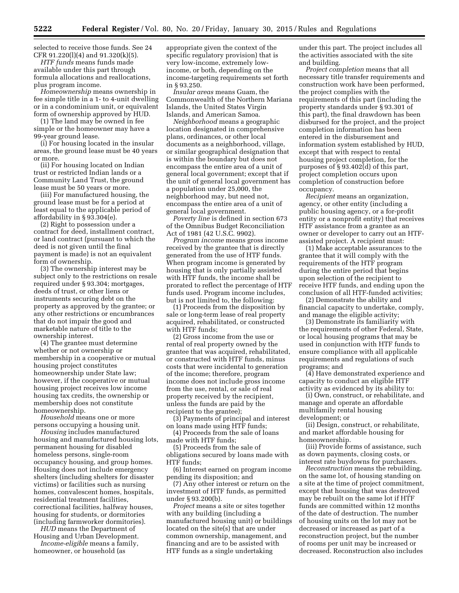selected to receive those funds. See 24 CFR 91.220(l)(4) and 91.320(k)(5).

*HTF funds* means funds made available under this part through formula allocations and reallocations, plus program income.

*Homeownership* means ownership in fee simple title in a 1- to 4-unit dwelling or in a condominium unit, or equivalent form of ownership approved by HUD.

(1) The land may be owned in fee simple or the homeowner may have a 99-year ground lease.

(i) For housing located in the insular areas, the ground lease must be 40 years or more.

(ii) For housing located on Indian trust or restricted Indian lands or a Community Land Trust, the ground lease must be 50 years or more.

(iii) For manufactured housing, the ground lease must be for a period at least equal to the applicable period of affordability in § 93.304(e).

(2) Right to possession under a contract for deed, installment contract, or land contract (pursuant to which the deed is not given until the final payment is made) is not an equivalent form of ownership.

(3) The ownership interest may be subject only to the restrictions on resale required under § 93.304; mortgages, deeds of trust, or other liens or instruments securing debt on the property as approved by the grantee; or any other restrictions or encumbrances that do not impair the good and marketable nature of title to the ownership interest.

(4) The grantee must determine whether or not ownership or membership in a cooperative or mutual housing project constitutes homeownership under State law; however, if the cooperative or mutual housing project receives low income housing tax credits, the ownership or membership does not constitute homeownership.

*Household* means one or more persons occupying a housing unit.

*Housing* includes manufactured housing and manufactured housing lots, permanent housing for disabled homeless persons, single-room occupancy housing, and group homes. Housing does not include emergency shelters (including shelters for disaster victims) or facilities such as nursing homes, convalescent homes, hospitals, residential treatment facilities, correctional facilities, halfway houses, housing for students, or dormitories (including farmworker dormitories).

*HUD* means the Department of Housing and Urban Development.

*Income-eligible* means a family, homeowner, or household (as

appropriate given the context of the specific regulatory provision) that is very low-income, extremely lowincome, or both, depending on the income-targeting requirements set forth in § 93.250.

*Insular areas* means Guam, the Commonwealth of the Northern Mariana Islands, the United States Virgin Islands, and American Samoa.

*Neighborhood* means a geographic location designated in comprehensive plans, ordinances, or other local documents as a neighborhood, village, or similar geographical designation that is within the boundary but does not encompass the entire area of a unit of general local government; except that if the unit of general local government has a population under 25,000, the neighborhood may, but need not, encompass the entire area of a unit of general local government.

*Poverty line* is defined in section 673 of the Omnibus Budget Reconciliation Act of 1981 (42 U.S.C. 9902).

*Program income* means gross income received by the grantee that is directly generated from the use of HTF funds. When program income is generated by housing that is only partially assisted with HTF funds, the income shall be prorated to reflect the percentage of HTF funds used. Program income includes, but is not limited to, the following:

(1) Proceeds from the disposition by sale or long-term lease of real property acquired, rehabilitated, or constructed with HTF funds;

(2) Gross income from the use or rental of real property owned by the grantee that was acquired, rehabilitated, or constructed with HTF funds, minus costs that were incidental to generation of the income; therefore, program income does not include gross income from the use, rental, or sale of real property received by the recipient, unless the funds are paid by the recipient to the grantee);

(3) Payments of principal and interest on loans made using HTF funds;

(4) Proceeds from the sale of loans made with HTF funds;

(5) Proceeds from the sale of obligations secured by loans made with HTF funds;

(6) Interest earned on program income pending its disposition; and

(7) Any other interest or return on the investment of HTF funds, as permitted under § 93.200(b).

*Project* means a site or sites together with any building (including a manufactured housing unit) or buildings located on the site(s) that are under common ownership, management, and financing and are to be assisted with HTF funds as a single undertaking

under this part. The project includes all the activities associated with the site and building.

*Project completion* means that all necessary title transfer requirements and construction work have been performed, the project complies with the requirements of this part (including the property standards under § 93.301 of this part), the final drawdown has been disbursed for the project, and the project completion information has been entered in the disbursement and information system established by HUD, except that with respect to rental housing project completion, for the purposes of § 93.402(d) of this part, project completion occurs upon completion of construction before occupancy.

*Recipient* means an organization, agency, or other entity (including a public housing agency, or a for-profit entity or a nonprofit entity) that receives HTF assistance from a grantee as an owner or developer to carry out an HTFassisted project. A recipient must:

(1) Make acceptable assurances to the grantee that it will comply with the requirements of the HTF program during the entire period that begins upon selection of the recipient to receive HTF funds, and ending upon the conclusion of all HTF-funded activities;

(2) Demonstrate the ability and financial capacity to undertake, comply, and manage the eligible activity;

(3) Demonstrate its familiarity with the requirements of other Federal, State, or local housing programs that may be used in conjunction with HTF funds to ensure compliance with all applicable requirements and regulations of such programs; and

(4) Have demonstrated experience and capacity to conduct an eligible HTF activity as evidenced by its ability to:

(i) Own, construct, or rehabilitate, and manage and operate an affordable multifamily rental housing development; or

(ii) Design, construct, or rehabilitate, and market affordable housing for homeownership.

(iii) Provide forms of assistance, such as down payments, closing costs, or interest rate buydowns for purchasers.

*Reconstruction* means the rebuilding, on the same lot, of housing standing on a site at the time of project commitment, except that housing that was destroyed may be rebuilt on the same lot if HTF funds are committed within 12 months of the date of destruction. The number of housing units on the lot may not be decreased or increased as part of a reconstruction project, but the number of rooms per unit may be increased or decreased. Reconstruction also includes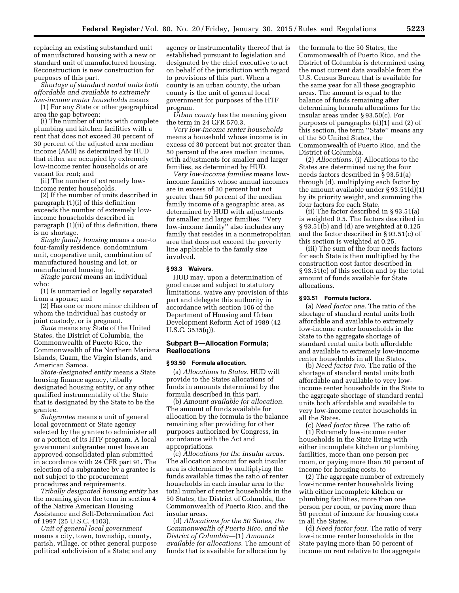replacing an existing substandard unit of manufactured housing with a new or standard unit of manufactured housing. Reconstruction is new construction for purposes of this part.

*Shortage of standard rental units both affordable and available to extremely low-income renter households* means

(1) For any State or other geographical area the gap between:

(i) The number of units with complete plumbing and kitchen facilities with a rent that does not exceed 30 percent of 30 percent of the adjusted area median income (AMI) as determined by HUD that either are occupied by extremely low-income renter households or are vacant for rent; and

(ii) The number of extremely lowincome renter households.

(2) If the number of units described in paragraph (1)(i) of this definition exceeds the number of extremely lowincome households described in paragraph (1)(ii) of this definition, there is no shortage.

*Single family housing* means a one-to four-family residence, condominium unit, cooperative unit, combination of manufactured housing and lot, or manufactured housing lot.

*Single parent* means an individual who:

(1) Is unmarried or legally separated from a spouse; and

(2) Has one or more minor children of whom the individual has custody or joint custody, or is pregnant.

*State* means any State of the United States, the District of Columbia, the Commonwealth of Puerto Rico, the Commonwealth of the Northern Mariana Islands, Guam, the Virgin Islands, and American Samoa.

*State-designated entity* means a State housing finance agency, tribally designated housing entity, or any other qualified instrumentality of the State that is designated by the State to be the grantee.

*Subgrantee* means a unit of general local government or State agency selected by the grantee to administer all or a portion of its HTF program. A local government subgrantee must have an approved consolidated plan submitted in accordance with 24 CFR part 91. The selection of a subgrantee by a grantee is not subject to the procurement procedures and requirements.

*Tribally designated housing entity* has the meaning given the term in section 4 of the Native American Housing Assistance and Self-Determination Act of 1997 (25 U.S.C. 4103).

*Unit of general local government*  means a city, town, township, county, parish, village, or other general purpose political subdivision of a State; and any

agency or instrumentality thereof that is established pursuant to legislation and designated by the chief executive to act on behalf of the jurisdiction with regard to provisions of this part. When a county is an urban county, the urban county is the unit of general local government for purposes of the HTF program.

*Urban county* has the meaning given the term in 24 CFR 570.3.

*Very low-income renter households*  means a household whose income is in excess of 30 percent but not greater than 50 percent of the area median income, with adjustments for smaller and larger families, as determined by HUD.

*Very low-income families* means lowincome families whose annual incomes are in excess of 30 percent but not greater than 50 percent of the median family income of a geographic area, as determined by HUD with adjustments for smaller and larger families. ''Very low-income family'' also includes any family that resides in a nonmetropolitan area that does not exceed the poverty line applicable to the family size involved.

#### **§ 93.3 Waivers.**

HUD may, upon a determination of good cause and subject to statutory limitations, waive any provision of this part and delegate this authority in accordance with section 106 of the Department of Housing and Urban Development Reform Act of 1989 (42 U.S.C. 3535(q)).

#### **Subpart B—Allocation Formula; Reallocations**

#### **§ 93.50 Formula allocation.**

(a) *Allocations to States.* HUD will provide to the States allocations of funds in amounts determined by the formula described in this part.

(b) *Amount available for allocation.*  The amount of funds available for allocation by the formula is the balance remaining after providing for other purposes authorized by Congress, in accordance with the Act and appropriations.

(c) *Allocations for the insular areas.*  The allocation amount for each insular area is determined by multiplying the funds available times the ratio of renter households in each insular area to the total number of renter households in the 50 States, the District of Columbia, the Commonwealth of Puerto Rico, and the insular areas.

(d) *Allocations for the 50 States, the Commonwealth of Puerto Rico, and the District of Columbia*—(1) *Amounts available for allocations.* The amount of funds that is available for allocation by

the formula to the 50 States, the Commonwealth of Puerto Rico, and the District of Columbia is determined using the most current data available from the U.S. Census Bureau that is available for the same year for all these geographic areas. The amount is equal to the balance of funds remaining after determining formula allocations for the insular areas under § 93.50(c). For purposes of paragraphs (d)(1) and (2) of this section, the term ''State'' means any of the 50 United States, the Commonwealth of Puerto Rico, and the District of Columbia.

(2) *Allocations.* (i) Allocations to the States are determined using the four needs factors described in § 93.51(a) through (d), multiplying each factor by the amount available under § 93.51(d)(1) by its priority weight, and summing the four factors for each State.

(ii) The factor described in § 93.51(a) is weighted 0.5. The factors described in § 93.51(b) and (d) are weighted at 0.125 and the factor described in § 93.51(c) of this section is weighted at 0.25.

(iii) The sum of the four needs factors for each State is then multiplied by the construction cost factor described in § 93.51(e) of this section and by the total amount of funds available for State allocations.

#### **§ 93.51 Formula factors.**

(a) *Need factor one.* The ratio of the shortage of standard rental units both affordable and available to extremely low-income renter households in the State to the aggregate shortage of standard rental units both affordable and available to extremely low-income renter households in all the States.

(b) *Need factor two.* The ratio of the shortage of standard rental units both affordable and available to very lowincome renter households in the State to the aggregate shortage of standard rental units both affordable and available to very low-income renter households in all the States.

(c) *Need factor three.* The ratio of: (1) Extremely low-income renter households in the State living with either incomplete kitchen or plumbing facilities, more than one person per room, or paying more than 50 percent of income for housing costs, to

(2) The aggregate number of extremely low-income renter households living with either incomplete kitchen or plumbing facilities, more than one person per room, or paying more than 50 percent of income for housing costs in all the States.

(d) *Need factor four.* The ratio of very low-income renter households in the State paying more than 50 percent of income on rent relative to the aggregate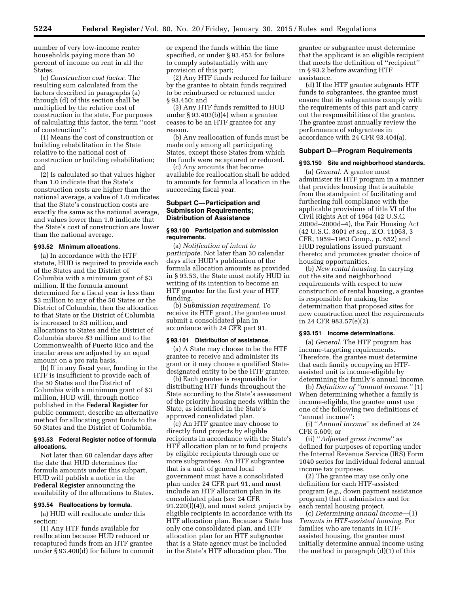number of very low-income renter households paying more than 50 percent of income on rent in all the States.

(e) *Construction cost factor.* The resulting sum calculated from the factors described in paragraphs (a) through (d) of this section shall be multiplied by the relative cost of construction in the state. For purposes of calculating this factor, the term ''cost of construction'':

(1) Means the cost of construction or building rehabilitation in the State relative to the national cost of construction or building rehabilitation; and

(2) Is calculated so that values higher than 1.0 indicate that the State's construction costs are higher than the national average, a value of 1.0 indicates that the State's construction costs are exactly the same as the national average, and values lower than 1.0 indicate that the State's cost of construction are lower than the national average.

#### **§ 93.52 Minimum allocations.**

(a) In accordance with the HTF statute, HUD is required to provide each of the States and the District of Columbia with a minimum grant of \$3 million. If the formula amount determined for a fiscal year is less than \$3 million to any of the 50 States or the District of Columbia, then the allocation to that State or the District of Columbia is increased to \$3 million, and allocations to States and the District of Columbia above \$3 million and to the Commonwealth of Puerto Rico and the insular areas are adjusted by an equal amount on a pro rata basis.

(b) If in any fiscal year, funding in the HTF is insufficient to provide each of the 50 States and the District of Columbia with a minimum grant of \$3 million, HUD will, through notice published in the **Federal Register** for public comment, describe an alternative method for allocating grant funds to the 50 States and the District of Columbia.

#### **§ 93.53 Federal Register notice of formula allocations.**

Not later than 60 calendar days after the date that HUD determines the formula amounts under this subpart, HUD will publish a notice in the **Federal Register** announcing the availability of the allocations to States.

#### **§ 93.54 Reallocations by formula.**

(a) HUD will reallocate under this section:

(1) Any HTF funds available for reallocation because HUD reduced or recaptured funds from an HTF grantee under § 93.400(d) for failure to commit or expend the funds within the time specified, or under § 93.453 for failure to comply substantially with any provision of this part;

(2) Any HTF funds reduced for failure by the grantee to obtain funds required to be reimbursed or returned under § 93.450; and

(3) Any HTF funds remitted to HUD under § 93.403(b)(4) when a grantee ceases to be an HTF grantee for any reason.

(b) Any reallocation of funds must be made only among all participating States, except those States from which the funds were recaptured or reduced.

(c) Any amounts that become available for reallocation shall be added to amounts for formula allocation in the succeeding fiscal year.

## **Subpart C—Participation and Submission Requirements; Distribution of Assistance**

#### **§ 93.100 Participation and submission requirements.**

(a) *Notification of intent to participate.* Not later than 30 calendar days after HUD's publication of the formula allocation amounts as provided in § 93.53, the State must notify HUD in writing of its intention to become an HTF grantee for the first year of HTF funding.

(b) *Submission requirement.* To receive its HTF grant, the grantee must submit a consolidated plan in accordance with 24 CFR part 91.

#### **§ 93.101 Distribution of assistance.**

(a) A State may choose to be the HTF grantee to receive and administer its grant or it may choose a qualified Statedesignated entity to be the HTF grantee.

(b) Each grantee is responsible for distributing HTF funds throughout the State according to the State's assessment of the priority housing needs within the State, as identified in the State's approved consolidated plan.

(c) An HTF grantee may choose to directly fund projects by eligible recipients in accordance with the State's HTF allocation plan or to fund projects by eligible recipients through one or more subgrantees. An HTF subgrantee that is a unit of general local government must have a consolidated plan under 24 CFR part 91, and must include an HTF allocation plan in its consolidated plan (see 24 CFR 91.220(l)(4)), and must select projects by eligible recipients in accordance with its HTF allocation plan. Because a State has only one consolidated plan, and HTF allocation plan for an HTF subgrantee that is a State agency must be included in the State's HTF allocation plan. The

grantee or subgrantee must determine that the applicant is an eligible recipient that meets the definition of ''recipient'' in § 93.2 before awarding HTF assistance.

(d) If the HTF grantee subgrants HTF funds to subgrantees, the grantee must ensure that its subgrantees comply with the requirements of this part and carry out the responsibilities of the grantee. The grantee must annually review the performance of subgrantees in accordance with 24 CFR 93.404(a).

#### **Subpart D—Program Requirements**

#### **§ 93.150 Site and neighborhood standards.**

(a) *General.* A grantee must administer its HTF program in a manner that provides housing that is suitable from the standpoint of facilitating and furthering full compliance with the applicable provisions of title VI of the Civil Rights Act of 1964 (42 U.S.C. 2000d–2000d–4), the Fair Housing Act (42 U.S.C. 3601 *et seq.,* E.O. 11063, 3 CFR, 1959–1963 Comp., p. 652) and HUD regulations issued pursuant thereto; and promotes greater choice of housing opportunities.

(b) *New rental housing.* In carrying out the site and neighborhood requirements with respect to new construction of rental housing, a grantee is responsible for making the determination that proposed sites for new construction meet the requirements in 24 CFR 983.57(e)(2).

## **§ 93.151 Income determinations.**

(a) *General.* The HTF program has income-targeting requirements. Therefore, the grantee must determine that each family occupying an HTFassisted unit is income-eligible by determining the family's annual income.

(b) *Definition of ''annual income.''* (1) When determining whether a family is income-eligible, the grantee must use one of the following two definitions of ''annual income'':

(i) ''*Annual income*'' as defined at 24 CFR 5.609; or

(ii) ''*Adjusted gross income*'' as defined for purposes of reporting under the Internal Revenue Service (IRS) Form 1040 series for individual federal annual income tax purposes.

(2) The grantee may use only one definition for each HTF-assisted program (*e.g.,* down payment assistance program) that it administers and for each rental housing project.

(c) *Determining annual income*—(1) *Tenants in HTF-assisted housing.* For families who are tenants in HTFassisted housing, the grantee must initially determine annual income using the method in paragraph (d)(1) of this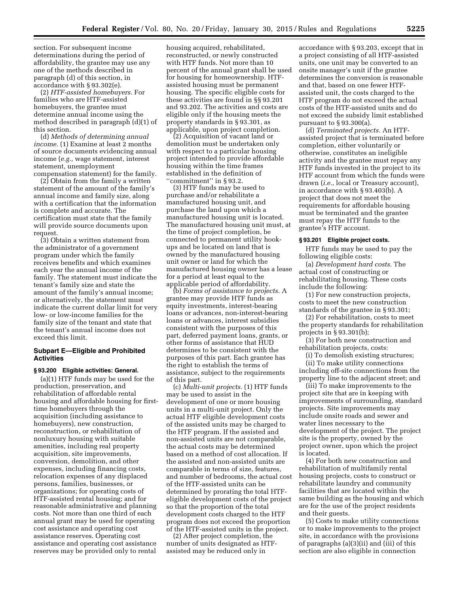section. For subsequent income determinations during the period of affordability, the grantee may use any one of the methods described in paragraph (d) of this section, in accordance with § 93.302(e).

(2) *HTF-assisted homebuyers.* For families who are HTF-assisted homebuyers, the grantee must determine annual income using the method described in paragraph (d)(1) of this section.

(d) *Methods of determining annual income.* (1) Examine at least 2 months of source documents evidencing annual income (*e.g.,* wage statement, interest statement, unemployment compensation statement) for the family.

(2) Obtain from the family a written statement of the amount of the family's annual income and family size, along with a certification that the information is complete and accurate. The certification must state that the family will provide source documents upon request.

(3) Obtain a written statement from the administrator of a government program under which the family receives benefits and which examines each year the annual income of the family. The statement must indicate the tenant's family size and state the amount of the family's annual income; or alternatively, the statement must indicate the current dollar limit for very low- or low-income families for the family size of the tenant and state that the tenant's annual income does not exceed this limit.

## **Subpart E—Eligible and Prohibited Activities**

#### **§ 93.200 Eligible activities: General.**

(a)(1) HTF funds may be used for the production, preservation, and rehabilitation of affordable rental housing and affordable housing for firsttime homebuyers through the acquisition (including assistance to homebuyers), new construction, reconstruction, or rehabilitation of nonluxury housing with suitable amenities, including real property acquisition, site improvements, conversion, demolition, and other expenses, including financing costs, relocation expenses of any displaced persons, families, businesses, or organizations; for operating costs of HTF-assisted rental housing; and for reasonable administrative and planning costs. Not more than one third of each annual grant may be used for operating cost assistance and operating cost assistance reserves. Operating cost assistance and operating cost assistance reserves may be provided only to rental

housing acquired, rehabilitated, reconstructed, or newly constructed with HTF funds. Not more than 10 percent of the annual grant shall be used for housing for homeownership. HTFassisted housing must be permanent housing. The specific eligible costs for these activities are found in §§ 93.201 and 93.202. The activities and costs are eligible only if the housing meets the property standards in § 93.301, as applicable, upon project completion.

(2) Acquisition of vacant land or demolition must be undertaken only with respect to a particular housing project intended to provide affordable housing within the time frames established in the definition of ''commitment'' in § 93.2.

(3) HTF funds may be used to purchase and/or rehabilitate a manufactured housing unit, and purchase the land upon which a manufactured housing unit is located. The manufactured housing unit must, at the time of project completion, be connected to permanent utility hookups and be located on land that is owned by the manufactured housing unit owner or land for which the manufactured housing owner has a lease for a period at least equal to the applicable period of affordability.

(b) *Forms of assistance to projects.* A grantee may provide HTF funds as equity investments, interest-bearing loans or advances, non-interest-bearing loans or advances, interest subsidies consistent with the purposes of this part, deferred payment loans, grants, or other forms of assistance that HUD determines to be consistent with the purposes of this part. Each grantee has the right to establish the terms of assistance, subject to the requirements of this part.

(c) *Multi-unit projects.* (1) HTF funds may be used to assist in the development of one or more housing units in a multi-unit project. Only the actual HTF eligible development costs of the assisted units may be charged to the HTF program. If the assisted and non-assisted units are not comparable, the actual costs may be determined based on a method of cost allocation. If the assisted and non-assisted units are comparable in terms of size, features, and number of bedrooms, the actual cost of the HTF-assisted units can be determined by prorating the total HTFeligible development costs of the project so that the proportion of the total development costs charged to the HTF program does not exceed the proportion of the HTF-assisted units in the project.

(2) After project completion, the number of units designated as HTFassisted may be reduced only in

accordance with § 93.203, except that in a project consisting of all HTF-assisted units, one unit may be converted to an onsite manager's unit if the grantee determines the conversion is reasonable and that, based on one fewer HTFassisted unit, the costs charged to the HTF program do not exceed the actual costs of the HTF-assisted units and do not exceed the subsidy limit established pursuant to  $\S 93.300(a)$ .

(d) *Terminated projects.* An HTFassisted project that is terminated before completion, either voluntarily or otherwise, constitutes an ineligible activity and the grantee must repay any HTF funds invested in the project to its HTF account from which the funds were drawn (*i.e.,* local or Treasury account), in accordance with § 93.403(b). A project that does not meet the requirements for affordable housing must be terminated and the grantee must repay the HTF funds to the grantee's HTF account.

#### **§ 93.201 Eligible project costs.**

HTF funds may be used to pay the following eligible costs:

(a) *Development hard costs.* The actual cost of constructing or rehabilitating housing. These costs include the following:

(1) For new construction projects, costs to meet the new construction standards of the grantee in § 93.301;

(2) For rehabilitation, costs to meet the property standards for rehabilitation projects in § 93.301(b);

(3) For both new construction and rehabilitation projects, costs:

(i) To demolish existing structures; (ii) To make utility connections including off-site connections from the property line to the adjacent street; and

(iii) To make improvements to the project site that are in keeping with improvements of surrounding, standard projects. Site improvements may include onsite roads and sewer and water lines necessary to the development of the project. The project site is the property, owned by the project owner, upon which the project is located.

(4) For both new construction and rehabilitation of multifamily rental housing projects, costs to construct or rehabilitate laundry and community facilities that are located within the same building as the housing and which are for the use of the project residents and their guests.

(5) Costs to make utility connections or to make improvements to the project site, in accordance with the provisions of paragraphs (a)(3)(ii) and (iii) of this section are also eligible in connection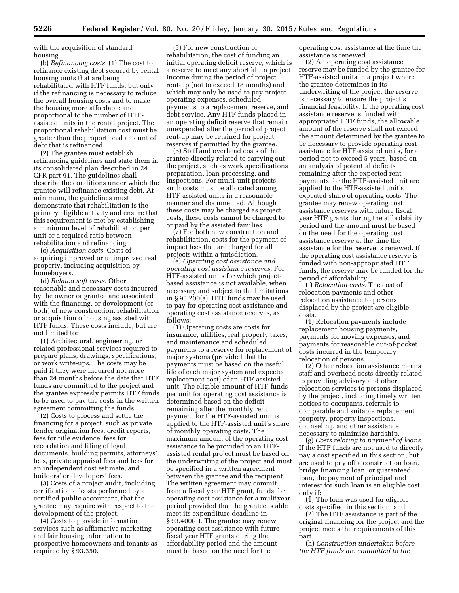with the acquisition of standard housing.

(b) *Refinancing costs.* (1) The cost to refinance existing debt secured by rental housing units that are being rehabilitated with HTF funds, but only if the refinancing is necessary to reduce the overall housing costs and to make the housing more affordable and proportional to the number of HTFassisted units in the rental project. The proportional rehabilitation cost must be greater than the proportional amount of debt that is refinanced.

(2) The grantee must establish refinancing guidelines and state them in its consolidated plan described in 24 CFR part 91. The guidelines shall describe the conditions under which the grantee will refinance existing debt. At minimum, the guidelines must demonstrate that rehabilitation is the primary eligible activity and ensure that this requirement is met by establishing a minimum level of rehabilitation per unit or a required ratio between rehabilitation and refinancing.

(c) *Acquisition costs.* Costs of acquiring improved or unimproved real property, including acquisition by homebuyers.

(d) *Related soft costs.* Other reasonable and necessary costs incurred by the owner or grantee and associated with the financing, or development (or both) of new construction, rehabilitation or acquisition of housing assisted with HTF funds. These costs include, but are not limited to:

(1) Architectural, engineering, or related professional services required to prepare plans, drawings, specifications, or work write-ups. The costs may be paid if they were incurred not more than 24 months before the date that HTF funds are committed to the project and the grantee expressly permits HTF funds to be used to pay the costs in the written agreement committing the funds.

(2) Costs to process and settle the financing for a project, such as private lender origination fees, credit reports, fees for title evidence, fees for recordation and filing of legal documents, building permits, attorneys' fees, private appraisal fees and fees for an independent cost estimate, and builders' or developers' fees.

(3) Costs of a project audit, including certification of costs performed by a certified public accountant, that the grantee may require with respect to the development of the project.

(4) Costs to provide information services such as affirmative marketing and fair housing information to prospective homeowners and tenants as required by § 93.350.

(5) For new construction or rehabilitation, the cost of funding an initial operating deficit reserve, which is a reserve to meet any shortfall in project income during the period of project rent-up (not to exceed 18 months) and which may only be used to pay project operating expenses, scheduled payments to a replacement reserve, and debt service. Any HTF funds placed in an operating deficit reserve that remain unexpended after the period of project rent-up may be retained for project reserves if permitted by the grantee.

(6) Staff and overhead costs of the grantee directly related to carrying out the project, such as work specifications preparation, loan processing, and inspections. For multi-unit projects, such costs must be allocated among HTF-assisted units in a reasonable manner and documented. Although these costs may be charged as project costs, these costs cannot be charged to or paid by the assisted families.

(7) For both new construction and rehabilitation, costs for the payment of impact fees that are charged for all projects within a jurisdiction.

(e) *Operating cost assistance and operating cost assistance reserves.* For HTF-assisted units for which projectbased assistance is not available, when necessary and subject to the limitations in § 93.200(a), HTF funds may be used to pay for operating cost assistance and operating cost assistance reserves, as follows:

(1) Operating costs are costs for insurance, utilities, real property taxes, and maintenance and scheduled payments to a reserve for replacement of major systems (provided that the payments must be based on the useful life of each major system and expected replacement cost) of an HTF-assisted unit. The eligible amount of HTF funds per unit for operating cost assistance is determined based on the deficit remaining after the monthly rent payment for the HTF-assisted unit is applied to the HTF-assisted unit's share of monthly operating costs. The maximum amount of the operating cost assistance to be provided to an HTFassisted rental project must be based on the underwriting of the project and must be specified in a written agreement between the grantee and the recipient. The written agreement may commit, from a fiscal year HTF grant, funds for operating cost assistance for a multiyear period provided that the grantee is able meet its expenditure deadline in § 93.400(d). The grantee may renew operating cost assistance with future fiscal year HTF grants during the affordability period and the amount must be based on the need for the

operating cost assistance at the time the assistance is renewed.

(2) An operating cost assistance reserve may be funded by the grantee for HTF-assisted units in a project where the grantee determines in its underwriting of the project the reserve is necessary to ensure the project's financial feasibility. If the operating cost assistance reserve is funded with appropriated HTF funds, the allowable amount of the reserve shall not exceed the amount determined by the grantee to be necessary to provide operating cost assistance for HTF-assisted units, for a period not to exceed 5 years, based on an analysis of potential deficits remaining after the expected rent payments for the HTF-assisted unit are applied to the HTF-assisted unit's expected share of operating costs. The grantee may renew operating cost assistance reserves with future fiscal year HTF grants during the affordability period and the amount must be based on the need for the operating cost assistance reserve at the time the assistance for the reserve is renewed. If the operating cost assistance reserve is funded with non-appropriated HTF funds, the reserve may be funded for the period of affordability.

(f) *Relocation costs.* The cost of relocation payments and other relocation assistance to persons displaced by the project are eligible costs.

(1) Relocation payments include replacement housing payments, payments for moving expenses, and payments for reasonable out-of-pocket costs incurred in the temporary relocation of persons.

(2) Other relocation assistance means staff and overhead costs directly related to providing advisory and other relocation services to persons displaced by the project, including timely written notices to occupants, referrals to comparable and suitable replacement property, property inspections, counseling, and other assistance necessary to minimize hardship.

(g) *Costs relating to payment of loans.*  If the HTF funds are not used to directly pay a cost specified in this section, but are used to pay off a construction loan, bridge financing loan, or guaranteed loan, the payment of principal and interest for such loan is an eligible cost only if:

(1) The loan was used for eligible costs specified in this section, and

(2) The HTF assistance is part of the original financing for the project and the project meets the requirements of this part.

(h) *Construction undertaken before the HTF funds are committed to the*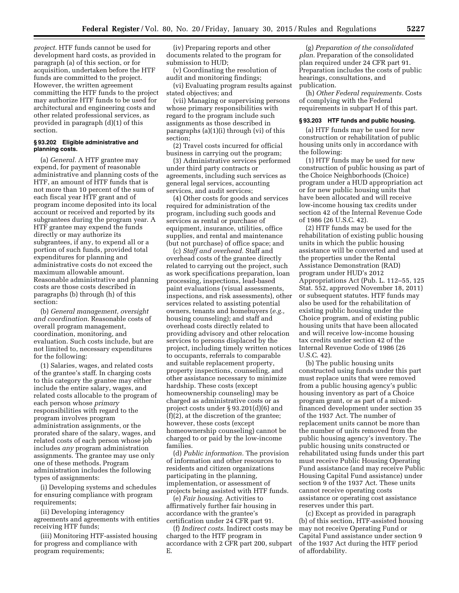*project.* HTF funds cannot be used for development hard costs, as provided in paragraph (a) of this section, or for acquisition, undertaken before the HTF funds are committed to the project. However, the written agreement committing the HTF funds to the project may authorize HTF funds to be used for architectural and engineering costs and other related professional services, as provided in paragraph (d)(1) of this section.

#### **§ 93.202 Eligible administrative and planning costs.**

(a) *General.* A HTF grantee may expend, for payment of reasonable administrative and planning costs of the HTF, an amount of HTF funds that is not more than 10 percent of the sum of each fiscal year HTF grant and of program income deposited into its local account or received and reported by its subgrantees during the program year. A HTF grantee may expend the funds directly or may authorize its subgrantees, if any, to expend all or a portion of such funds, provided total expenditures for planning and administrative costs do not exceed the maximum allowable amount. Reasonable administrative and planning costs are those costs described in paragraphs (b) through (h) of this section:

(b) *General management, oversight and coordination.* Reasonable costs of overall program management, coordination, monitoring, and evaluation. Such costs include, but are not limited to, necessary expenditures for the following:

(1) Salaries, wages, and related costs of the grantee's staff. In charging costs to this category the grantee may either include the entire salary, wages, and related costs allocable to the program of each person whose *primary*  responsibilities with regard to the program involves program administration assignments, or the prorated share of the salary, wages, and related costs of each person whose job includes *any* program administration assignments. The grantee may use only one of these methods. Program administration includes the following types of assignments:

(i) Developing systems and schedules for ensuring compliance with program requirements;

(ii) Developing interagency agreements and agreements with entities receiving HTF funds;

(iii) Monitoring HTF-assisted housing for progress and compliance with program requirements;

(iv) Preparing reports and other documents related to the program for submission to HUD;

(v) Coordinating the resolution of audit and monitoring findings;

(vi) Evaluating program results against stated objectives; and

(vii) Managing or supervising persons whose primary responsibilities with regard to the program include such assignments as those described in paragraphs (a)(1)(i) through (vi) of this section;

(2) Travel costs incurred for official business in carrying out the program;

(3) Administrative services performed under third party contracts or agreements, including such services as general legal services, accounting services, and audit services;

(4) Other costs for goods and services required for administration of the program, including such goods and services as rental or purchase of equipment, insurance, utilities, office supplies, and rental and maintenance (but not purchase) of office space; and

(c) *Staff and overhead.* Staff and overhead costs of the grantee directly related to carrying out the project, such as work specifications preparation, loan processing, inspections, lead-based paint evaluations (visual assessments, inspections, and risk assessments), other services related to assisting potential owners, tenants and homebuyers (*e.g.,*  housing counseling); and staff and overhead costs directly related to providing advisory and other relocation services to persons displaced by the project, including timely written notices to occupants, referrals to comparable and suitable replacement property, property inspections, counseling, and other assistance necessary to minimize hardship. These costs (except homeownership counseling) may be charged as administrative costs or as project costs under § 93.201(d)(6) and (f)(2), at the discretion of the grantee; however, these costs (except homeownership counseling) cannot be charged to or paid by the low-income families.

(d) *Public information.* The provision of information and other resources to residents and citizen organizations participating in the planning, implementation, or assessment of projects being assisted with HTF funds.

(e) *Fair housing.* Activities to affirmatively further fair housing in accordance with the grantee's certification under 24 CFR part 91.

(f) *Indirect costs.* Indirect costs may be charged to the HTF program in accordance with 2 CFR part 200, subpart E.

(g) *Preparation of the consolidated plan.* Preparation of the consolidated plan required under 24 CFR part 91. Preparation includes the costs of public hearings, consultations, and publication.

(h) *Other Federal requirements.* Costs of complying with the Federal requirements in subpart H of this part.

#### **§ 93.203 HTF funds and public housing.**

(a) HTF funds may be used for new construction or rehabilitation of public housing units only in accordance with the following:

(1) HTF funds may be used for new construction of public housing as part of the Choice Neighborhoods (Choice) program under a HUD appropriation act or for new public housing units that have been allocated and will receive low-income housing tax credits under section 42 of the Internal Revenue Code of 1986 (26 U.S.C. 42).

(2) HTF funds may be used for the rehabilitation of existing public housing units in which the public housing assistance will be converted and used at the properties under the Rental Assistance Demonstration (RAD) program under HUD's 2012 Appropriations Act (Pub. L. 112–55, 125 Stat. 552, approved November 18, 2011) or subsequent statutes. HTF funds may also be used for the rehabilitation of existing public housing under the Choice program, and of existing public housing units that have been allocated and will receive low-income housing tax credits under section 42 of the Internal Revenue Code of 1986 (26 U.S.C. 42).

(b) The public housing units constructed using funds under this part must replace units that were removed from a public housing agency's public housing inventory as part of a Choice program grant, or as part of a mixedfinanced development under section 35 of the 1937 Act. The number of replacement units cannot be more than the number of units removed from the public housing agency's inventory. The public housing units constructed or rehabilitated using funds under this part must receive Public Housing Operating Fund assistance (and may receive Public Housing Capital Fund assistance) under section 9 of the 1937 Act. These units cannot receive operating costs assistance or operating cost assistance reserves under this part.

(c) Except as provided in paragraph (b) of this section, HTF-assisted housing may not receive Operating Fund or Capital Fund assistance under section 9 of the 1937 Act during the HTF period of affordability.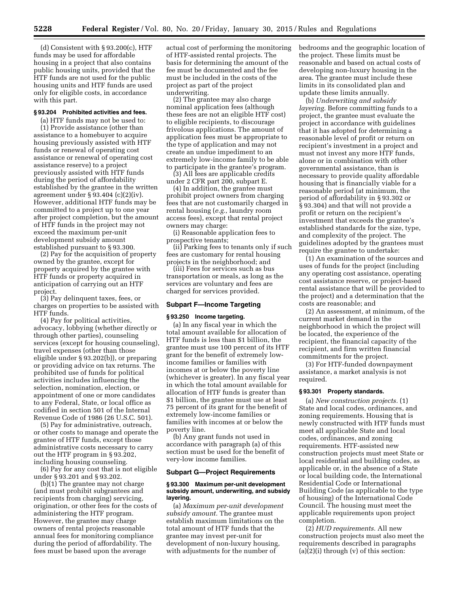(d) Consistent with  $\S 93.200(c)$ , HTF funds may be used for affordable housing in a project that also contains public housing units, provided that the HTF funds are not used for the public housing units and HTF funds are used only for eligible costs, in accordance with this part.

#### **§ 93.204 Prohibited activities and fees.**

(a) HTF funds may not be used to: (1) Provide assistance (other than assistance to a homebuyer to acquire housing previously assisted with HTF funds or renewal of operating cost assistance or renewal of operating cost assistance reserve) to a project previously assisted with HTF funds during the period of affordability established by the grantee in the written agreement under § 93.404 (c)(2)(iv). However, additional HTF funds may be committed to a project up to one year after project completion, but the amount of HTF funds in the project may not exceed the maximum per-unit development subsidy amount established pursuant to § 93.300.

(2) Pay for the acquisition of property owned by the grantee, except for property acquired by the grantee with HTF funds or property acquired in anticipation of carrying out an HTF project.

(3) Pay delinquent taxes, fees, or charges on properties to be assisted with HTF funds.

(4) Pay for political activities, advocacy, lobbying (whether directly or through other parties), counseling services (except for housing counseling), travel expenses (other than those eligible under § 93.202(b)), or preparing or providing advice on tax returns. The prohibited use of funds for political activities includes influencing the selection, nomination, election, or appointment of one or more candidates to any Federal, State, or local office as codified in section 501 of the Internal Revenue Code of 1986 (26 U.S.C. 501).

(5) Pay for administrative, outreach, or other costs to manage and operate the grantee of HTF funds, except those administrative costs necessary to carry out the HTF program in § 93.202, including housing counseling.

(6) Pay for any cost that is not eligible under § 93.201 and § 93.202.

(b)(1) The grantee may not charge (and must prohibit subgrantees and recipients from charging) servicing, origination, or other fees for the costs of administering the HTF program. However, the grantee may charge owners of rental projects reasonable annual fees for monitoring compliance during the period of affordability. The fees must be based upon the average

actual cost of performing the monitoring of HTF-assisted rental projects. The basis for determining the amount of the fee must be documented and the fee must be included in the costs of the project as part of the project underwriting.

(2) The grantee may also charge nominal application fees (although these fees are not an eligible HTF cost) to eligible recipients, to discourage frivolous applications. The amount of application fees must be appropriate to the type of application and may not create an undue impediment to an extremely low-income family to be able to participate in the grantee's program.

(3) All fees are applicable credits under 2 CFR part 200, subpart E.

(4) In addition, the grantee must prohibit project owners from charging fees that are not customarily charged in rental housing (*e.g.,* laundry room access fees), except that rental project owners may charge:

(i) Reasonable application fees to prospective tenants;

(ii) Parking fees to tenants only if such fees are customary for rental housing projects in the neighborhood; and

(iii) Fees for services such as bus transportation or meals, as long as the services are voluntary and fees are charged for services provided.

#### **Subpart F—Income Targeting**

#### **§ 93.250 Income targeting.**

(a) In any fiscal year in which the total amount available for allocation of HTF funds is less than \$1 billion, the grantee must use 100 percent of its HTF grant for the benefit of extremely lowincome families or families with incomes at or below the poverty line (whichever is greater). In any fiscal year in which the total amount available for allocation of HTF funds is greater than \$1 billion, the grantee must use at least 75 percent of its grant for the benefit of extremely low-income families or families with incomes at or below the poverty line.

(b) Any grant funds not used in accordance with paragraph (a) of this section must be used for the benefit of very-low income families.

#### **Subpart G—Project Requirements**

#### **§ 93.300 Maximum per-unit development subsidy amount, underwriting, and subsidy layering.**

(a) *Maximum per-unit development subsidy amount.* The grantee must establish maximum limitations on the total amount of HTF funds that the grantee may invest per-unit for development of non-luxury housing, with adjustments for the number of

bedrooms and the geographic location of the project. These limits must be reasonable and based on actual costs of developing non-luxury housing in the area. The grantee must include these limits in its consolidated plan and update these limits annually.

(b) *Underwriting and subsidy layering.* Before committing funds to a project, the grantee must evaluate the project in accordance with guidelines that it has adopted for determining a reasonable level of profit or return on recipient's investment in a project and must not invest any more HTF funds, alone or in combination with other governmental assistance, than is necessary to provide quality affordable housing that is financially viable for a reasonable period (at minimum, the period of affordability in § 93.302 or § 93.304) and that will not provide a profit or return on the recipient's investment that exceeds the grantee's established standards for the size, type, and complexity of the project. The guidelines adopted by the grantees must require the grantee to undertake:

(1) An examination of the sources and uses of funds for the project (including any operating cost assistance, operating cost assistance reserve, or project-based rental assistance that will be provided to the project) and a determination that the costs are reasonable; and

(2) An assessment, at minimum, of the current market demand in the neighborhood in which the project will be located, the experience of the recipient, the financial capacity of the recipient, and firm written financial commitments for the project.

(3) For HTF-funded downpayment assistance, a market analysis is not required.

#### **§ 93.301 Property standards.**

(a) *New construction projects.* (1) State and local codes, ordinances, and zoning requirements. Housing that is newly constructed with HTF funds must meet all applicable State and local codes, ordinances, and zoning requirements. HTF-assisted new construction projects must meet State or local residential and building codes, as applicable or, in the absence of a State or local building code, the International Residential Code or International Building Code (as applicable to the type of housing) of the International Code Council. The housing must meet the applicable requirements upon project completion.

(2) *HUD requirements.* All new construction projects must also meet the requirements described in paragraphs  $(a)(2)(i)$  through  $(v)$  of this section: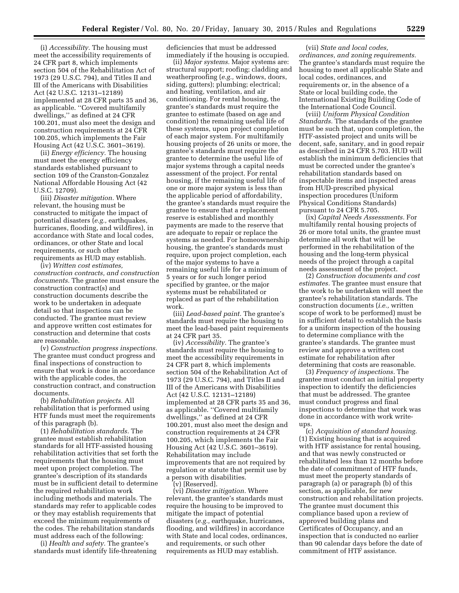(i) *Accessibility.* The housing must meet the accessibility requirements of 24 CFR part 8, which implements section 504 of the Rehabilitation Act of 1973 (29 U.S.C. 794), and Titles II and III of the Americans with Disabilities Act (42 U.S.C. 12131–12189) implemented at 28 CFR parts 35 and 36, as applicable. ''Covered multifamily dwellings,'' as defined at 24 CFR 100.201, must also meet the design and construction requirements at 24 CFR 100.205, which implements the Fair Housing Act (42 U.S.C. 3601–3619).

(ii) *Energy efficiency.* The housing must meet the energy efficiency standards established pursuant to section 109 of the Cranston-Gonzalez National Affordable Housing Act (42 U.S.C. 12709).

(iii) *Disaster mitigation.* Where relevant, the housing must be constructed to mitigate the impact of potential disasters (*e.g.,* earthquakes, hurricanes, flooding, and wildfires), in accordance with State and local codes, ordinances, or other State and local requirements, or such other requirements as HUD may establish.

(iv) *Written cost estimates, construction contracts, and construction documents.* The grantee must ensure the construction contract(s) and construction documents describe the work to be undertaken in adequate detail so that inspections can be conducted. The grantee must review and approve written cost estimates for construction and determine that costs are reasonable.

(v) *Construction progress inspections.*  The grantee must conduct progress and final inspections of construction to ensure that work is done in accordance with the applicable codes, the construction contract, and construction documents.

(b) *Rehabilitation projects.* All rehabilitation that is performed using HTF funds must meet the requirements of this paragraph (b).

(1) *Rehabilitation standards.* The grantee must establish rehabilitation standards for all HTF-assisted housing rehabilitation activities that set forth the requirements that the housing must meet upon project completion. The grantee's description of its standards must be in sufficient detail to determine the required rehabilitation work including methods and materials. The standards may refer to applicable codes or they may establish requirements that exceed the minimum requirements of the codes. The rehabilitation standards must address each of the following:

(i) *Health and safety.* The grantee's standards must identify life-threatening deficiencies that must be addressed immediately if the housing is occupied.

(ii) *Major systems.* Major systems are: structural support; roofing; cladding and weatherproofing (*e.g.,* windows, doors, siding, gutters); plumbing; electrical; and heating, ventilation, and air conditioning. For rental housing, the grantee's standards must require the grantee to estimate (based on age and condition) the remaining useful life of these systems, upon project completion of each major system. For multifamily housing projects of 26 units or more, the grantee's standards must require the grantee to determine the useful life of major systems through a capital needs assessment of the project. For rental housing, if the remaining useful life of one or more major system is less than the applicable period of affordability, the grantee's standards must require the grantee to ensure that a replacement reserve is established and monthly payments are made to the reserve that are adequate to repair or replace the systems as needed. For homeownership housing, the grantee's standards must require, upon project completion, each of the major systems to have a remaining useful life for a minimum of 5 years or for such longer period specified by grantee, or the major systems must be rehabilitated or replaced as part of the rehabilitation work.

(iii) *Lead-based paint.* The grantee's standards must require the housing to meet the lead-based paint requirements at 24 CFR part 35.

(iv) *Accessibility.* The grantee's standards must require the housing to meet the accessibility requirements in 24 CFR part 8, which implements section 504 of the Rehabilitation Act of 1973 (29 U.S.C. 794), and Titles II and III of the Americans with Disabilities Act (42 U.S.C. 12131–12189) implemented at 28 CFR parts 35 and 36, as applicable. ''Covered multifamily dwellings,'' as defined at 24 CFR 100.201, must also meet the design and construction requirements at 24 CFR 100.205, which implements the Fair Housing Act (42 U.S.C. 3601–3619). Rehabilitation may include improvements that are not required by regulation or statute that permit use by a person with disabilities.

(v) [Reserved].

(vi) *Disaster mitigation.* Where relevant, the grantee's standards must require the housing to be improved to mitigate the impact of potential disasters (*e.g.,* earthquake, hurricanes, flooding, and wildfires) in accordance with State and local codes, ordinances, and requirements, or such other requirements as HUD may establish.

(vii) *State and local codes, ordinances, and zoning requirements.*  The grantee's standards must require the housing to meet all applicable State and local codes, ordinances, and requirements or, in the absence of a State or local building code, the International Existing Building Code of the International Code Council.

(viii) *Uniform Physical Condition Standards.* The standards of the grantee must be such that, upon completion, the HTF-assisted project and units will be decent, safe, sanitary, and in good repair as described in 24 CFR 5.703. HUD will establish the minimum deficiencies that must be corrected under the grantee's rehabilitation standards based on inspectable items and inspected areas from HUD-prescribed physical inspection procedures (Uniform Physical Conditions Standards) pursuant to 24 CFR 5.705.

(ix) *Capital Needs Assessments.* For multifamily rental housing projects of 26 or more total units, the grantee must determine all work that will be performed in the rehabilitation of the housing and the long-term physical needs of the project through a capital needs assessment of the project.

(2) *Construction documents and cost estimates.* The grantee must ensure that the work to be undertaken will meet the grantee's rehabilitation standards. The construction documents (*i.e.,* written scope of work to be performed) must be in sufficient detail to establish the basis for a uniform inspection of the housing to determine compliance with the grantee's standards. The grantee must review and approve a written cost estimate for rehabilitation after determining that costs are reasonable.

(3) *Frequency of inspections.* The grantee must conduct an initial property inspection to identify the deficiencies that must be addressed. The grantee must conduct progress and final inspections to determine that work was done in accordance with work writeups.

(c) *Acquisition of standard housing.*  (1) Existing housing that is acquired with HTF assistance for rental housing, and that was newly constructed or rehabilitated less than 12 months before the date of commitment of HTF funds, must meet the property standards of paragraph (a) or paragraph (b) of this section, as applicable, for new construction and rehabilitation projects. The grantee must document this compliance based upon a review of approved building plans and Certificates of Occupancy, and an inspection that is conducted no earlier than 90 calendar days before the date of commitment of HTF assistance.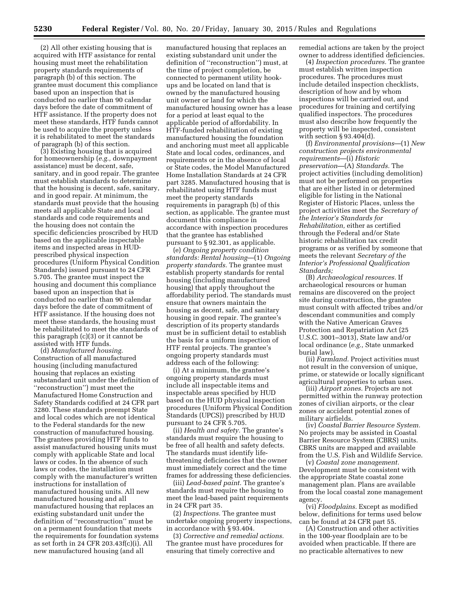(2) All other existing housing that is acquired with HTF assistance for rental housing must meet the rehabilitation property standards requirements of paragraph (b) of this section. The grantee must document this compliance based upon an inspection that is conducted no earlier than 90 calendar days before the date of commitment of HTF assistance. If the property does not meet these standards, HTF funds cannot be used to acquire the property unless it is rehabilitated to meet the standards of paragraph (b) of this section.

(3) Existing housing that is acquired for homeownership (*e.g.,* downpayment assistance) must be decent, safe, sanitary, and in good repair. The grantee must establish standards to determine that the housing is decent, safe, sanitary, and in good repair. At minimum, the standards must provide that the housing meets all applicable State and local standards and code requirements and the housing does not contain the specific deficiencies proscribed by HUD based on the applicable inspectable items and inspected areas in HUDprescribed physical inspection procedures (Uniform Physical Condition Standards) issued pursuant to 24 CFR 5.705. The grantee must inspect the housing and document this compliance based upon an inspection that is conducted no earlier than 90 calendar days before the date of commitment of HTF assistance. If the housing does not meet these standards, the housing must be rehabilitated to meet the standards of this paragraph (c)(3) or it cannot be assisted with HTF funds.

(d) *Manufactured housing.*  Construction of all manufactured housing (including manufactured housing that replaces an existing substandard unit under the definition of ''reconstruction'') must meet the Manufactured Home Construction and Safety Standards codified at 24 CFR part 3280. These standards preempt State and local codes which are not identical to the Federal standards for the new construction of manufactured housing. The grantees providing HTF funds to assist manufactured housing units must comply with applicable State and local laws or codes. In the absence of such laws or codes, the installation must comply with the manufacturer's written instructions for installation of manufactured housing units. All new manufactured housing and all manufactured housing that replaces an existing substandard unit under the definition of ''reconstruction'' must be on a permanent foundation that meets the requirements for foundation systems as set forth in 24 CFR 203.43f(c)(i). All new manufactured housing (and all

manufactured housing that replaces an existing substandard unit under the definition of ''reconstruction'') must, at the time of project completion, be connected to permanent utility hookups and be located on land that is owned by the manufactured housing unit owner or land for which the manufactured housing owner has a lease for a period at least equal to the applicable period of affordability. In HTF-funded rehabilitation of existing manufactured housing the foundation and anchoring must meet all applicable State and local codes, ordinances, and requirements or in the absence of local or State codes, the Model Manufactured Home Installation Standards at 24 CFR part 3285. Manufactured housing that is rehabilitated using HTF funds must meet the property standards requirements in paragraph (b) of this section, as applicable. The grantee must document this compliance in accordance with inspection procedures that the grantee has established pursuant to § 92.301, as applicable.

(e) *Ongoing property condition standards: Rental housing*—(1) *Ongoing property standards.* The grantee must establish property standards for rental housing (including manufactured housing) that apply throughout the affordability period. The standards must ensure that owners maintain the housing as decent, safe, and sanitary housing in good repair. The grantee's description of its property standards must be in sufficient detail to establish the basis for a uniform inspection of HTF rental projects. The grantee's ongoing property standards must address each of the following:

(i) At a minimum, the grantee's ongoing property standards must include all inspectable items and inspectable areas specified by HUD based on the HUD physical inspection procedures (Uniform Physical Condition Standards (UPCS)) prescribed by HUD pursuant to 24 CFR 5.705.

(ii) *Health and safety.* The grantee's standards must require the housing to be free of all health and safety defects. The standards must identify lifethreatening deficiencies that the owner must immediately correct and the time frames for addressing these deficiencies.

(iii) *Lead-based paint.* The grantee's standards must require the housing to meet the lead-based paint requirements in 24 CFR part 35.

(2) *Inspections.* The grantee must undertake ongoing property inspections, in accordance with § 93.404.

(3) *Corrective and remedial actions.*  The grantee must have procedures for ensuring that timely corrective and

remedial actions are taken by the project owner to address identified deficiencies.

(4) *Inspection procedures.* The grantee must establish written inspection procedures. The procedures must include detailed inspection checklists, description of how and by whom inspections will be carried out, and procedures for training and certifying qualified inspectors. The procedures must also describe how frequently the property will be inspected, consistent with section § 93.404(d).

(f) *Environmental provisions*—(1) *New construction projects environmental requirements*—(i) *Historic preservation*—(A) *Standards.* The project activities (including demolition) must not be performed on properties that are either listed in or determined eligible for listing in the National Register of Historic Places, unless the project activities meet the *Secretary of the Interior's Standards for Rehabilitation,* either as certified through the Federal and/or State historic rehabilitation tax credit programs or as verified by someone that meets the relevant *Secretary of the Interior's Professional Qualification Standards;* 

(B) *Archaeological resources.* If archaeological resources or human remains are discovered on the project site during construction, the grantee must consult with affected tribes and/or descendant communities and comply with the Native American Graves Protection and Repatriation Act (25 U.S.C. 3001–3013), State law and/or local ordinance (*e.g.,* State unmarked burial law).

(ii) *Farmland.* Project activities must not result in the conversion of unique, prime, or statewide or locally significant agricultural properties to urban uses.

(iii) *Airport zones.* Projects are not permitted within the runway protection zones of civilian airports, or the clear zones or accident potential zones of military airfields.

(iv) *Coastal Barrier Resource System.*  No projects may be assisted in Coastal Barrier Resource System (CBRS) units. CBRS units are mapped and available from the U.S. Fish and Wildlife Service.

(v) *Coastal zone management.*  Development must be consistent with the appropriate State coastal zone management plan. Plans are available from the local coastal zone management agency.

(vi) *Floodplains.* Except as modified below, definitions for terms used below can be found at 24 CFR part 55.

(A) Construction and other activities in the 100-year floodplain are to be avoided when practicable. If there are no practicable alternatives to new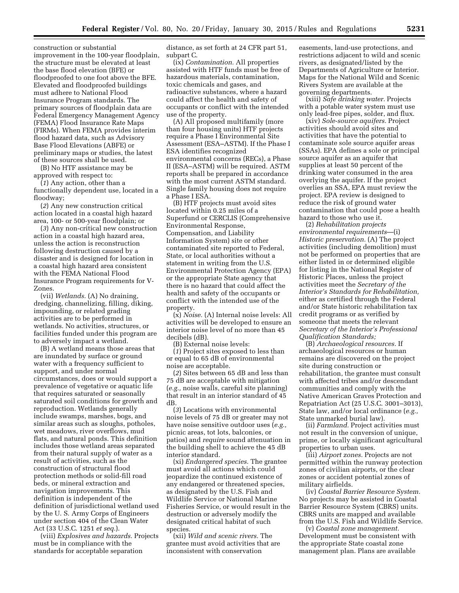construction or substantial improvement in the 100-year floodplain, the structure must be elevated at least the base flood elevation (BFE) or floodproofed to one foot above the BFE. Elevated and floodproofed buildings must adhere to National Flood Insurance Program standards. The primary sources of floodplain data are Federal Emergency Management Agency (FEMA) Flood Insurance Rate Maps (FIRMs). When FEMA provides interim flood hazard data, such as Advisory Base Flood Elevations (ABFE) or preliminary maps or studies, the latest of these sources shall be used.

(B) No HTF assistance may be approved with respect to:

(*1*) Any action, other than a functionally dependent use, located in a floodway;

(*2*) Any new construction critical action located in a coastal high hazard area, 100- or 500-year floodplain; or

(*3*) Any non-critical new construction action in a coastal high hazard area, unless the action is reconstruction following destruction caused by a disaster and is designed for location in a coastal high hazard area consistent with the FEMA National Flood Insurance Program requirements for V-Zones.

(vii) *Wetlands.* (A) No draining, dredging, channelizing, filling, diking, impounding, or related grading activities are to be performed in wetlands. No activities, structures, or facilities funded under this program are to adversely impact a wetland.

(B) A wetland means those areas that are inundated by surface or ground water with a frequency sufficient to support, and under normal circumstances, does or would support a prevalence of vegetative or aquatic life that requires saturated or seasonally saturated soil conditions for growth and reproduction. Wetlands generally include swamps, marshes, bogs, and similar areas such as sloughs, potholes, wet meadows, river overflows, mud flats, and natural ponds. This definition includes those wetland areas separated from their natural supply of water as a result of activities, such as the construction of structural flood protection methods or solid-fill road beds, or mineral extraction and navigation improvements. This definition is independent of the definition of jurisdictional wetland used by the U. S. Army Corps of Engineers under section 404 of the Clean Water Act (33 U.S.C. 1251 *et seq.*).

(viii) *Explosives and hazards.* Projects must be in compliance with the standards for acceptable separation

distance, as set forth at 24 CFR part 51, subpart C.

(ix) *Contamination.* All properties assisted with HTF funds must be free of hazardous materials, contamination, toxic chemicals and gases, and radioactive substances, where a hazard could affect the health and safety of occupants or conflict with the intended use of the property.

(A) All proposed multifamily (more than four housing units) HTF projects require a Phase I Environmental Site Assessment (ESA–ASTM). If the Phase I ESA identifies recognized environmental concerns (RECs), a Phase II (ESA–ASTM) will be required. ASTM reports shall be prepared in accordance with the most current ASTM standard. Single family housing does not require a Phase I ESA.

(B) HTF projects must avoid sites located within 0.25 miles of a Superfund or CERCLIS (Comprehensive Environmental Response, Compensation, and Liability Information System) site or other contaminated site reported to Federal, State, or local authorities without a statement in writing from the U.S. Environmental Protection Agency (EPA) or the appropriate State agency that there is no hazard that could affect the health and safety of the occupants or conflict with the intended use of the property.

(x) *Noise.* (A) Internal noise levels: All activities will be developed to ensure an interior noise level of no more than 45 decibels (dB).

(B) External noise levels:

(*1*) Project sites exposed to less than or equal to 65 dB of environmental noise are acceptable.

(*2*) Sites between 65 dB and less than 75 dB are acceptable with mitigation (*e.g.,* noise walls, careful site planning) that result in an interior standard of 45 dB.

(*3*) Locations with environmental noise levels of 75 dB or greater may not have noise sensitive outdoor uses (*e.g.,*  picnic areas, tot lots, balconies, or patios) and *require* sound attenuation in the building shell to achieve the 45 dB interior standard.

(xi) *Endangered species.* The grantee must avoid all actions which could jeopardize the continued existence of any endangered or threatened species, as designated by the U.S. Fish and Wildlife Service or National Marine Fisheries Service, or would result in the destruction or adversely modify the designated critical habitat of such species.

(xii) *Wild and scenic rivers.* The grantee must avoid activities that are inconsistent with conservation

easements, land-use protections, and restrictions adjacent to wild and scenic rivers, as designated/listed by the Departments of Agriculture or Interior. Maps for the National Wild and Scenic Rivers System are available at the governing departments.

(xiii) *Safe drinking water.* Projects with a potable water system must use only lead-free pipes, solder, and flux.

(xiv) *Sole-source aquifers.* Project activities should avoid sites and activities that have the potential to contaminate sole source aquifer areas (SSAs). EPA defines a sole or principal source aquifer as an aquifer that supplies at least 50 percent of the drinking water consumed in the area overlying the aquifer. If the project overlies an SSA, EPA must review the project. EPA review is designed to reduce the risk of ground water contamination that could pose a health hazard to those who use it.

(2) *Rehabilitation projects environmental requirements*—(i) *Historic preservation.* (A) The project activities (including demolition) must not be performed on properties that are either listed in or determined eligible for listing in the National Register of Historic Places, unless the project activities meet the *Secretary of the Interior's Standards for Rehabilitation,*  either as certified through the Federal and/or State historic rehabilitation tax credit programs or as verified by someone that meets the relevant *Secretary of the Interior's Professional Qualification Standards;* 

(B) *Archaeological resources.* If archaeological resources or human remains are discovered on the project site during construction or rehabilitation, the grantee must consult with affected tribes and/or descendant communities and comply with the Native American Graves Protection and Repatriation Act (25 U.S.C. 3001–3013), State law, and/or local ordinance (*e.g.,*  State unmarked burial law).

(ii) *Farmland.* Project activities must not result in the conversion of unique, prime, or locally significant agricultural properties to urban uses.

(iii) *Airport zones.* Projects are not permitted within the runway protection zones of civilian airports, or the clear zones or accident potential zones of military airfields.

(iv) *Coastal Barrier Resource System.*  No projects may be assisted in Coastal Barrier Resource System (CBRS) units. CBRS units are mapped and available from the U.S. Fish and Wildlife Service.

(v) *Coastal zone management.*  Development must be consistent with the appropriate State coastal zone management plan. Plans are available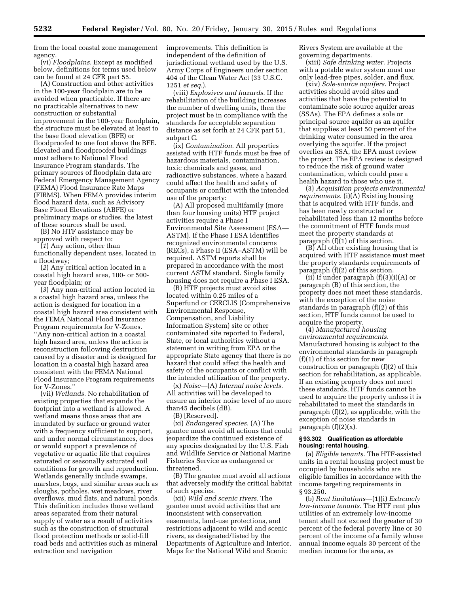from the local coastal zone management agency.

(vi) *Floodplains.* Except as modified below, definitions for terms used below can be found at 24 CFR part 55.

(A) Construction and other activities in the 100-year floodplain are to be avoided when practicable. If there are no practicable alternatives to new construction or substantial improvement in the 100-year floodplain, the structure must be elevated at least to the base flood elevation (BFE) or floodproofed to one foot above the BFE. Elevated and floodproofed buildings must adhere to National Flood Insurance Program standards. The primary sources of floodplain data are Federal Emergency Management Agency (FEMA) Flood Insurance Rate Maps (FIRMS). When FEMA provides interim flood hazard data, such as Advisory Base Flood Elevations (ABFE) or preliminary maps or studies, the latest of these sources shall be used.

(B) No HTF assistance may be approved with respect to:

(*1*) Any action, other than functionally dependent uses, located in a floodway;

(*2*) Any critical action located in a coastal high hazard area, 100- or 500 year floodplain; or

(*3*) Any non-critical action located in a coastal high hazard area, unless the action is designed for location in a coastal high hazard area consistent with the FEMA National Flood Insurance Program requirements for V-Zones. ''Any non-critical action in a coastal high hazard area, unless the action is reconstruction following destruction caused by a disaster and is designed for location in a coastal high hazard area consistent with the FEMA National Flood Insurance Program requirements for V-Zones.''

(vii) *Wetlands.* No rehabilitation of existing properties that expands the footprint into a wetland is allowed. A wetland means those areas that are inundated by surface or ground water with a frequency sufficient to support, and under normal circumstances, does or would support a prevalence of vegetative or aquatic life that requires saturated or seasonally saturated soil conditions for growth and reproduction. Wetlands generally include swamps, marshes, bogs, and similar areas such as sloughs, potholes, wet meadows, river overflows, mud flats, and natural ponds. This definition includes those wetland areas separated from their natural supply of water as a result of activities such as the construction of structural flood protection methods or solid-fill road beds and activities such as mineral extraction and navigation

improvements. This definition is independent of the definition of jurisdictional wetland used by the U.S. Army Corps of Engineers under section 404 of the Clean Water Act (33 U.S.C. 1251 *et seq.*).

(viii) *Explosives and hazards.* If the rehabilitation of the building increases the number of dwelling units, then the project must be in compliance with the standards for acceptable separation distance as set forth at 24 CFR part 51, subpart C.

(ix) *Contamination.* All properties assisted with HTF funds must be free of hazardous materials, contamination, toxic chemicals and gases, and radioactive substances, where a hazard could affect the health and safety of occupants or conflict with the intended use of the property:

(A) All proposed multifamily (more than four housing units) HTF project activities require a Phase I Environmental Site Assessment (ESA— ASTM). If the Phase I ESA identifies recognized environmental concerns (RECs), a Phase II (ESA–ASTM) will be required. ASTM reports shall be prepared in accordance with the most current ASTM standard. Single family housing does not require a Phase I ESA.

(B) HTF projects must avoid sites located within 0.25 miles of a Superfund or CERCLIS (Comprehensive Environmental Response, Compensation, and Liability Information System) site or other contaminated site reported to Federal, State, or local authorities without a statement in writing from EPA or the appropriate State agency that there is no hazard that could affect the health and safety of the occupants or conflict with the intended utilization of the property.

(x) *Noise*—(A) *Internal noise levels.*  All activities will be developed to ensure an interior noise level of no more than45 decibels (dB).

(B) [Reserved].

(xi) *Endangered species.* (A) The grantee must avoid all actions that could jeopardize the continued existence of any species designated by the U.S. Fish and Wildlife Service or National Marine Fisheries Service as endangered or threatened.

(B) The grantee must avoid all actions that adversely modify the critical habitat of such species.

(xii) *Wild and scenic rivers.* The grantee must avoid activities that are inconsistent with conservation easements, land-use protections, and restrictions adjacent to wild and scenic rivers, as designated/listed by the Departments of Agriculture and Interior. Maps for the National Wild and Scenic

Rivers System are available at the governing departments.

(xiii) *Safe drinking water.* Projects with a potable water system must use only lead-free pipes, solder, and flux.

(xiv) *Sole-source aquifers.* Project activities should avoid sites and activities that have the potential to contaminate sole source aquifer areas (SSAs). The EPA defines a sole or principal source aquifer as an aquifer that supplies at least 50 percent of the drinking water consumed in the area overlying the aquifer. If the project overlies an SSA, the EPA must review the project. The EPA review is designed to reduce the risk of ground water contamination, which could pose a health hazard to those who use it.

(3) *Acquisition projects environmental requirements.* (i)(A) Existing housing that is acquired with HTF funds, and has been newly constructed or rehabilitated less than 12 months before the commitment of HTF funds must meet the property standards at paragraph (f)(1) of this section.

(B) All other existing housing that is acquired with HTF assistance must meet the property standards requirements of paragraph (f)(2) of this section.

(ii) If under paragraph  $(f)(3)(i)(A)$  or paragraph (B) of this section, the property does not meet these standards, with the exception of the noise standards in paragraph (f)(2) of this section, HTF funds cannot be used to acquire the property.

(4) *Manufactured housing environmental requirements.*  Manufactured housing is subject to the environmental standards in paragraph  $(f)(1)$  of this section for new construction or paragraph (f)(2) of this section for rehabilitation, as applicable. If an existing property does not meet these standards, HTF funds cannot be used to acquire the property unless it is rehabilitated to meet the standards in paragraph (f)(2), as applicable, with the exception of noise standards in paragraph  $(f)(2)(x)$ .

#### **§ 93.302 Qualification as affordable housing: rental housing.**

(a) *Eligible tenants.* The HTF-assisted units in a rental housing project must be occupied by households who are eligible families in accordance with the income targeting requirements in § 93.250.

(b) *Rent limitations*—(1)(i) *Extremely low-income tenants.* The HTF rent plus utilities of an extremely low-income tenant shall not exceed the greater of 30 percent of the federal poverty line or 30 percent of the income of a family whose annual income equals 30 percent of the median income for the area, as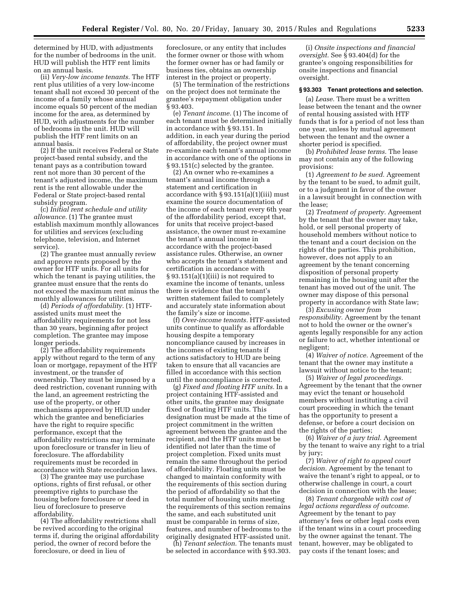determined by HUD, with adjustments for the number of bedrooms in the unit. HUD will publish the HTF rent limits on an annual basis.

(ii) *Very-low income tenants.* The HTF rent plus utilities of a very low-income tenant shall not exceed 30 percent of the income of a family whose annual income equals 50 percent of the median income for the area, as determined by HUD, with adjustments for the number of bedrooms in the unit. HUD will publish the HTF rent limits on an annual basis.

(2) If the unit receives Federal or State project-based rental subsidy, and the tenant pays as a contribution toward rent not more than 30 percent of the tenant's adjusted income, the maximum rent is the rent allowable under the Federal or State project-based rental subsidy program.

(c) *Initial rent schedule and utility allowance.* (1) The grantee must establish maximum monthly allowances for utilities and services (excluding telephone, television, and Internet service).

(2) The grantee must annually review and approve rents proposed by the owner for HTF units. For all units for which the tenant is paying utilities, the grantee must ensure that the rents do not exceed the maximum rent minus the monthly allowances for utilities.

(d) *Periods of affordability.* (1) HTFassisted units must meet the affordability requirements for not less than 30 years, beginning after project completion. The grantee may impose longer periods.

(2) The affordability requirements apply without regard to the term of any loan or mortgage, repayment of the HTF investment, or the transfer of ownership. They must be imposed by a deed restriction, covenant running with the land, an agreement restricting the use of the property, or other mechanisms approved by HUD under which the grantee and beneficiaries have the right to require specific performance, except that the affordability restrictions may terminate upon foreclosure or transfer in lieu of foreclosure. The affordability requirements must be recorded in accordance with State recordation laws.

(3) The grantee may use purchase options, rights of first refusal, or other preemptive rights to purchase the housing before foreclosure or deed in lieu of foreclosure to preserve affordability.

(4) The affordability restrictions shall be revived according to the original terms if, during the original affordability period, the owner of record before the foreclosure, or deed in lieu of

foreclosure, or any entity that includes the former owner or those with whom the former owner has or had family or business ties, obtains an ownership interest in the project or property.

(5) The termination of the restrictions on the project does not terminate the grantee's repayment obligation under § 93.403.

(e) *Tenant income.* (1) The income of each tenant must be determined initially in accordance with § 93.151. In addition, in each year during the period of affordability, the project owner must re-examine each tenant's annual income in accordance with one of the options in § 93.151(c) selected by the grantee.

(2) An owner who re-examines a tenant's annual income through a statement and certification in accordance with § 93.151(a)(1)(iii) must examine the source documentation of the income of each tenant every 6th year of the affordability period, except that, for units that receive project-based assistance, the owner must re-examine the tenant's annual income in accordance with the project-based assistance rules. Otherwise, an owner who accepts the tenant's statement and certification in accordance with § 93.151(a)(1)(iii) is not required to examine the income of tenants, unless there is evidence that the tenant's written statement failed to completely and accurately state information about the family's size or income.

(f) *Over-income tenants.* HTF-assisted units continue to qualify as affordable housing despite a temporary noncompliance caused by increases in the incomes of existing tenants if actions satisfactory to HUD are being taken to ensure that all vacancies are filled in accordance with this section until the noncompliance is corrected.

(g) *Fixed and floating HTF units.* In a project containing HTF-assisted and other units, the grantee may designate fixed or floating HTF units. This designation must be made at the time of project commitment in the written agreement between the grantee and the recipient, and the HTF units must be identified not later than the time of project completion. Fixed units must remain the same throughout the period of affordability. Floating units must be changed to maintain conformity with the requirements of this section during the period of affordability so that the total number of housing units meeting the requirements of this section remains the same, and each substituted unit must be comparable in terms of size, features, and number of bedrooms to the originally designated HTF-assisted unit.

(h) *Tenant selection.* The tenants must be selected in accordance with § 93.303.

(i) *Onsite inspections and financial oversight.* See § 93.404(d) for the grantee's ongoing responsibilities for onsite inspections and financial oversight.

## **§ 93.303 Tenant protections and selection.**

(a) *Lease.* There must be a written lease between the tenant and the owner of rental housing assisted with HTF funds that is for a period of not less than one year, unless by mutual agreement between the tenant and the owner a shorter period is specified.

(b) *Prohibited lease terms.* The lease may not contain any of the following provisions:

(1) *Agreement to be sued.* Agreement by the tenant to be sued, to admit guilt, or to a judgment in favor of the owner in a lawsuit brought in connection with the lease;

(2) *Treatment of property.* Agreement by the tenant that the owner may take, hold, or sell personal property of household members without notice to the tenant and a court decision on the rights of the parties. This prohibition, however, does not apply to an agreement by the tenant concerning disposition of personal property remaining in the housing unit after the tenant has moved out of the unit. The owner may dispose of this personal property in accordance with State law;

(3) *Excusing owner from responsibility.* Agreement by the tenant not to hold the owner or the owner's agents legally responsible for any action or failure to act, whether intentional or negligent;

(4) *Waiver of notice.* Agreement of the tenant that the owner may institute a lawsuit without notice to the tenant;

(5) *Waiver of legal proceedings.*  Agreement by the tenant that the owner may evict the tenant or household members without instituting a civil court proceeding in which the tenant has the opportunity to present a defense, or before a court decision on the rights of the parties;

(6) *Waiver of a jury trial.* Agreement by the tenant to waive any right to a trial by jury;

(7) *Waiver of right to appeal court decision.* Agreement by the tenant to waive the tenant's right to appeal, or to otherwise challenge in court, a court decision in connection with the lease;

(8) *Tenant chargeable with cost of legal actions regardless of outcome.*  Agreement by the tenant to pay attorney's fees or other legal costs even if the tenant wins in a court proceeding by the owner against the tenant. The tenant, however, may be obligated to pay costs if the tenant loses; and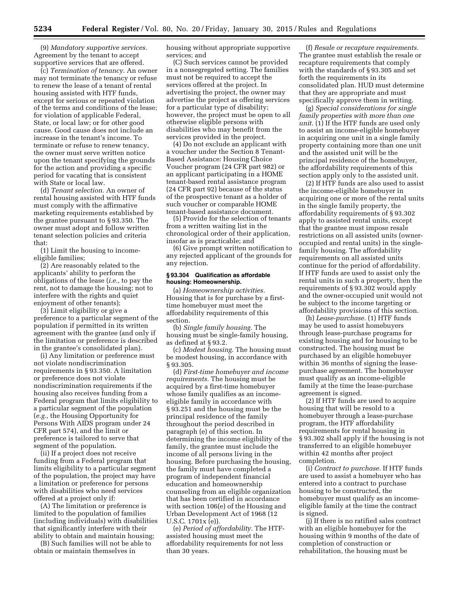(9) *Mandatory supportive services.*  Agreement by the tenant to accept supportive services that are offered.

(c) *Termination of tenancy.* An owner may not terminate the tenancy or refuse to renew the lease of a tenant of rental housing assisted with HTF funds, except for serious or repeated violation of the terms and conditions of the lease; for violation of applicable Federal, State, or local law; or for other good cause. Good cause does not include an increase in the tenant's income. To terminate or refuse to renew tenancy, the owner must serve written notice upon the tenant specifying the grounds for the action and providing a specific period for vacating that is consistent with State or local law.

(d) *Tenant selection.* An owner of rental housing assisted with HTF funds must comply with the affirmative marketing requirements established by the grantee pursuant to § 93.350. The owner must adopt and follow written tenant selection policies and criteria that:

(1) Limit the housing to incomeeligible families;

(2) Are reasonably related to the applicants' ability to perform the obligations of the lease (*i.e.,* to pay the rent, not to damage the housing; not to interfere with the rights and quiet enjoyment of other tenants);

(3) Limit eligibility or give a preference to a particular segment of the population if permitted in its written agreement with the grantee (and only if the limitation or preference is described in the grantee's consolidated plan).

(i) Any limitation or preference must not violate nondiscrimination requirements in § 93.350. A limitation or preference does not violate nondiscrimination requirements if the housing also receives funding from a Federal program that limits eligibility to a particular segment of the population (*e.g.,* the Housing Opportunity for Persons With AIDS program under 24 CFR part 574), and the limit or preference is tailored to serve that segment of the population.

(ii) If a project does not receive funding from a Federal program that limits eligibility to a particular segment of the population, the project may have a limitation or preference for persons with disabilities who need services offered at a project only if:

(A) The limitation or preference is limited to the population of families (including individuals) with disabilities that significantly interfere with their ability to obtain and maintain housing;

(B) Such families will not be able to obtain or maintain themselves in

housing without appropriate supportive services; and

(C) Such services cannot be provided in a nonsegregated setting. The families must not be required to accept the services offered at the project. In advertising the project, the owner may advertise the project as offering services for a particular type of disability; however, the project must be open to all otherwise eligible persons with disabilities who may benefit from the services provided in the project.

(4) Do not exclude an applicant with a voucher under the Section 8 Tenant-Based Assistance: Housing Choice Voucher program (24 CFR part 982) or an applicant participating in a HOME tenant-based rental assistance program (24 CFR part 92) because of the status of the prospective tenant as a holder of such voucher or comparable HOME tenant-based assistance document.

(5) Provide for the selection of tenants from a written waiting list in the chronological order of their application, insofar as is practicable; and

(6) Give prompt written notification to any rejected applicant of the grounds for any rejection.

#### **§ 93.304 Qualification as affordable housing: Homeownership.**

(a) *Homeownership activities.*  Housing that is for purchase by a firsttime homebuyer must meet the affordability requirements of this section.

(b) *Single family housing.* The housing must be single-family housing, as defined at § 93.2.

(c) *Modest housing.* The housing must be modest housing, in accordance with § 93.305.

(d) *First-time homebuyer and income requirements.* The housing must be acquired by a first-time homebuyer whose family qualifies as an incomeeligible family in accordance with § 93.251 and the housing must be the principal residence of the family throughout the period described in paragraph (e) of this section. In determining the income eligibility of the family, the grantee must include the income of all persons living in the housing. Before purchasing the housing, the family must have completed a program of independent financial education and homeownership counseling from an eligible organization that has been certified in accordance with section 106(e) of the Housing and Urban Development Act of 1968 (12 U.S.C. 1701x (e)).

(e) *Period of affordability.* The HTFassisted housing must meet the affordability requirements for not less than 30 years.

(f) *Resale or recapture requirements.*  The grantee must establish the resale or recapture requirements that comply with the standards of § 93.305 and set forth the requirements in its consolidated plan. HUD must determine that they are appropriate and must specifically approve them in writing.

(g) *Special considerations for single family properties with more than one unit.* (1) If the HTF funds are used only to assist an income-eligible homebuyer in acquiring one unit in a single family property containing more than one unit and the assisted unit will be the principal residence of the homebuyer, the affordability requirements of this section apply only to the assisted unit.

(2) If HTF funds are also used to assist the income-eligible homebuyer in acquiring one or more of the rental units in the single family property, the affordability requirements of § 93.302 apply to assisted rental units, except that the grantee must impose resale restrictions on all assisted units (owneroccupied and rental units) in the singlefamily housing. The affordability requirements on all assisted units continue for the period of affordability. If HTF funds are used to assist only the rental units in such a property, then the requirements of § 93.302 would apply and the owner-occupied unit would not be subject to the income targeting or affordability provisions of this section.

(h) *Lease-purchase.* (1) HTF funds may be used to assist homebuyers through lease-purchase programs for existing housing and for housing to be constructed. The housing must be purchased by an eligible homebuyer within 36 months of signing the leasepurchase agreement. The homebuyer must qualify as an income-eligible family at the time the lease-purchase agreement is signed.

(2) If HTF funds are used to acquire housing that will be resold to a homebuyer through a lease-purchase program, the HTF affordability requirements for rental housing in § 93.302 shall apply if the housing is not transferred to an eligible homebuyer within 42 months after project completion.

(i) *Contract to purchase.* If HTF funds are used to assist a homebuyer who has entered into a contract to purchase housing to be constructed, the homebuyer must qualify as an incomeeligible family at the time the contract is signed.

(j) If there is no ratified sales contract with an eligible homebuyer for the housing within 9 months of the date of completion of construction or rehabilitation, the housing must be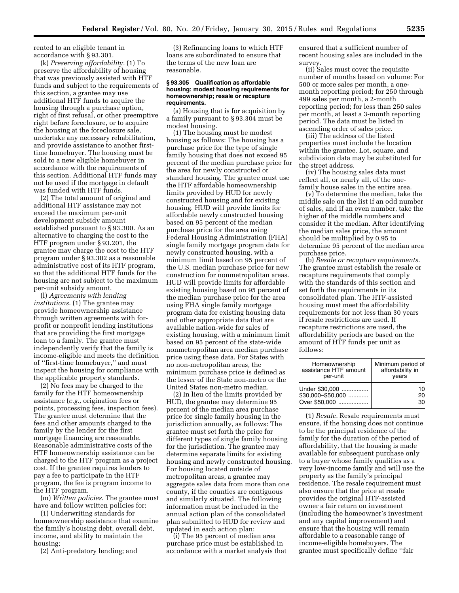rented to an eligible tenant in accordance with § 93.301.

(k) *Preserving affordability.* (1) To preserve the affordability of housing that was previously assisted with HTF funds and subject to the requirements of this section, a grantee may use additional HTF funds to acquire the housing through a purchase option, right of first refusal, or other preemptive right before foreclosure, or to acquire the housing at the foreclosure sale, undertake any necessary rehabilitation, and provide assistance to another firsttime homebuyer. The housing must be sold to a new eligible homebuyer in accordance with the requirements of this section. Additional HTF funds may not be used if the mortgage in default was funded with HTF funds.

(2) The total amount of original and additional HTF assistance may not exceed the maximum per-unit development subsidy amount established pursuant to § 93.300. As an alternative to charging the cost to the HTF program under § 93.201, the grantee may charge the cost to the HTF program under § 93.302 as a reasonable administrative cost of its HTF program, so that the additional HTF funds for the housing are not subject to the maximum per-unit subsidy amount.

(l) *Agreements with lending institutions.* (1) The grantee may provide homeownership assistance through written agreements with forprofit or nonprofit lending institutions that are providing the first mortgage loan to a family. The grantee must independently verify that the family is income-eligible and meets the definition of ''first-time homebuyer,'' and must inspect the housing for compliance with the applicable property standards.

(2) No fees may be charged to the family for the HTF homeownership assistance (*e.g.,* origination fees or points, processing fees, inspection fees). The grantee must determine that the fees and other amounts charged to the family by the lender for the first mortgage financing are reasonable. Reasonable administrative costs of the HTF homeownership assistance can be charged to the HTF program as a project cost. If the grantee requires lenders to pay a fee to participate in the HTF program, the fee is program income to the HTF program.

(m) *Written policies.* The grantee must have and follow written policies for:

(1) Underwriting standards for homeownership assistance that examine the family's housing debt, overall debt, income, and ability to maintain the housing;

(2) Anti-predatory lending; and

(3) Refinancing loans to which HTF loans are subordinated to ensure that the terms of the new loan are reasonable.

#### **§ 93.305 Qualification as affordable housing: modest housing requirements for homeownership; resale or recapture requirements.**

(a) Housing that is for acquisition by a family pursuant to § 93.304 must be modest housing.

(1) The housing must be modest housing as follows: The housing has a purchase price for the type of single family housing that does not exceed 95 percent of the median purchase price for the area for newly constructed or standard housing. The grantee must use the HTF affordable homeownership limits provided by HUD for newly constructed housing and for existing housing. HUD will provide limits for affordable newly constructed housing based on 95 percent of the median purchase price for the area using Federal Housing Administration (FHA) single family mortgage program data for newly constructed housing, with a minimum limit based on 95 percent of the U.S. median purchase price for new construction for nonmetropolitan areas. HUD will provide limits for affordable existing housing based on 95 percent of the median purchase price for the area using FHA single family mortgage program data for existing housing data and other appropriate data that are available nation-wide for sales of existing housing, with a minimum limit based on 95 percent of the state-wide nonmetropolitan area median purchase price using these data. For States with no non-metropolitan areas, the minimum purchase price is defined as the lesser of the State non-metro or the United States non-metro median.

(2) In lieu of the limits provided by HUD, the grantee may determine 95 percent of the median area purchase price for single family housing in the jurisdiction annually, as follows: The grantee must set forth the price for different types of single family housing for the jurisdiction. The grantee may determine separate limits for existing housing and newly constructed housing. For housing located outside of metropolitan areas, a grantee may aggregate sales data from more than one county, if the counties are contiguous and similarly situated. The following information must be included in the annual action plan of the consolidated plan submitted to HUD for review and updated in each action plan:

(i) The 95 percent of median area purchase price must be established in accordance with a market analysis that ensured that a sufficient number of recent housing sales are included in the survey.

(ii) Sales must cover the requisite number of months based on volume: For 500 or more sales per month, a onemonth reporting period; for 250 through 499 sales per month, a 2-month reporting period; for less than 250 sales per month, at least a 3-month reporting period. The data must be listed in ascending order of sales price.

(iii) The address of the listed properties must include the location within the grantee. Lot, square, and subdivision data may be substituted for the street address.

(iv) The housing sales data must reflect all, or nearly all, of the onefamily house sales in the entire area.

(v) To determine the median, take the middle sale on the list if an odd number of sales, and if an even number, take the higher of the middle numbers and consider it the median. After identifying the median sales price, the amount should be multiplied by 0.95 to determine 95 percent of the median area purchase price.

(b) *Resale or recapture requirements.*  The grantee must establish the resale or recapture requirements that comply with the standards of this section and set forth the requirements in its consolidated plan. The HTF-assisted housing must meet the affordability requirements for not less than 30 years if resale restrictions are used. If recapture restrictions are used, the affordability periods are based on the amount of HTF funds per unit as follows:

| Homeownership         | Minimum period of |
|-----------------------|-------------------|
| assistance HTF amount | affordability in  |
| per-unit              | years             |
| Under \$30.000        | 10                |
| $$30,000 - $50,000$   | 20                |
| Over \$50,000         | 30                |

(1) *Resale.* Resale requirements must ensure, if the housing does not continue to be the principal residence of the family for the duration of the period of affordability, that the housing is made available for subsequent purchase only to a buyer whose family qualifies as a very low-income family and will use the property as the family's principal residence. The resale requirement must also ensure that the price at resale provides the original HTF-assisted owner a fair return on investment (including the homeowner's investment and any capital improvement) and ensure that the housing will remain affordable to a reasonable range of income-eligible homebuyers. The grantee must specifically define ''fair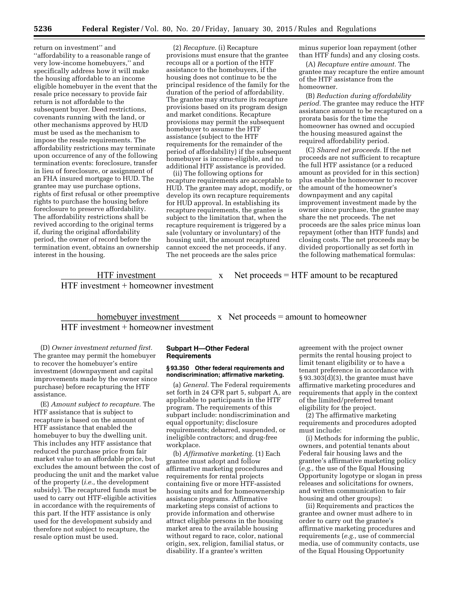return on investment'' and ''affordability to a reasonable range of very low-income homebuyers,'' and specifically address how it will make the housing affordable to an income eligible homebuyer in the event that the resale price necessary to provide fair return is not affordable to the subsequent buyer. Deed restrictions, covenants running with the land, or other mechanisms approved by HUD must be used as the mechanism to impose the resale requirements. The affordability restrictions may terminate upon occurrence of any of the following termination events: foreclosure, transfer in lieu of foreclosure, or assignment of an FHA insured mortgage to HUD. The grantee may use purchase options, rights of first refusal or other preemptive rights to purchase the housing before foreclosure to preserve affordability. The affordability restrictions shall be revived according to the original terms if, during the original affordability period, the owner of record before the termination event, obtains an ownership interest in the housing.

(2) *Recapture.* (i) Recapture provisions must ensure that the grantee recoups all or a portion of the HTF assistance to the homebuyers, if the housing does not continue to be the principal residence of the family for the duration of the period of affordability. The grantee may structure its recapture provisions based on its program design and market conditions. Recapture provisions may permit the subsequent homebuyer to assume the HTF assistance (subject to the HTF requirements for the remainder of the period of affordability) if the subsequent homebuyer is income-eligible, and no additional HTF assistance is provided.

(ii) The following options for recapture requirements are acceptable to HUD. The grantee may adopt, modify, or develop its own recapture requirements for HUD approval. In establishing its recapture requirements, the grantee is subject to the limitation that, when the recapture requirement is triggered by a sale (voluntary or involuntary) of the housing unit, the amount recaptured cannot exceed the net proceeds, if any. The net proceeds are the sales price

minus superior loan repayment (other than HTF funds) and any closing costs.

(A) *Recapture entire amount.* The grantee may recapture the entire amount of the HTF assistance from the homeowner.

(B) *Reduction during affordability period.* The grantee may reduce the HTF assistance amount to be recaptured on a prorata basis for the time the homeowner has owned and occupied the housing measured against the required affordability period.

(C) *Shared net proceeds.* If the net proceeds are not sufficient to recapture the full HTF assistance (or a reduced amount as provided for in this section) plus enable the homeowner to recover the amount of the homeowner's downpayment and any capital improvement investment made by the owner since purchase, the grantee may share the net proceeds. The net proceeds are the sales price minus loan repayment (other than HTF funds) and closing costs. The net proceeds may be divided proportionally as set forth in the following mathematical formulas:

HTF investment x  $HTF$  investment + homeowner investment

Net proceeds  $=$  HTF amount to be recaptured

homebuyer investment  $\qquad x \quad$  Net proceeds = amount to homeowner  $HTF$  investment + homeowner investment

(D) *Owner investment returned first.*  The grantee may permit the homebuyer to recover the homebuyer's entire investment (downpayment and capital improvements made by the owner since purchase) before recapturing the HTF assistance.

(E) *Amount subject to recapture.* The HTF assistance that is subject to recapture is based on the amount of HTF assistance that enabled the homebuyer to buy the dwelling unit. This includes any HTF assistance that reduced the purchase price from fair market value to an affordable price, but excludes the amount between the cost of producing the unit and the market value of the property (*i.e.,* the development subsidy). The recaptured funds must be used to carry out HTF-eligible activities in accordance with the requirements of this part. If the HTF assistance is only used for the development subsidy and therefore not subject to recapture, the resale option must be used.

## **Subpart H—Other Federal Requirements**

## **§ 93.350 Other federal requirements and nondiscrimination; affirmative marketing.**

(a) *General.* The Federal requirements set forth in 24 CFR part 5, subpart A, are applicable to participants in the HTF program. The requirements of this subpart include: nondiscrimination and equal opportunity; disclosure requirements; debarred, suspended, or ineligible contractors; and drug-free workplace.

(b) *Affirmative marketing.* (1) Each grantee must adopt and follow affirmative marketing procedures and requirements for rental projects containing five or more HTF-assisted housing units and for homeownership assistance programs. Affirmative marketing steps consist of actions to provide information and otherwise attract eligible persons in the housing market area to the available housing without regard to race, color, national origin, sex, religion, familial status, or disability. If a grantee's written

agreement with the project owner permits the rental housing project to limit tenant eligibility or to have a tenant preference in accordance with § 93.303(d)(3), the grantee must have affirmative marketing procedures and requirements that apply in the context of the limited/preferred tenant eligibility for the project.

(2) The affirmative marketing requirements and procedures adopted must include:

(i) Methods for informing the public, owners, and potential tenants about Federal fair housing laws and the grantee's affirmative marketing policy (*e.g.,* the use of the Equal Housing Opportunity logotype or slogan in press releases and solicitations for owners, and written communication to fair housing and other groups);

(ii) Requirements and practices the grantee and owner must adhere to in order to carry out the grantee's affirmative marketing procedures and requirements (*e.g.,* use of commercial media, use of community contacts, use of the Equal Housing Opportunity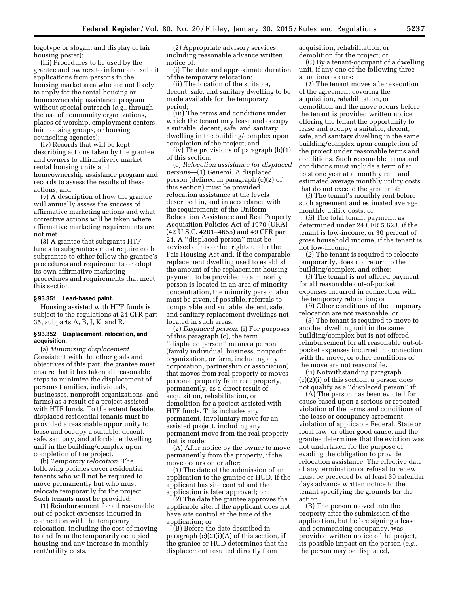logotype or slogan, and display of fair housing poster);

(iii) Procedures to be used by the grantee and owners to inform and solicit applications from persons in the housing market area who are not likely to apply for the rental housing or homeownership assistance program without special outreach (*e.g.,* through the use of community organizations, places of worship, employment centers, fair housing groups, or housing counseling agencies);

(iv) Records that will be kept describing actions taken by the grantee and owners to affirmatively market rental housing units and homeownership assistance program and records to assess the results of these actions; and

(v) A description of how the grantee will annually assess the success of affirmative marketing actions and what corrective actions will be taken where affirmative marketing requirements are not met.

(3) A grantee that subgrants HTF funds to subgrantees must require each subgrantee to either follow the grantee's procedures and requirements or adopt its own affirmative marketing procedures and requirements that meet this section.

#### **§ 93.351 Lead-based paint.**

Housing assisted with HTF funds is subject to the regulations at 24 CFR part 35, subparts A, B, J, K, and R.

#### **§ 93.352 Displacement, relocation, and acquisition.**

(a) *Minimizing displacement.*  Consistent with the other goals and objectives of this part, the grantee must ensure that it has taken all reasonable steps to minimize the displacement of persons (families, individuals, businesses, nonprofit organizations, and farms) as a result of a project assisted with HTF funds. To the extent feasible, displaced residential tenants must be provided a reasonable opportunity to lease and occupy a suitable, decent, safe, sanitary, and affordable dwelling unit in the building/complex upon completion of the project.

(b) *Temporary relocation.* The following policies cover residential tenants who will not be required to move permanently but who must relocate temporarily for the project. Such tenants must be provided:

(1) Reimbursement for all reasonable out-of-pocket expenses incurred in connection with the temporary relocation, including the cost of moving to and from the temporarily occupied housing and any increase in monthly rent/utility costs.

(2) Appropriate advisory services, including reasonable advance written notice of:

(i) The date and approximate duration of the temporary relocation;

(ii) The location of the suitable, decent, safe, and sanitary dwelling to be made available for the temporary period;

(iii) The terms and conditions under which the tenant may lease and occupy a suitable, decent, safe, and sanitary dwelling in the building/complex upon completion of the project; and

(iv) The provisions of paragraph (b)(1) of this section.

(c) *Relocation assistance for displaced persons*—(1) *General.* A displaced person (defined in paragraph (c)(2) of this section) must be provided relocation assistance at the levels described in, and in accordance with the requirements of the Uniform Relocation Assistance and Real Property Acquisition Policies Act of 1970 (URA) (42 U.S.C. 4201–4655) and 49 CFR part 24. A ''displaced person'' must be advised of his or her rights under the Fair Housing Act and, if the comparable replacement dwelling used to establish the amount of the replacement housing payment to be provided to a minority person is located in an area of minority concentration, the minority person also must be given, if possible, referrals to comparable and suitable, decent, safe, and sanitary replacement dwellings not located in such areas.

(2) *Displaced person.* (i) For purposes of this paragraph (c), the term ''displaced person'' means a person (family individual, business, nonprofit organization, or farm, including any corporation, partnership or association) that moves from real property or moves personal property from real property, permanently, as a direct result of acquisition, rehabilitation, or demolition for a project assisted with HTF funds. This includes any permanent, involuntary move for an assisted project, including any permanent move from the real property that is made:

(A) After notice by the owner to move permanently from the property, if the move occurs on or after:

(*1*) The date of the submission of an application to the grantee or HUD, if the applicant has site control and the application is later approved; or

(*2*) The date the grantee approves the applicable site, if the applicant does not have site control at the time of the application; or

(B) Before the date described in paragraph  $(c)(2)(i)(A)$  of this section, if the grantee or HUD determines that the displacement resulted directly from

acquisition, rehabilitation, or demolition for the project; or

(C) By a tenant-occupant of a dwelling unit, if any one of the following three situations occurs:

(*1*) The tenant moves after execution of the agreement covering the acquisition, rehabilitation, or demolition and the move occurs before the tenant is provided written notice offering the tenant the opportunity to lease and occupy a suitable, decent, safe, and sanitary dwelling in the same building/complex upon completion of the project under reasonable terms and conditions. Such reasonable terms and conditions must include a term of at least one year at a monthly rent and estimated average monthly utility costs that do not exceed the greater of:

(*i*) The tenant's monthly rent before such agreement and estimated average monthly utility costs; or

(*ii*) The total tenant payment, as determined under 24 CFR 5.628, if the tenant is low-income, or 30 percent of gross household income, if the tenant is not low-income;

(*2*) The tenant is required to relocate temporarily, does not return to the building/complex, and either:

(*i*) The tenant is not offered payment for all reasonable out-of-pocket expenses incurred in connection with the temporary relocation; or

(*ii*) Other conditions of the temporary relocation are not reasonable; or

(*3*) The tenant is required to move to another dwelling unit in the same building/complex but is not offered reimbursement for all reasonable out-ofpocket expenses incurred in connection with the move, or other conditions of the move are not reasonable.

(ii) Notwithstanding paragraph (c)(2)(i) of this section, a person does not qualify as a ''displaced person'' if:

(A) The person has been evicted for cause based upon a serious or repeated violation of the terms and conditions of the lease or occupancy agreement, violation of applicable Federal, State or local law, or other good cause, and the grantee determines that the eviction was not undertaken for the purpose of evading the obligation to provide relocation assistance. The effective date of any termination or refusal to renew must be preceded by at least 30 calendar days advance written notice to the tenant specifying the grounds for the action.

(B) The person moved into the property after the submission of the application, but before signing a lease and commencing occupancy, was provided written notice of the project, its possible impact on the person (*e.g.,*  the person may be displaced,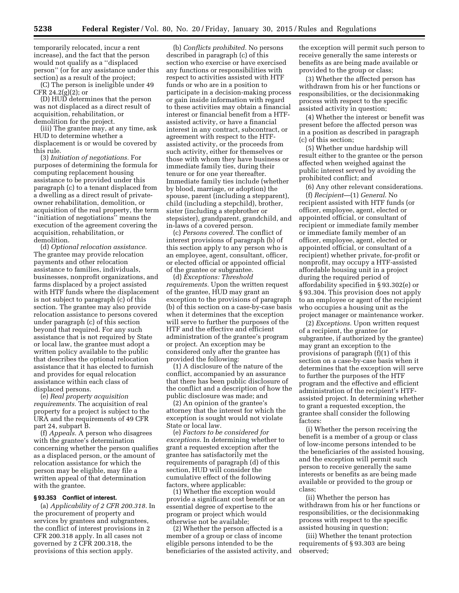temporarily relocated, incur a rent increase), and the fact that the person would not qualify as a ''displaced person'' (or for any assistance under this section) as a result of the project;

(C) The person is ineligible under 49 CFR 24.2 $(g)(2)$ ; or

(D) HUD determines that the person was not displaced as a direct result of acquisition, rehabilitation, or demolition for the project.

(iii) The grantee may, at any time, ask HUD to determine whether a displacement is or would be covered by this rule.

(3) *Initiation of negotiations.* For purposes of determining the formula for computing replacement housing assistance to be provided under this paragraph (c) to a tenant displaced from a dwelling as a direct result of privateowner rehabilitation, demolition, or acquisition of the real property, the term ''initiation of negotiations'' means the execution of the agreement covering the acquisition, rehabilitation, or demolition.

(d) *Optional relocation assistance.*  The grantee may provide relocation payments and other relocation assistance to families, individuals, businesses, nonprofit organizations, and farms displaced by a project assisted with HTF funds where the displacement is not subject to paragraph (c) of this section. The grantee may also provide relocation assistance to persons covered under paragraph (c) of this section beyond that required. For any such assistance that is not required by State or local law, the grantee must adopt a written policy available to the public that describes the optional relocation assistance that it has elected to furnish and provides for equal relocation assistance within each class of displaced persons.

(e) *Real property acquisition requirements.* The acquisition of real property for a project is subject to the URA and the requirements of 49 CFR part 24, subpart B.

(f) *Appeals.* A person who disagrees with the grantee's determination concerning whether the person qualifies as a displaced person, or the amount of relocation assistance for which the person may be eligible, may file a written appeal of that determination with the grantee.

#### **§ 93.353 Conflict of interest.**

(a) *Applicability of 2 CFR 200.318.* In the procurement of property and services by grantees and subgrantees, the conflict of interest provisions in 2 CFR 200.318 apply. In all cases not governed by 2 CFR 200.318, the provisions of this section apply.

(b) *Conflicts prohibited.* No persons described in paragraph (c) of this section who exercise or have exercised any functions or responsibilities with respect to activities assisted with HTF funds or who are in a position to participate in a decision-making process or gain inside information with regard to these activities may obtain a financial interest or financial benefit from a HTFassisted activity, or have a financial interest in any contract, subcontract, or agreement with respect to the HTFassisted activity, or the proceeds from such activity, either for themselves or those with whom they have business or immediate family ties, during their tenure or for one year thereafter. Immediate family ties include (whether by blood, marriage, or adoption) the spouse, parent (including a stepparent), child (including a stepchild), brother, sister (including a stepbrother or stepsister), grandparent, grandchild, and in-laws of a covered person.

(c) *Persons covered.* The conflict of interest provisions of paragraph (b) of this section apply to any person who is an employee, agent, consultant, officer, or elected official or appointed official of the grantee or subgrantee.

(d) *Exceptions: Threshold requirements.* Upon the written request of the grantee, HUD may grant an exception to the provisions of paragraph (b) of this section on a case-by-case basis when it determines that the exception will serve to further the purposes of the HTF and the effective and efficient administration of the grantee's program or project. An exception may be considered only after the grantee has provided the following:

(1) A disclosure of the nature of the conflict, accompanied by an assurance that there has been public disclosure of the conflict and a description of how the public disclosure was made; and

(2) An opinion of the grantee's attorney that the interest for which the exception is sought would not violate State or local law.

(e) *Factors to be considered for exceptions.* In determining whether to grant a requested exception after the grantee has satisfactorily met the requirements of paragraph (d) of this section, HUD will consider the cumulative effect of the following factors, where applicable:

(1) Whether the exception would provide a significant cost benefit or an essential degree of expertise to the program or project which would otherwise not be available;

(2) Whether the person affected is a member of a group or class of income eligible persons intended to be the beneficiaries of the assisted activity, and the exception will permit such person to receive generally the same interests or benefits as are being made available or provided to the group or class;

(3) Whether the affected person has withdrawn from his or her functions or responsibilities, or the decisionmaking process with respect to the specific assisted activity in question;

(4) Whether the interest or benefit was present before the affected person was in a position as described in paragraph (c) of this section;

(5) Whether undue hardship will result either to the grantee or the person affected when weighed against the public interest served by avoiding the prohibited conflict; and

(6) Any other relevant considerations.

(f) *Recipient*—(1) *General*. No recipient assisted with HTF funds (or officer, employee, agent, elected or appointed official, or consultant of recipient or immediate family member or immediate family member of an officer, employee, agent, elected or appointed official, or consultant of a recipient) whether private, for-profit or nonprofit, may occupy a HTF-assisted affordable housing unit in a project during the required period of affordability specified in § 93.302(e) or § 93.304. This provision does not apply to an employee or agent of the recipient who occupies a housing unit as the project manager or maintenance worker.

(2) *Exceptions.* Upon written request of a recipient, the grantee (or subgrantee, if authorized by the grantee) may grant an exception to the provisions of paragraph (f)(1) of this section on a case-by-case basis when it determines that the exception will serve to further the purposes of the HTF program and the effective and efficient administration of the recipient's HTFassisted project. In determining whether to grant a requested exception, the grantee shall consider the following factors:

(i) Whether the person receiving the benefit is a member of a group or class of low-income persons intended to be the beneficiaries of the assisted housing, and the exception will permit such person to receive generally the same interests or benefits as are being made available or provided to the group or class;

(ii) Whether the person has withdrawn from his or her functions or responsibilities, or the decisionmaking process with respect to the specific assisted housing in question;

(iii) Whether the tenant protection requirements of § 93.303 are being observed;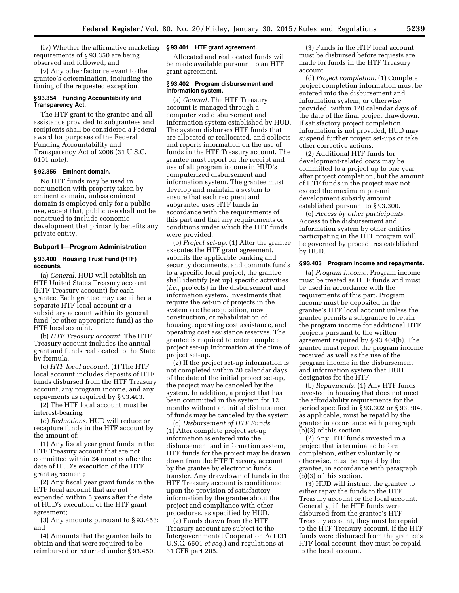(iv) Whether the affirmative marketing **§ 93.401 HTF grant agreement.**  requirements of § 93.350 are being observed and followed; and

(v) Any other factor relevant to the grantee's determination, including the timing of the requested exception.

#### **§ 93.354 Funding Accountability and Transparency Act.**

The HTF grant to the grantee and all assistance provided to subgrantees and recipients shall be considered a Federal award for purposes of the Federal Funding Accountability and Transparency Act of 2006 (31 U.S.C. 6101 note).

## **§ 92.355 Eminent domain.**

No HTF funds may be used in conjunction with property taken by eminent domain, unless eminent domain is employed only for a public use, except that, public use shall not be construed to include economic development that primarily benefits any private entity.

## **Subpart I—Program Administration**

#### **§ 93.400 Housing Trust Fund (HTF) accounts.**

(a) *General.* HUD will establish an HTF United States Treasury account (HTF Treasury account) for each grantee. Each grantee may use either a separate HTF local account or a subsidiary account within its general fund (or other appropriate fund) as the HTF local account.

(b) *HTF Treasury account.* The HTF Treasury account includes the annual grant and funds reallocated to the State by formula.

(c) *HTF local account.* (1) The HTF local account includes deposits of HTF funds disbursed from the HTF Treasury account, any program income, and any repayments as required by § 93.403.

(2) The HTF local account must be interest-bearing.

(d) *Reductions.* HUD will reduce or recapture funds in the HTF account by the amount of:

(1) Any fiscal year grant funds in the HTF Treasury account that are not committed within 24 months after the date of HUD's execution of the HTF grant agreement;

(2) Any fiscal year grant funds in the HTF local account that are not expended within 5 years after the date of HUD's execution of the HTF grant agreement;

(3) Any amounts pursuant to § 93.453; and

(4) Amounts that the grantee fails to obtain and that were required to be reimbursed or returned under § 93.450.

Allocated and reallocated funds will be made available pursuant to an HTF grant agreement.

## **§ 93.402 Program disbursement and information system.**

(a) *General.* The HTF Treasury account is managed through a computerized disbursement and information system established by HUD. The system disburses HTF funds that are allocated or reallocated, and collects and reports information on the use of funds in the HTF Treasury account. The grantee must report on the receipt and use of all program income in HUD's computerized disbursement and information system. The grantee must develop and maintain a system to ensure that each recipient and subgrantee uses HTF funds in accordance with the requirements of this part and that any requirements or conditions under which the HTF funds were provided.

(b) *Project set-up.* (1) After the grantee executes the HTF grant agreement, submits the applicable banking and security documents, and commits funds to a specific local project, the grantee shall identify (set up) specific activities (*i.e.,* projects) in the disbursement and information system. Investments that require the set-up of projects in the system are the acquisition, new construction, or rehabilitation of housing, operating cost assistance, and operating cost assistance reserves. The grantee is required to enter complete project set-up information at the time of project set-up.

(2) If the project set-up information is not completed within 20 calendar days of the date of the initial project set-up, the project may be canceled by the system. In addition, a project that has been committed in the system for 12 months without an initial disbursement of funds may be canceled by the system.

(c) *Disbursement of HTF Funds.*  (1) After complete project set-up information is entered into the disbursement and information system, HTF funds for the project may be drawn down from the HTF Treasury account by the grantee by electronic funds transfer. Any drawdown of funds in the HTF Treasury account is conditioned upon the provision of satisfactory information by the grantee about the project and compliance with other procedures, as specified by HUD.

(2) Funds drawn from the HTF Treasury account are subject to the Intergovernmental Cooperation Act (31 U.S.C. 6501 *et seq.*) and regulations at 31 CFR part 205.

(3) Funds in the HTF local account must be disbursed before requests are made for funds in the HTF Treasury account.

(d) *Project completion.* (1) Complete project completion information must be entered into the disbursement and information system, or otherwise provided, within 120 calendar days of the date of the final project drawdown. If satisfactory project completion information is not provided, HUD may suspend further project set-ups or take other corrective actions.

(2) Additional HTF funds for development-related costs may be committed to a project up to one year after project completion, but the amount of HTF funds in the project may not exceed the maximum per-unit development subsidy amount established pursuant to § 93.300.

(e) *Access by other participants.*  Access to the disbursement and information system by other entities participating in the HTF program will be governed by procedures established by HUD.

#### **§ 93.403 Program income and repayments.**

(a) *Program income.* Program income must be treated as HTF funds and must be used in accordance with the requirements of this part. Program income must be deposited in the grantee's HTF local account unless the grantee permits a subgrantee to retain the program income for additional HTF projects pursuant to the written agreement required by § 93.404(b). The grantee must report the program income received as well as the use of the program income in the disbursement and information system that HUD designates for the HTF.

(b) *Repayments.* (1) Any HTF funds invested in housing that does not meet the affordability requirements for the period specified in § 93.302 or § 93.304, as applicable, must be repaid by the grantee in accordance with paragraph (b)(3) of this section.

(2) Any HTF funds invested in a project that is terminated before completion, either voluntarily or otherwise, must be repaid by the grantee, in accordance with paragraph (b)(3) of this section.

(3) HUD will instruct the grantee to either repay the funds to the HTF Treasury account or the local account. Generally, if the HTF funds were disbursed from the grantee's HTF Treasury account, they must be repaid to the HTF Treasury account. If the HTF funds were disbursed from the grantee's HTF local account, they must be repaid to the local account.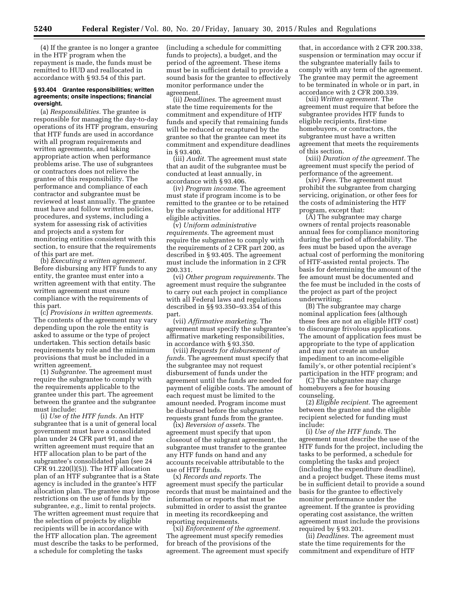(4) If the grantee is no longer a grantee in the HTF program when the repayment is made, the funds must be remitted to HUD and reallocated in accordance with § 93.54 of this part.

#### **§ 93.404 Grantee responsibilities; written agreements; onsite inspections; financial oversight.**

(a) *Responsibilities.* The grantee is responsible for managing the day-to-day operations of its HTF program, ensuring that HTF funds are used in accordance with all program requirements and written agreements, and taking appropriate action when performance problems arise. The use of subgrantees or contractors does not relieve the grantee of this responsibility. The performance and compliance of each contractor and subgrantee must be reviewed at least annually. The grantee must have and follow written policies, procedures, and systems, including a system for assessing risk of activities and projects and a system for monitoring entities consistent with this section, to ensure that the requirements of this part are met.

(b) *Executing a written agreement.*  Before disbursing any HTF funds to any entity, the grantee must enter into a written agreement with that entity. The written agreement must ensure compliance with the requirements of this part.

(c) *Provisions in written agreements.*  The contents of the agreement may vary depending upon the role the entity is asked to assume or the type of project undertaken. This section details basic requirements by role and the minimum provisions that must be included in a written agreement.

(1) *Subgrantee.* The agreement must require the subgrantee to comply with the requirements applicable to the grantee under this part. The agreement between the grantee and the subgrantee must include:

(i) *Use of the HTF funds.* An HTF subgrantee that is a unit of general local government must have a consolidated plan under 24 CFR part 91, and the written agreement must require that an HTF allocation plan to be part of the subgrantee's consolidated plan (see 24  $CFR 91.220(1)(5)$ . The HTF allocation plan of an HTF subgrantee that is a State agency is included in the grantee's HTF allocation plan. The grantee may impose restrictions on the use of funds by the subgrantee, *e.g.,* limit to rental projects. The written agreement must require that the selection of projects by eligible recipients will be in accordance with the HTF allocation plan. The agreement must describe the tasks to be performed, a schedule for completing the tasks

(including a schedule for committing funds to projects), a budget, and the period of the agreement. These items must be in sufficient detail to provide a sound basis for the grantee to effectively monitor performance under the agreement.

(ii) *Deadlines.* The agreement must state the time requirements for the commitment and expenditure of HTF funds and specify that remaining funds will be reduced or recaptured by the grantee so that the grantee can meet its commitment and expenditure deadlines in § 93.400.

(iii) *Audit.* The agreement must state that an audit of the subgrantee must be conducted at least annually, in accordance with § 93.406.

(iv) *Program income.* The agreement must state if program income is to be remitted to the grantee or to be retained by the subgrantee for additional HTF eligible activities.

(v) *Uniform administrative requirements.* The agreement must require the subgrantee to comply with the requirements of 2 CFR part 200, as described in § 93.405. The agreement must include the information in 2 CFR 200.331.

(vi) *Other program requirements.* The agreement must require the subgrantee to carry out each project in compliance with all Federal laws and regulations described in §§ 93.350–93.354 of this part.

(vii) *Affirmative marketing.* The agreement must specify the subgrantee's affirmative marketing responsibilities, in accordance with § 93.350.

(viii) *Requests for disbursement of funds.* The agreement must specify that the subgrantee may not request disbursement of funds under the agreement until the funds are needed for payment of eligible costs. The amount of each request must be limited to the amount needed. Program income must be disbursed before the subgrantee requests grant funds from the grantee.

(ix) *Reversion of assets.* The agreement must specify that upon closeout of the subgrant agreement, the subgrantee must transfer to the grantee any HTF funds on hand and any accounts receivable attributable to the use of HTF funds.

(x) *Records and reports.* The agreement must specify the particular records that must be maintained and the information or reports that must be submitted in order to assist the grantee in meeting its recordkeeping and reporting requirements.

(xi) *Enforcement of the agreement.*  The agreement must specify remedies for breach of the provisions of the agreement. The agreement must specify

that, in accordance with 2 CFR 200.338, suspension or termination may occur if the subgrantee materially fails to comply with any term of the agreement. The grantee may permit the agreement to be terminated in whole or in part, in accordance with 2 CFR 200.339.

(xii) *Written agreement.* The agreement must require that before the subgrantee provides HTF funds to eligible recipients, first-time homebuyers, or contractors, the subgrantee must have a written agreement that meets the requirements of this section.

(xiii) *Duration of the agreement.* The agreement must specify the period of performance of the agreement.

(xiv) *Fees.* The agreement must prohibit the subgrantee from charging servicing, origination, or other fees for the costs of administering the HTF program, except that:

(A) The subgrantee may charge owners of rental projects reasonable annual fees for compliance monitoring during the period of affordability. The fees must be based upon the average actual cost of performing the monitoring of HTF-assisted rental projects. The basis for determining the amount of the fee amount must be documented and the fee must be included in the costs of the project as part of the project underwriting;

(B) The subgrantee may charge nominal application fees (although these fees are not an eligible HTF cost) to discourage frivolous applications. The amount of application fees must be appropriate to the type of application and may not create an undue impediment to an income-eligible family's, or other potential recipient's participation in the HTF program; and

(C) The subgrantee may charge homebuyers a fee for housing counseling.

(2) *Eligible recipient.* The agreement between the grantee and the eligible recipient selected for funding must include:

(i) *Use of the HTF funds.* The agreement must describe the use of the HTF funds for the project, including the tasks to be performed, a schedule for completing the tasks and project (including the expenditure deadline), and a project budget. These items must be in sufficient detail to provide a sound basis for the grantee to effectively monitor performance under the agreement. If the grantee is providing operating cost assistance, the written agreement must include the provisions required by § 93.201.

(ii) *Deadlines.* The agreement must state the time requirements for the commitment and expenditure of HTF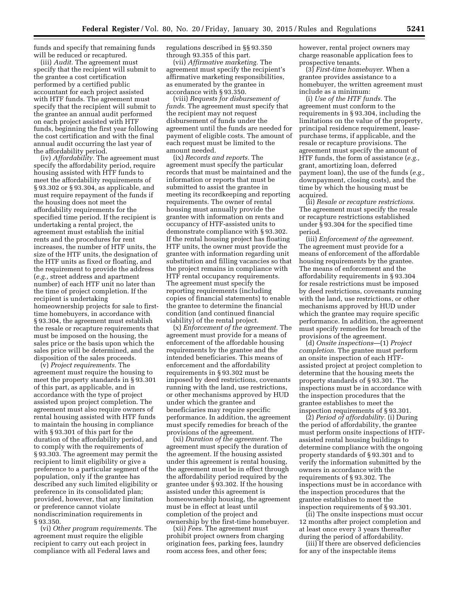funds and specify that remaining funds will be reduced or recaptured.

(iii) *Audit.* The agreement must specify that the recipient will submit to the grantee a cost certification performed by a certified public accountant for each project assisted with HTF funds. The agreement must specify that the recipient will submit to the grantee an annual audit performed on each project assisted with HTF funds, beginning the first year following the cost certification and with the final annual audit occurring the last year of the affordability period.

(iv) *Affordability.* The agreement must specify the affordability period, require housing assisted with HTF funds to meet the affordability requirements of § 93.302 or § 93.304, as applicable, and must require repayment of the funds if the housing does not meet the affordability requirements for the specified time period. If the recipient is undertaking a rental project, the agreement must establish the initial rents and the procedures for rent increases, the number of HTF units, the size of the HTF units, the designation of the HTF units as fixed or floating, and the requirement to provide the address (*e.g.,* street address and apartment number) of each HTF unit no later than the time of project completion. If the recipient is undertaking homeownership projects for sale to firsttime homebuyers, in accordance with § 93.304, the agreement must establish the resale or recapture requirements that must be imposed on the housing, the sales price or the basis upon which the sales price will be determined, and the disposition of the sales proceeds.

(v) *Project requirements.* The agreement must require the housing to meet the property standards in § 93.301 of this part, as applicable, and in accordance with the type of project assisted upon project completion. The agreement must also require owners of rental housing assisted with HTF funds to maintain the housing in compliance with § 93.301 of this part for the duration of the affordability period, and to comply with the requirements of § 93.303. The agreement may permit the recipient to limit eligibility or give a preference to a particular segment of the population, only if the grantee has described any such limited eligibility or preference in its consolidated plan; provided, however, that any limitation or preference cannot violate nondiscrimination requirements in § 93.350.

(vi) *Other program requirements.* The agreement must require the eligible recipient to carry out each project in compliance with all Federal laws and

regulations described in §§ 93.350 through 93.355 of this part.

(vii) *Affirmative marketing.* The agreement must specify the recipient's affirmative marketing responsibilities, as enumerated by the grantee in accordance with § 93.350.

(viii) *Requests for disbursement of funds.* The agreement must specify that the recipient may not request disbursement of funds under the agreement until the funds are needed for payment of eligible costs. The amount of each request must be limited to the amount needed.

(ix) *Records and reports.* The agreement must specify the particular records that must be maintained and the information or reports that must be submitted to assist the grantee in meeting its recordkeeping and reporting requirements. The owner of rental housing must annually provide the grantee with information on rents and occupancy of HTF-assisted units to demonstrate compliance with § 93.302. If the rental housing project has floating HTF units, the owner must provide the grantee with information regarding unit substitution and filling vacancies so that the project remains in compliance with HTF rental occupancy requirements. The agreement must specify the reporting requirements (including copies of financial statements) to enable the grantee to determine the financial condition (and continued financial viability) of the rental project.

(x) *Enforcement of the agreement.* The agreement must provide for a means of enforcement of the affordable housing requirements by the grantee and the intended beneficiaries. This means of enforcement and the affordability requirements in § 93.302 must be imposed by deed restrictions, covenants running with the land, use restrictions, or other mechanisms approved by HUD under which the grantee and beneficiaries may require specific performance. In addition, the agreement must specify remedies for breach of the provisions of the agreement.

(xi) *Duration of the agreement.* The agreement must specify the duration of the agreement. If the housing assisted under this agreement is rental housing, the agreement must be in effect through the affordability period required by the grantee under § 93.302. If the housing assisted under this agreement is homeownership housing, the agreement must be in effect at least until completion of the project and ownership by the first-time homebuyer.

(xii) *Fees.* The agreement must prohibit project owners from charging origination fees, parking fees, laundry room access fees, and other fees;

however, rental project owners may charge reasonable application fees to prospective tenants.

(3) *First-time homebuyer.* When a grantee provides assistance to a homebuyer, the written agreement must include as a minimum:

(i) *Use of the HTF funds.* The agreement must conform to the requirements in § 93.304, including the limitations on the value of the property, principal residence requirement, leasepurchase terms, if applicable, and the resale or recapture provisions. The agreement must specify the amount of HTF funds, the form of assistance (*e.g.,*  grant, amortizing loan, deferred payment loan), the use of the funds (*e.g.,*  downpayment, closing costs), and the time by which the housing must be acquired.

(ii) *Resale or recapture restrictions.*  The agreement must specify the resale or recapture restrictions established under § 93.304 for the specified time period.

(iii) *Enforcement of the agreement.*  The agreement must provide for a means of enforcement of the affordable housing requirements by the grantee. The means of enforcement and the affordability requirements in § 93.304 for resale restrictions must be imposed by deed restrictions, covenants running with the land, use restrictions, or other mechanisms approved by HUD under which the grantee may require specific performance. In addition, the agreement must specify remedies for breach of the provisions of the agreement.

(d) *Onsite inspections*—(1) *Project completion.* The grantee must perform an onsite inspection of each HTFassisted project at project completion to determine that the housing meets the property standards of § 93.301. The inspections must be in accordance with the inspection procedures that the grantee establishes to meet the inspection requirements of § 93.301.

(2) *Period of affordability.* (i) During the period of affordability, the grantee must perform onsite inspections of HTFassisted rental housing buildings to determine compliance with the ongoing property standards of § 93.301 and to verify the information submitted by the owners in accordance with the requirements of § 93.302. The inspections must be in accordance with the inspection procedures that the grantee establishes to meet the inspection requirements of § 93.301.

(ii) The onsite inspections must occur 12 months after project completion and at least once every 3 years thereafter during the period of affordability.

(iii) If there are observed deficiencies for any of the inspectable items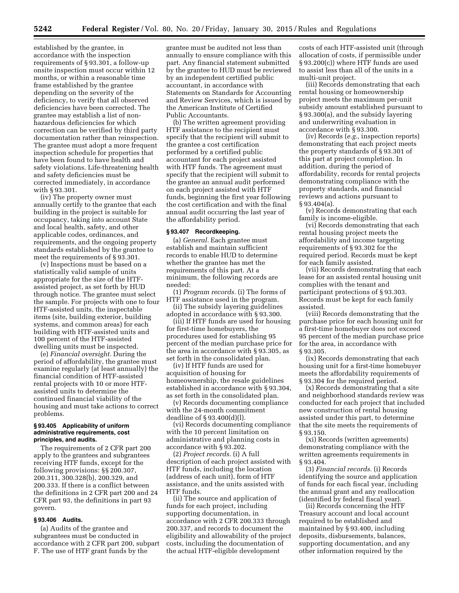established by the grantee, in accordance with the inspection requirements of § 93.301, a follow-up onsite inspection must occur within 12 months, or within a reasonable time frame established by the grantee depending on the severity of the deficiency, to verify that all observed deficiencies have been corrected. The grantee may establish a list of nonhazardous deficiencies for which correction can be verified by third party documentation rather than reinspection. The grantee must adopt a more frequent inspection schedule for properties that have been found to have health and safety violations. Life-threatening health and safety deficiencies must be corrected immediately, in accordance with § 93.301.

(iv) The property owner must annually certify to the grantee that each building in the project is suitable for occupancy, taking into account State and local health, safety, and other applicable codes, ordinances, and requirements, and the ongoing property standards established by the grantee to meet the requirements of § 93.301.

(v) Inspections must be based on a statistically valid sample of units appropriate for the size of the HTFassisted project, as set forth by HUD through notice. The grantee must select the sample. For projects with one to four HTF-assisted units, the inspectable items (site, building exterior, building systems, and common areas) for each building with HTF-assisted units and 100 percent of the HTF-assisted dwelling units must be inspected.

(e) *Financial oversight.* During the period of affordability, the grantee must examine regularly (at least annually) the financial condition of HTF-assisted rental projects with 10 or more HTFassisted units to determine the continued financial viability of the housing and must take actions to correct problems.

#### **§ 93.405 Applicability of uniform administrative requirements, cost principles, and audits.**

The requirements of 2 CFR part 200 apply to the grantees and subgrantees receiving HTF funds, except for the following provisions: §§ 200.307, 200.311, 300.328(b), 200.329, and 200.333. If there is a conflict between the definitions in 2 CFR part 200 and 24 CFR part 93, the definitions in part 93 govern.

#### **§ 93.406 Audits.**

(a) Audits of the grantee and subgrantees must be conducted in accordance with 2 CFR part 200, subpart F. The use of HTF grant funds by the

grantee must be audited not less than annually to ensure compliance with this part. Any financial statement submitted by the grantee to HUD must be reviewed by an independent certified public accountant, in accordance with Statements on Standards for Accounting and Review Services, which is issued by the American Institute of Certified Public Accountants.

(b) The written agreement providing HTF assistance to the recipient must specify that the recipient will submit to the grantee a cost certification performed by a certified public accountant for each project assisted with HTF funds. The agreement must specify that the recipient will submit to the grantee an annual audit performed on each project assisted with HTF funds, beginning the first year following the cost certification and with the final annual audit occurring the last year of the affordability period.

#### **§ 93.407 Recordkeeping.**

(a) *General.* Each grantee must establish and maintain sufficient records to enable HUD to determine whether the grantee has met the requirements of this part. At a minimum, the following records are needed:

(1) *Program records.* (i) The forms of HTF assistance used in the program. (ii) The subsidy layering guidelines

adopted in accordance with § 93.300.

(iii) If HTF funds are used for housing for first-time homebuyers, the procedures used for establishing 95 percent of the median purchase price for the area in accordance with § 93.305, as set forth in the consolidated plan.

(iv) If HTF funds are used for acquisition of housing for homeownership, the resale guidelines established in accordance with § 93.304, as set forth in the consolidated plan.

(v) Records documenting compliance with the 24-month commitment deadline of § 93.400(d)(l).

(vi) Records documenting compliance with the 10 percent limitation on administrative and planning costs in accordance with § 93.202.

(2) *Project records.* (i) A full description of each project assisted with HTF funds, including the location (address of each unit), form of HTF assistance, and the units assisted with HTF funds.

(ii) The source and application of funds for each project, including supporting documentation, in accordance with 2 CFR 200.333 through 200.337, and records to document the eligibility and allowability of the project costs, including the documentation of the actual HTF-eligible development

costs of each HTF-assisted unit (through allocation of costs, if permissible under § 93.200(c)) where HTF funds are used to assist less than all of the units in a multi-unit project.

(iii) Records demonstrating that each rental housing or homeownership project meets the maximum per-unit subsidy amount established pursuant to § 93.300(a), and the subsidy layering and underwriting evaluation in accordance with § 93.300.

(iv) Records (*e.g.,* inspection reports) demonstrating that each project meets the property standards of § 93.301 of this part at project completion. In addition, during the period of affordability, records for rental projects demonstrating compliance with the property standards, and financial reviews and actions pursuant to § 93.404(a).

(v) Records demonstrating that each family is income-eligible.

(vi) Records demonstrating that each rental housing project meets the affordability and income targeting requirements of § 93.302 for the required period. Records must be kept for each family assisted.

(vii) Records demonstrating that each lease for an assisted rental housing unit complies with the tenant and participant protections of § 93.303. Records must be kept for each family assisted.

(viii) Records demonstrating that the purchase price for each housing unit for a first-time homebuyer does not exceed 95 percent of the median purchase price for the area, in accordance with § 93.305.

(ix) Records demonstrating that each housing unit for a first-time homebuyer meets the affordability requirements of § 93.304 for the required period.

(x) Records demonstrating that a site and neighborhood standards review was conducted for each project that included new construction of rental housing assisted under this part, to determine that the site meets the requirements of § 93.150.

(xi) Records (written agreements) demonstrating compliance with the written agreements requirements in § 93.404.

(3) *Financial records.* (i) Records identifying the source and application of funds for each fiscal year, including the annual grant and any reallocation (identified by federal fiscal year).

(ii) Records concerning the HTF Treasury account and local account required to be established and maintained by § 93.400, including deposits, disbursements, balances, supporting documentation, and any other information required by the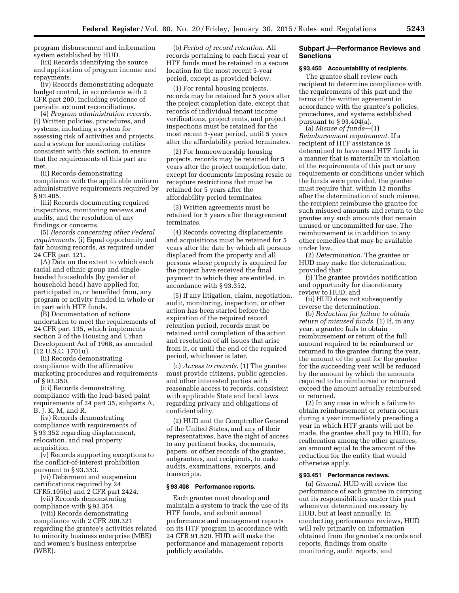program disbursement and information system established by HUD.

(iii) Records identifying the source and application of program income and repayments.

(iv) Records demonstrating adequate budget control, in accordance with 2 CFR part 200, including evidence of periodic account reconciliations.

(4) *Program administration records.*  (i) Written policies, procedures, and systems, including a system for assessing risk of activities and projects, and a system for monitoring entities consistent with this section, to ensure that the requirements of this part are met.

(ii) Records demonstrating compliance with the applicable uniform administrative requirements required by § 93.405.

(iii) Records documenting required inspections, monitoring reviews and audits, and the resolution of any findings or concerns.

(5) *Records concerning other Federal requirements.* (i) Equal opportunity and fair housing records, as required under 24 CFR part 121.

(A) Data on the extent to which each racial and ethnic group and singleheaded households (by gender of household head) have applied for, participated in, or benefited from, any program or activity funded in whole or in part with HTF funds.

(B) Documentation of actions undertaken to meet the requirements of 24 CFR part 135, which implements section 3 of the Housing and Urban Development Act of 1968, as amended (12 U.S.C. 1701u).

(ii) Records demonstrating compliance with the affirmative marketing procedures and requirements of § 93.350.

(iii) Records demonstrating compliance with the lead-based paint requirements of 24 part 35, subparts A, B, J, K, M, and R.

(iv) Records demonstrating compliance with requirements of § 93.352 regarding displacement, relocation, and real property acquisition.

(v) Records supporting exceptions to the conflict-of-interest prohibition pursuant to § 93.353.

(vi) Debarment and suspension certifications required by 24 CFR5.105(c) and 2 CFR part 2424.

(vii) Records demonstrating compliance with § 93.354.

(viii) Records demonstrating compliance with 2 CFR 200.321 regarding the grantee's activities related to minority business enterprise (MBE) and women's business enterprise (WBE).

(b) *Period of record retention.* All records pertaining to each fiscal year of HTF funds must be retained in a secure location for the most recent 5-year period, except as provided below.

(1) For rental housing projects, records may be retained for 5 years after the project completion date, except that records of individual tenant income verifications, project rents, and project inspections must be retained for the most recent 5-year period, until 5 years after the affordability period terminates.

(2) For homeownership housing projects, records may be retained for 5 years after the project completion date, except for documents imposing resale or recapture restrictions that must be retained for 5 years after the affordability period terminates.

(3) Written agreements must be retained for 5 years after the agreement terminates.

(4) Records covering displacements and acquisitions must be retained for 5 years after the date by which all persons displaced from the property and all persons whose property is acquired for the project have received the final payment to which they are entitled, in accordance with § 93.352.

(5) If any litigation, claim, negotiation, audit, monitoring, inspection, or other action has been started before the expiration of the required record retention period, records must be retained until completion of the action and resolution of all issues that arise from it, or until the end of the required period, whichever is later.

(c) *Access to records.* (1) The grantee must provide citizens, public agencies, and other interested parties with reasonable access to records, consistent with applicable State and local laws regarding privacy and obligations of confidentiality.

(2) HUD and the Comptroller General of the United States, and any of their representatives, have the right of access to any pertinent books, documents, papers, or other records of the grantee, subgrantees, and recipients, to make audits, examinations, excerpts, and transcripts.

#### **§ 93.408 Performance reports.**

Each grantee must develop and maintain a system to track the use of its HTF funds, and submit annual performance and management reports on its HTF program in accordance with 24 CFR 91.520. HUD will make the performance and management reports publicly available.

#### **Subpart J—Performance Reviews and Sanctions**

#### **§ 93.450 Accountability of recipients.**

The grantee shall review each recipient to determine compliance with the requirements of this part and the terms of the written agreement in accordance with the grantee's policies, procedures, and systems established pursuant to  $\S 93.404(a)$ .

(a) *Misuse of funds*—(1) *Reimbursement requirement.* If a recipient of HTF assistance is determined to have used HTF funds in a manner that is materially in violation of the requirements of this part or any requirements or conditions under which the funds were provided, the grantee must require that, within 12 months after the determination of such misuse, the recipient reimburse the grantee for such misused amounts and return to the grantee any such amounts that remain unused or uncommitted for use. The reimbursement is in addition to any other remedies that may be available under law.

(2) *Determination.* The grantee or HUD may make the determination, provided that:

(i) The grantee provides notification and opportunity for discretionary review to HUD; and

(ii) HUD does not subsequently reverse the determination.

(b) *Reduction for failure to obtain return of misused funds.* (1) If, in any year, a grantee fails to obtain reimbursement or return of the full amount required to be reimbursed or returned to the grantee during the year, the amount of the grant for the grantee for the succeeding year will be reduced by the amount by which the amounts required to be reimbursed or returned exceed the amount actually reimbursed or returned.

(2) In any case in which a failure to obtain reimbursement or return occurs during a year immediately preceding a year in which HTF grants will not be made, the grantee shall pay to HUD, for reallocation among the other grantees, an amount equal to the amount of the reduction for the entity that would otherwise apply.

## **§ 93.451 Performance reviews.**

(a) *General.* HUD will review the performance of each grantee in carrying out its responsibilities under this part whenever determined necessary by HUD, but at least annually. In conducting performance reviews, HUD will rely primarily on information obtained from the grantee's records and reports, findings from onsite monitoring, audit reports, and